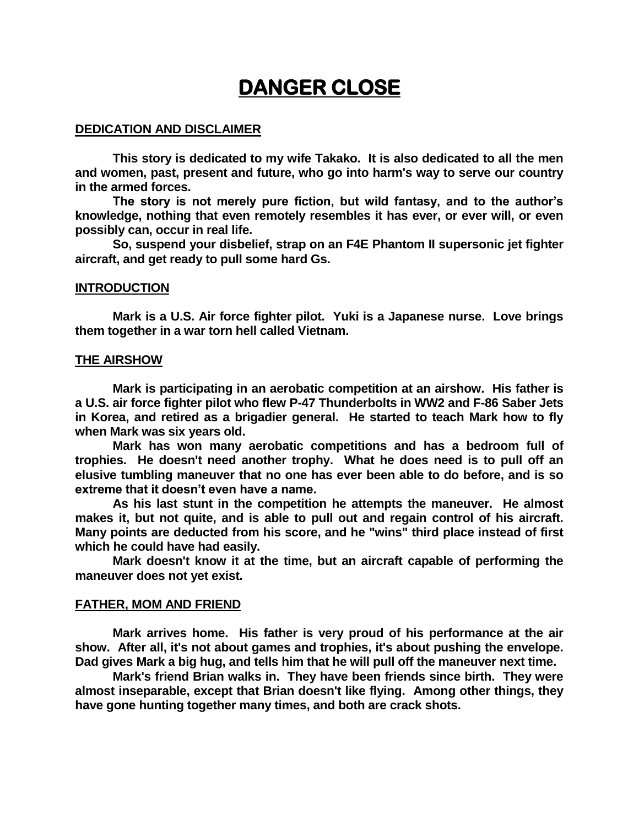# **DANGER CLOSE**

## **DEDICATION AND DISCLAIMER**

**This story is dedicated to my wife Takako. It is also dedicated to all the men and women, past, present and future, who go into harm's way to serve our country in the armed forces.**

**The story is not merely pure fiction, but wild fantasy, and to the author's knowledge, nothing that even remotely resembles it has ever, or ever will, or even possibly can, occur in real life.**

**So, suspend your disbelief, strap on an F4E Phantom II supersonic jet fighter aircraft, and get ready to pull some hard Gs.**

#### **INTRODUCTION**

**Mark is a U.S. Air force fighter pilot. Yuki is a Japanese nurse. Love brings them together in a war torn hell called Vietnam.**

#### **THE AIRSHOW**

**Mark is participating in an aerobatic competition at an airshow. His father is a U.S. air force fighter pilot who flew P-47 Thunderbolts in WW2 and F-86 Saber Jets in Korea, and retired as a brigadier general. He started to teach Mark how to fly when Mark was six years old.**

**Mark has won many aerobatic competitions and has a bedroom full of trophies. He doesn't need another trophy. What he does need is to pull off an elusive tumbling maneuver that no one has ever been able to do before, and is so extreme that it doesn't even have a name.**

**As his last stunt in the competition he attempts the maneuver. He almost makes it, but not quite, and is able to pull out and regain control of his aircraft. Many points are deducted from his score, and he "wins" third place instead of first which he could have had easily.**

**Mark doesn't know it at the time, but an aircraft capable of performing the maneuver does not yet exist.**

## **FATHER, MOM AND FRIEND**

**Mark arrives home. His father is very proud of his performance at the air show. After all, it's not about games and trophies, it's about pushing the envelope. Dad gives Mark a big hug, and tells him that he will pull off the maneuver next time.**

**Mark's friend Brian walks in. They have been friends since birth. They were almost inseparable, except that Brian doesn't like flying. Among other things, they have gone hunting together many times, and both are crack shots.**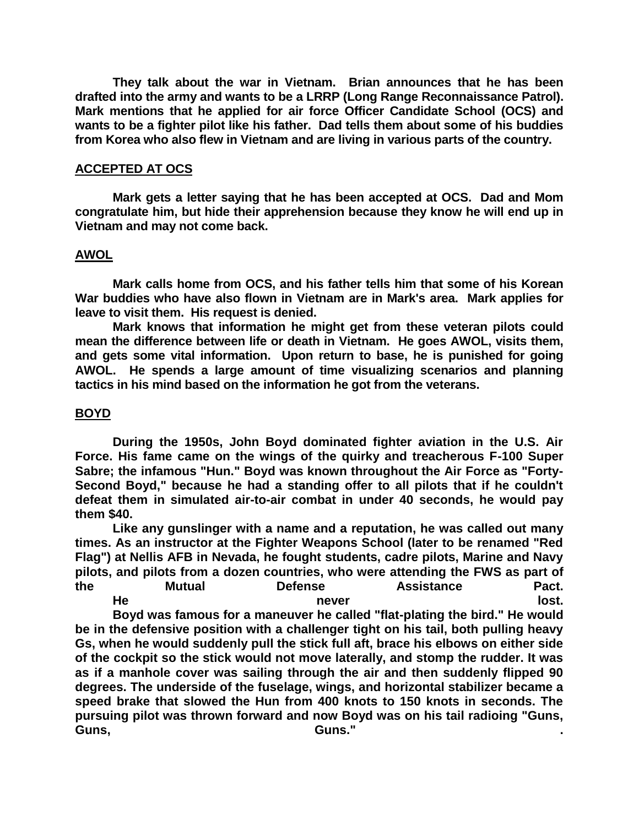**They talk about the war in Vietnam. Brian announces that he has been drafted into the army and wants to be a LRRP (Long Range Reconnaissance Patrol). Mark mentions that he applied for air force Officer Candidate School (OCS) and wants to be a fighter pilot like his father. Dad tells them about some of his buddies from Korea who also flew in Vietnam and are living in various parts of the country.**

#### **ACCEPTED AT OCS**

**Mark gets a letter saying that he has been accepted at OCS. Dad and Mom congratulate him, but hide their apprehension because they know he will end up in Vietnam and may not come back.**

## **AWOL**

**Mark calls home from OCS, and his father tells him that some of his Korean War buddies who have also flown in Vietnam are in Mark's area. Mark applies for leave to visit them. His request is denied.**

**Mark knows that information he might get from these veteran pilots could mean the difference between life or death in Vietnam. He goes AWOL, visits them, and gets some vital information. Upon return to base, he is punished for going AWOL. He spends a large amount of time visualizing scenarios and planning tactics in his mind based on the information he got from the veterans.**

## **BOYD**

**During the 1950s, John Boyd dominated fighter aviation in the U.S. Air Force. His fame came on the wings of the quirky and treacherous F-100 Super Sabre; the infamous "Hun." Boyd was known throughout the Air Force as "Forty-Second Boyd," because he had a standing offer to all pilots that if he couldn't defeat them in simulated air-to-air combat in under 40 seconds, he would pay them \$40.**

**Like any gunslinger with a name and a reputation, he was called out many times. As an instructor at the Fighter Weapons School (later to be renamed "Red Flag") at Nellis AFB in Nevada, he fought students, cadre pilots, Marine and Navy pilots, and pilots from a dozen countries, who were attending the FWS as part of the Mutual Defense Assistance Pact.** He **head is a set of the never** control of the lost. **Boyd was famous for a maneuver he called "flat-plating the bird." He would be in the defensive position with a challenger tight on his tail, both pulling heavy Gs, when he would suddenly pull the stick full aft, brace his elbows on either side of the cockpit so the stick would not move laterally, and stomp the rudder. It was as if a manhole cover was sailing through the air and then suddenly flipped 90 degrees. The underside of the fuselage, wings, and horizontal stabilizer became a speed brake that slowed the Hun from 400 knots to 150 knots in seconds. The pursuing pilot was thrown forward and now Boyd was on his tail radioing "Guns, Guns, Guns." .**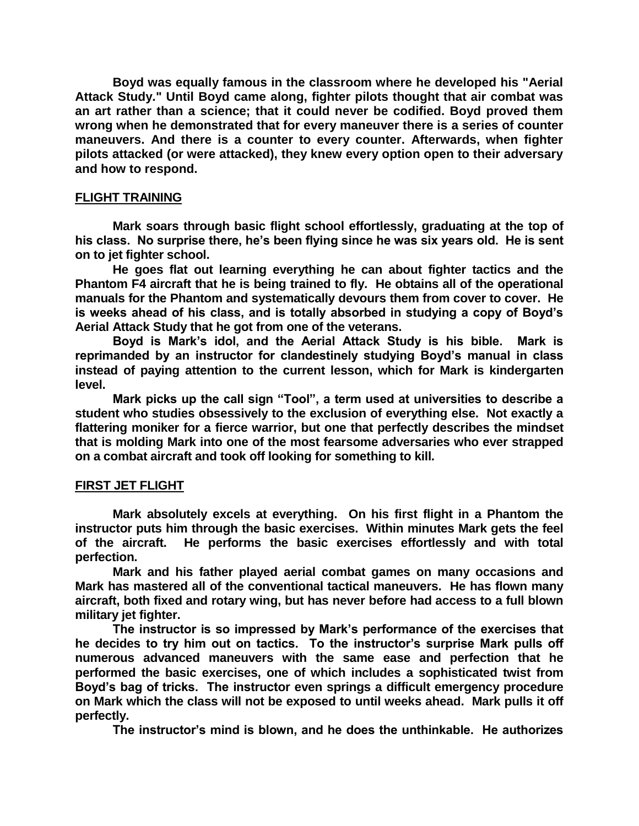**Boyd was equally famous in the classroom where he developed his "Aerial Attack Study." Until Boyd came along, fighter pilots thought that air combat was an art rather than a science; that it could never be codified. Boyd proved them wrong when he demonstrated that for every maneuver there is a series of counter maneuvers. And there is a counter to every counter. Afterwards, when fighter pilots attacked (or were attacked), they knew every option open to their adversary and how to respond.**

# **FLIGHT TRAINING**

**Mark soars through basic flight school effortlessly, graduating at the top of his class. No surprise there, he's been flying since he was six years old. He is sent on to jet fighter school.**

**He goes flat out learning everything he can about fighter tactics and the Phantom F4 aircraft that he is being trained to fly. He obtains all of the operational manuals for the Phantom and systematically devours them from cover to cover. He is weeks ahead of his class, and is totally absorbed in studying a copy of Boyd's Aerial Attack Study that he got from one of the veterans.**

**Boyd is Mark's idol, and the Aerial Attack Study is his bible. Mark is reprimanded by an instructor for clandestinely studying Boyd's manual in class instead of paying attention to the current lesson, which for Mark is kindergarten level.**

**Mark picks up the call sign "Tool", a term used at universities to describe a student who studies obsessively to the exclusion of everything else. Not exactly a flattering moniker for a fierce warrior, but one that perfectly describes the mindset that is molding Mark into one of the most fearsome adversaries who ever strapped on a combat aircraft and took off looking for something to kill.**

# **FIRST JET FLIGHT**

**Mark absolutely excels at everything. On his first flight in a Phantom the instructor puts him through the basic exercises. Within minutes Mark gets the feel of the aircraft. He performs the basic exercises effortlessly and with total perfection.**

**Mark and his father played aerial combat games on many occasions and Mark has mastered all of the conventional tactical maneuvers. He has flown many aircraft, both fixed and rotary wing, but has never before had access to a full blown military jet fighter.**

**The instructor is so impressed by Mark's performance of the exercises that he decides to try him out on tactics. To the instructor's surprise Mark pulls off numerous advanced maneuvers with the same ease and perfection that he performed the basic exercises, one of which includes a sophisticated twist from Boyd's bag of tricks. The instructor even springs a difficult emergency procedure on Mark which the class will not be exposed to until weeks ahead. Mark pulls it off perfectly.**

**The instructor's mind is blown, and he does the unthinkable. He authorizes**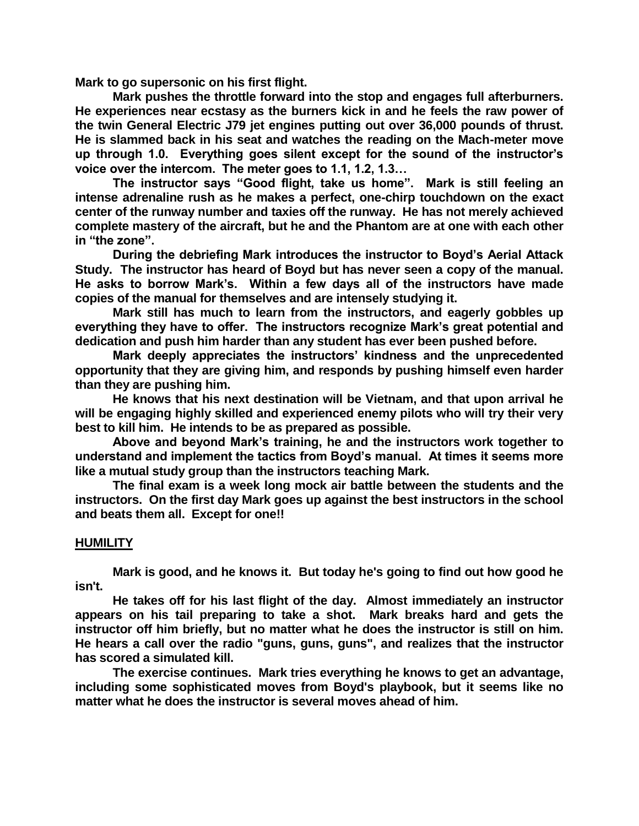**Mark to go supersonic on his first flight.**

**Mark pushes the throttle forward into the stop and engages full afterburners. He experiences near ecstasy as the burners kick in and he feels the raw power of the twin General Electric J79 jet engines putting out over 36,000 pounds of thrust. He is slammed back in his seat and watches the reading on the Mach-meter move up through 1.0. Everything goes silent except for the sound of the instructor's voice over the intercom. The meter goes to 1.1, 1.2, 1.3…**

**The instructor says "Good flight, take us home". Mark is still feeling an intense adrenaline rush as he makes a perfect, one-chirp touchdown on the exact center of the runway number and taxies off the runway. He has not merely achieved complete mastery of the aircraft, but he and the Phantom are at one with each other in "the zone".**

**During the debriefing Mark introduces the instructor to Boyd's Aerial Attack Study. The instructor has heard of Boyd but has never seen a copy of the manual. He asks to borrow Mark's. Within a few days all of the instructors have made copies of the manual for themselves and are intensely studying it.**

**Mark still has much to learn from the instructors, and eagerly gobbles up everything they have to offer. The instructors recognize Mark's great potential and dedication and push him harder than any student has ever been pushed before.**

**Mark deeply appreciates the instructors' kindness and the unprecedented opportunity that they are giving him, and responds by pushing himself even harder than they are pushing him.**

**He knows that his next destination will be Vietnam, and that upon arrival he will be engaging highly skilled and experienced enemy pilots who will try their very best to kill him. He intends to be as prepared as possible.**

**Above and beyond Mark's training, he and the instructors work together to understand and implement the tactics from Boyd's manual. At times it seems more like a mutual study group than the instructors teaching Mark.**

**The final exam is a week long mock air battle between the students and the instructors. On the first day Mark goes up against the best instructors in the school and beats them all. Except for one!!**

## **HUMILITY**

**Mark is good, and he knows it. But today he's going to find out how good he isn't.**

**He takes off for his last flight of the day. Almost immediately an instructor appears on his tail preparing to take a shot. Mark breaks hard and gets the instructor off him briefly, but no matter what he does the instructor is still on him. He hears a call over the radio "guns, guns, guns", and realizes that the instructor has scored a simulated kill.**

**The exercise continues. Mark tries everything he knows to get an advantage, including some sophisticated moves from Boyd's playbook, but it seems like no matter what he does the instructor is several moves ahead of him.**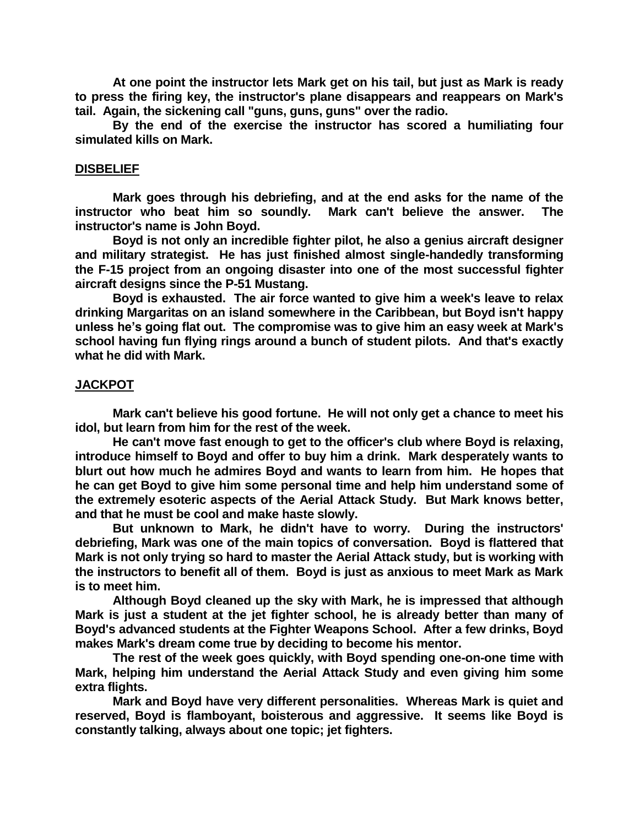**At one point the instructor lets Mark get on his tail, but just as Mark is ready to press the firing key, the instructor's plane disappears and reappears on Mark's tail. Again, the sickening call "guns, guns, guns" over the radio.**

**By the end of the exercise the instructor has scored a humiliating four simulated kills on Mark.**

#### **DISBELIEF**

**Mark goes through his debriefing, and at the end asks for the name of the instructor who beat him so soundly. Mark can't believe the answer. The instructor's name is John Boyd.**

**Boyd is not only an incredible fighter pilot, he also a genius aircraft designer and military strategist. He has just finished almost single-handedly transforming the F-15 project from an ongoing disaster into one of the most successful fighter aircraft designs since the P-51 Mustang.**

**Boyd is exhausted. The air force wanted to give him a week's leave to relax drinking Margaritas on an island somewhere in the Caribbean, but Boyd isn't happy unless he's going flat out. The compromise was to give him an easy week at Mark's school having fun flying rings around a bunch of student pilots. And that's exactly what he did with Mark.**

#### **JACKPOT**

**Mark can't believe his good fortune. He will not only get a chance to meet his idol, but learn from him for the rest of the week.**

**He can't move fast enough to get to the officer's club where Boyd is relaxing, introduce himself to Boyd and offer to buy him a drink. Mark desperately wants to blurt out how much he admires Boyd and wants to learn from him. He hopes that he can get Boyd to give him some personal time and help him understand some of the extremely esoteric aspects of the Aerial Attack Study. But Mark knows better, and that he must be cool and make haste slowly.**

**But unknown to Mark, he didn't have to worry. During the instructors' debriefing, Mark was one of the main topics of conversation. Boyd is flattered that Mark is not only trying so hard to master the Aerial Attack study, but is working with the instructors to benefit all of them. Boyd is just as anxious to meet Mark as Mark is to meet him.**

**Although Boyd cleaned up the sky with Mark, he is impressed that although Mark is just a student at the jet fighter school, he is already better than many of Boyd's advanced students at the Fighter Weapons School. After a few drinks, Boyd makes Mark's dream come true by deciding to become his mentor.**

**The rest of the week goes quickly, with Boyd spending one-on-one time with Mark, helping him understand the Aerial Attack Study and even giving him some extra flights.**

**Mark and Boyd have very different personalities. Whereas Mark is quiet and reserved, Boyd is flamboyant, boisterous and aggressive. It seems like Boyd is constantly talking, always about one topic; jet fighters.**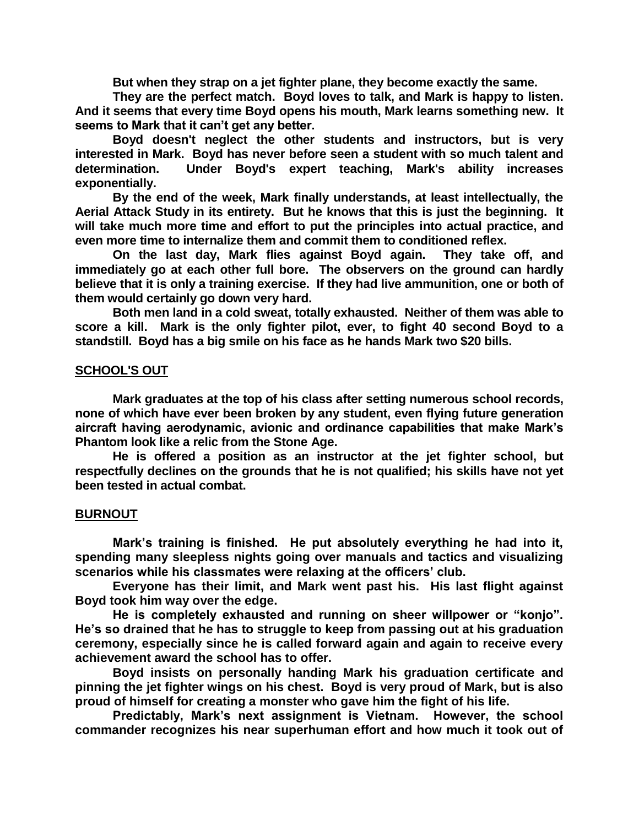**But when they strap on a jet fighter plane, they become exactly the same.**

**They are the perfect match. Boyd loves to talk, and Mark is happy to listen. And it seems that every time Boyd opens his mouth, Mark learns something new. It seems to Mark that it can't get any better.**

**Boyd doesn't neglect the other students and instructors, but is very interested in Mark. Boyd has never before seen a student with so much talent and determination. Under Boyd's expert teaching, Mark's ability increases exponentially.**

**By the end of the week, Mark finally understands, at least intellectually, the Aerial Attack Study in its entirety. But he knows that this is just the beginning. It will take much more time and effort to put the principles into actual practice, and even more time to internalize them and commit them to conditioned reflex.**

**On the last day, Mark flies against Boyd again. They take off, and immediately go at each other full bore. The observers on the ground can hardly believe that it is only a training exercise. If they had live ammunition, one or both of them would certainly go down very hard.**

**Both men land in a cold sweat, totally exhausted. Neither of them was able to score a kill. Mark is the only fighter pilot, ever, to fight 40 second Boyd to a standstill. Boyd has a big smile on his face as he hands Mark two \$20 bills.**

#### **SCHOOL'S OUT**

**Mark graduates at the top of his class after setting numerous school records, none of which have ever been broken by any student, even flying future generation aircraft having aerodynamic, avionic and ordinance capabilities that make Mark's Phantom look like a relic from the Stone Age.**

**He is offered a position as an instructor at the jet fighter school, but respectfully declines on the grounds that he is not qualified; his skills have not yet been tested in actual combat.**

#### **BURNOUT**

**Mark's training is finished. He put absolutely everything he had into it, spending many sleepless nights going over manuals and tactics and visualizing scenarios while his classmates were relaxing at the officers' club.**

**Everyone has their limit, and Mark went past his. His last flight against Boyd took him way over the edge.**

**He is completely exhausted and running on sheer willpower or "konjo". He's so drained that he has to struggle to keep from passing out at his graduation ceremony, especially since he is called forward again and again to receive every achievement award the school has to offer.**

**Boyd insists on personally handing Mark his graduation certificate and pinning the jet fighter wings on his chest. Boyd is very proud of Mark, but is also proud of himself for creating a monster who gave him the fight of his life.**

**Predictably, Mark's next assignment is Vietnam. However, the school commander recognizes his near superhuman effort and how much it took out of**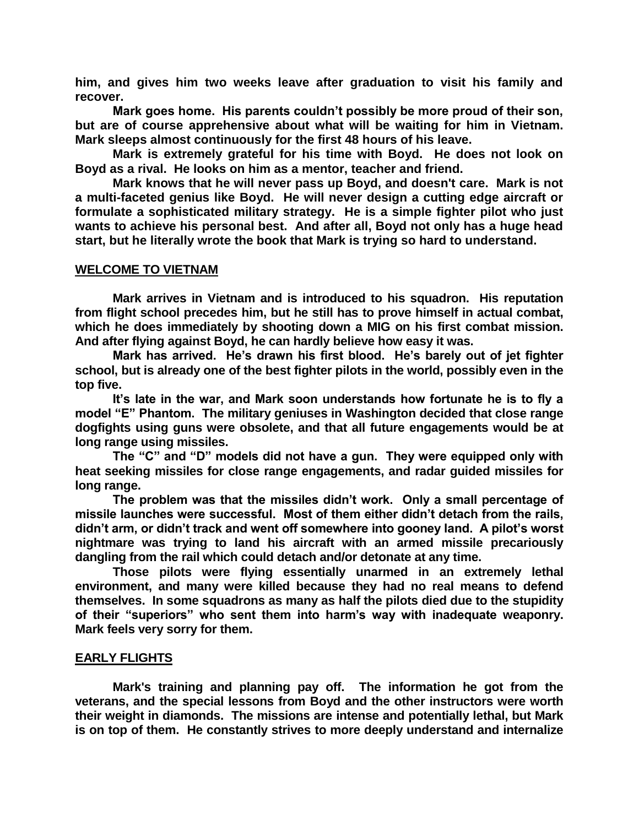**him, and gives him two weeks leave after graduation to visit his family and recover.**

**Mark goes home. His parents couldn't possibly be more proud of their son, but are of course apprehensive about what will be waiting for him in Vietnam. Mark sleeps almost continuously for the first 48 hours of his leave.**

**Mark is extremely grateful for his time with Boyd. He does not look on Boyd as a rival. He looks on him as a mentor, teacher and friend.**

**Mark knows that he will never pass up Boyd, and doesn't care. Mark is not a multi-faceted genius like Boyd. He will never design a cutting edge aircraft or formulate a sophisticated military strategy. He is a simple fighter pilot who just wants to achieve his personal best. And after all, Boyd not only has a huge head start, but he literally wrote the book that Mark is trying so hard to understand.**

#### **WELCOME TO VIETNAM**

**Mark arrives in Vietnam and is introduced to his squadron. His reputation from flight school precedes him, but he still has to prove himself in actual combat, which he does immediately by shooting down a MIG on his first combat mission. And after flying against Boyd, he can hardly believe how easy it was.**

**Mark has arrived. He's drawn his first blood. He's barely out of jet fighter school, but is already one of the best fighter pilots in the world, possibly even in the top five.**

**It's late in the war, and Mark soon understands how fortunate he is to fly a model "E" Phantom. The military geniuses in Washington decided that close range dogfights using guns were obsolete, and that all future engagements would be at long range using missiles.**

**The "C" and "D" models did not have a gun. They were equipped only with heat seeking missiles for close range engagements, and radar guided missiles for long range.**

**The problem was that the missiles didn't work. Only a small percentage of missile launches were successful. Most of them either didn't detach from the rails, didn't arm, or didn't track and went off somewhere into gooney land. A pilot's worst nightmare was trying to land his aircraft with an armed missile precariously dangling from the rail which could detach and/or detonate at any time.**

**Those pilots were flying essentially unarmed in an extremely lethal environment, and many were killed because they had no real means to defend themselves. In some squadrons as many as half the pilots died due to the stupidity of their "superiors" who sent them into harm's way with inadequate weaponry. Mark feels very sorry for them.**

## **EARLY FLIGHTS**

**Mark's training and planning pay off. The information he got from the veterans, and the special lessons from Boyd and the other instructors were worth their weight in diamonds. The missions are intense and potentially lethal, but Mark is on top of them. He constantly strives to more deeply understand and internalize**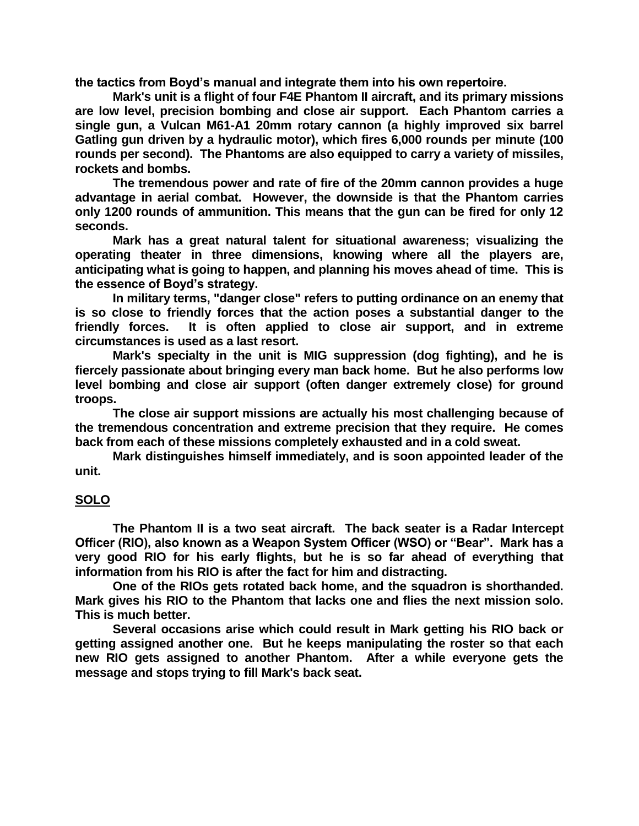**the tactics from Boyd's manual and integrate them into his own repertoire.**

**Mark's unit is a flight of four F4E Phantom II aircraft, and its primary missions are low level, precision bombing and close air support. Each Phantom carries a single gun, a Vulcan M61-A1 20mm rotary cannon (a highly improved six barrel Gatling gun driven by a hydraulic motor), which fires 6,000 rounds per minute (100 rounds per second). The Phantoms are also equipped to carry a variety of missiles, rockets and bombs.**

**The tremendous power and rate of fire of the 20mm cannon provides a huge advantage in aerial combat. However, the downside is that the Phantom carries only 1200 rounds of ammunition. This means that the gun can be fired for only 12 seconds.**

**Mark has a great natural talent for situational awareness; visualizing the operating theater in three dimensions, knowing where all the players are, anticipating what is going to happen, and planning his moves ahead of time. This is the essence of Boyd's strategy.**

**In military terms, "danger close" refers to putting ordinance on an enemy that is so close to friendly forces that the action poses a substantial danger to the friendly forces. It is often applied to close air support, and in extreme circumstances is used as a last resort.**

**Mark's specialty in the unit is MIG suppression (dog fighting), and he is fiercely passionate about bringing every man back home. But he also performs low level bombing and close air support (often danger extremely close) for ground troops.**

**The close air support missions are actually his most challenging because of the tremendous concentration and extreme precision that they require. He comes back from each of these missions completely exhausted and in a cold sweat.**

**Mark distinguishes himself immediately, and is soon appointed leader of the unit.**

## **SOLO**

**The Phantom II is a two seat aircraft. The back seater is a Radar Intercept Officer (RIO), also known as a Weapon System Officer (WSO) or "Bear". Mark has a very good RIO for his early flights, but he is so far ahead of everything that information from his RIO is after the fact for him and distracting.**

**One of the RIOs gets rotated back home, and the squadron is shorthanded. Mark gives his RIO to the Phantom that lacks one and flies the next mission solo. This is much better.**

**Several occasions arise which could result in Mark getting his RIO back or getting assigned another one. But he keeps manipulating the roster so that each new RIO gets assigned to another Phantom. After a while everyone gets the message and stops trying to fill Mark's back seat.**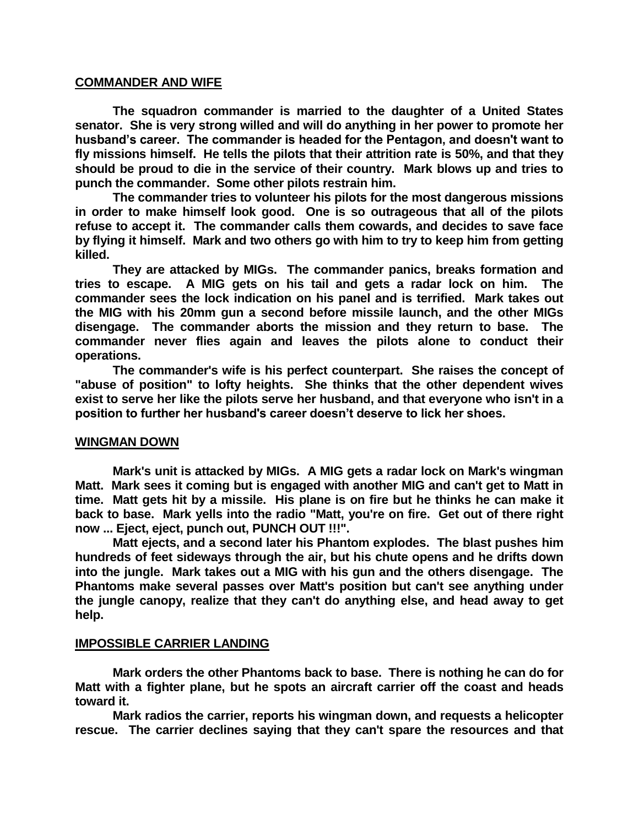#### **COMMANDER AND WIFE**

**The squadron commander is married to the daughter of a United States senator. She is very strong willed and will do anything in her power to promote her husband's career. The commander is headed for the Pentagon, and doesn't want to fly missions himself. He tells the pilots that their attrition rate is 50%, and that they should be proud to die in the service of their country. Mark blows up and tries to punch the commander. Some other pilots restrain him.**

**The commander tries to volunteer his pilots for the most dangerous missions in order to make himself look good. One is so outrageous that all of the pilots refuse to accept it. The commander calls them cowards, and decides to save face by flying it himself. Mark and two others go with him to try to keep him from getting killed.**

**They are attacked by MIGs. The commander panics, breaks formation and tries to escape. A MIG gets on his tail and gets a radar lock on him. The commander sees the lock indication on his panel and is terrified. Mark takes out the MIG with his 20mm gun a second before missile launch, and the other MIGs disengage. The commander aborts the mission and they return to base. The commander never flies again and leaves the pilots alone to conduct their operations.**

**The commander's wife is his perfect counterpart. She raises the concept of "abuse of position" to lofty heights. She thinks that the other dependent wives exist to serve her like the pilots serve her husband, and that everyone who isn't in a position to further her husband's career doesn't deserve to lick her shoes.**

## **WINGMAN DOWN**

**Mark's unit is attacked by MIGs. A MIG gets a radar lock on Mark's wingman Matt. Mark sees it coming but is engaged with another MIG and can't get to Matt in time. Matt gets hit by a missile. His plane is on fire but he thinks he can make it back to base. Mark yells into the radio "Matt, you're on fire. Get out of there right now ... Eject, eject, punch out, PUNCH OUT !!!".**

**Matt ejects, and a second later his Phantom explodes. The blast pushes him hundreds of feet sideways through the air, but his chute opens and he drifts down into the jungle. Mark takes out a MIG with his gun and the others disengage. The Phantoms make several passes over Matt's position but can't see anything under the jungle canopy, realize that they can't do anything else, and head away to get help.**

## **IMPOSSIBLE CARRIER LANDING**

**Mark orders the other Phantoms back to base. There is nothing he can do for Matt with a fighter plane, but he spots an aircraft carrier off the coast and heads toward it.**

**Mark radios the carrier, reports his wingman down, and requests a helicopter rescue. The carrier declines saying that they can't spare the resources and that**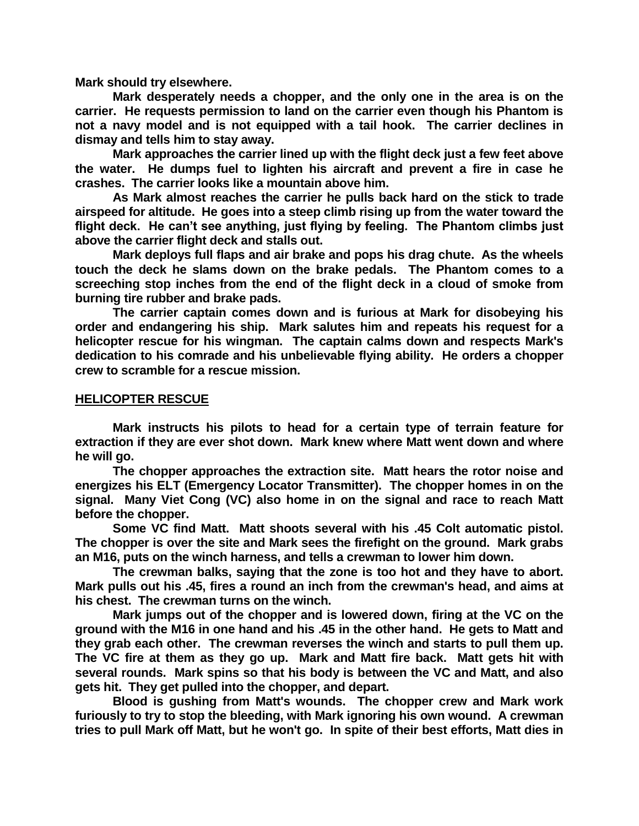**Mark should try elsewhere.**

**Mark desperately needs a chopper, and the only one in the area is on the carrier. He requests permission to land on the carrier even though his Phantom is not a navy model and is not equipped with a tail hook. The carrier declines in dismay and tells him to stay away.**

**Mark approaches the carrier lined up with the flight deck just a few feet above the water. He dumps fuel to lighten his aircraft and prevent a fire in case he crashes. The carrier looks like a mountain above him.**

**As Mark almost reaches the carrier he pulls back hard on the stick to trade airspeed for altitude. He goes into a steep climb rising up from the water toward the flight deck. He can't see anything, just flying by feeling. The Phantom climbs just above the carrier flight deck and stalls out.**

**Mark deploys full flaps and air brake and pops his drag chute. As the wheels touch the deck he slams down on the brake pedals. The Phantom comes to a screeching stop inches from the end of the flight deck in a cloud of smoke from burning tire rubber and brake pads.**

**The carrier captain comes down and is furious at Mark for disobeying his order and endangering his ship. Mark salutes him and repeats his request for a helicopter rescue for his wingman. The captain calms down and respects Mark's dedication to his comrade and his unbelievable flying ability. He orders a chopper crew to scramble for a rescue mission.**

## **HELICOPTER RESCUE**

**Mark instructs his pilots to head for a certain type of terrain feature for extraction if they are ever shot down. Mark knew where Matt went down and where he will go.**

**The chopper approaches the extraction site. Matt hears the rotor noise and energizes his ELT (Emergency Locator Transmitter). The chopper homes in on the signal. Many Viet Cong (VC) also home in on the signal and race to reach Matt before the chopper.**

**Some VC find Matt. Matt shoots several with his .45 Colt automatic pistol. The chopper is over the site and Mark sees the firefight on the ground. Mark grabs an M16, puts on the winch harness, and tells a crewman to lower him down.**

**The crewman balks, saying that the zone is too hot and they have to abort. Mark pulls out his .45, fires a round an inch from the crewman's head, and aims at his chest. The crewman turns on the winch.**

**Mark jumps out of the chopper and is lowered down, firing at the VC on the ground with the M16 in one hand and his .45 in the other hand. He gets to Matt and they grab each other. The crewman reverses the winch and starts to pull them up. The VC fire at them as they go up. Mark and Matt fire back. Matt gets hit with several rounds. Mark spins so that his body is between the VC and Matt, and also gets hit. They get pulled into the chopper, and depart.**

**Blood is gushing from Matt's wounds. The chopper crew and Mark work furiously to try to stop the bleeding, with Mark ignoring his own wound. A crewman tries to pull Mark off Matt, but he won't go. In spite of their best efforts, Matt dies in**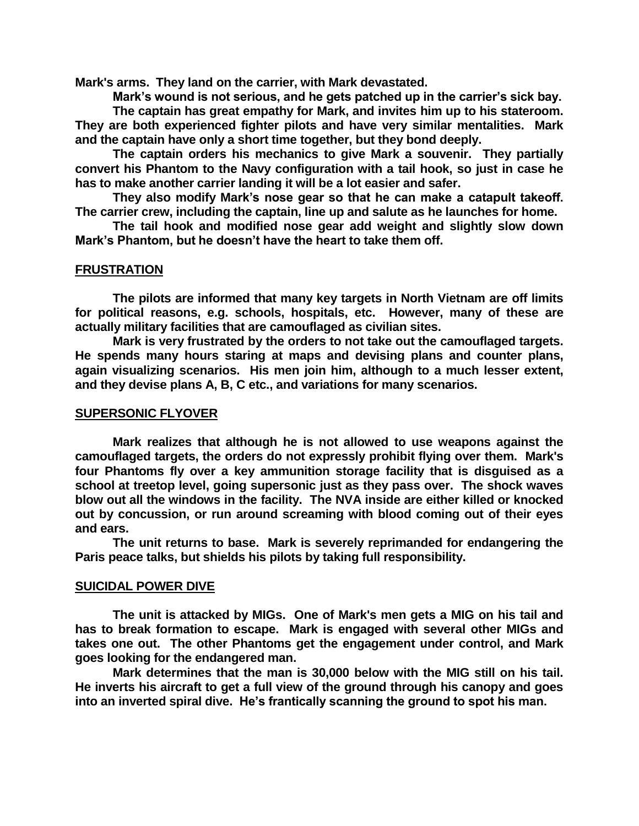**Mark's arms. They land on the carrier, with Mark devastated.**

**Mark's wound is not serious, and he gets patched up in the carrier's sick bay.**

**The captain has great empathy for Mark, and invites him up to his stateroom. They are both experienced fighter pilots and have very similar mentalities. Mark and the captain have only a short time together, but they bond deeply.**

**The captain orders his mechanics to give Mark a souvenir. They partially convert his Phantom to the Navy configuration with a tail hook, so just in case he has to make another carrier landing it will be a lot easier and safer.**

**They also modify Mark's nose gear so that he can make a catapult takeoff. The carrier crew, including the captain, line up and salute as he launches for home.**

**The tail hook and modified nose gear add weight and slightly slow down Mark's Phantom, but he doesn't have the heart to take them off.**

#### **FRUSTRATION**

**The pilots are informed that many key targets in North Vietnam are off limits for political reasons, e.g. schools, hospitals, etc. However, many of these are actually military facilities that are camouflaged as civilian sites.**

**Mark is very frustrated by the orders to not take out the camouflaged targets. He spends many hours staring at maps and devising plans and counter plans, again visualizing scenarios. His men join him, although to a much lesser extent, and they devise plans A, B, C etc., and variations for many scenarios.**

#### **SUPERSONIC FLYOVER**

**Mark realizes that although he is not allowed to use weapons against the camouflaged targets, the orders do not expressly prohibit flying over them. Mark's four Phantoms fly over a key ammunition storage facility that is disguised as a school at treetop level, going supersonic just as they pass over. The shock waves blow out all the windows in the facility. The NVA inside are either killed or knocked out by concussion, or run around screaming with blood coming out of their eyes and ears.**

**The unit returns to base. Mark is severely reprimanded for endangering the Paris peace talks, but shields his pilots by taking full responsibility.**

#### **SUICIDAL POWER DIVE**

**The unit is attacked by MIGs. One of Mark's men gets a MIG on his tail and has to break formation to escape. Mark is engaged with several other MIGs and takes one out. The other Phantoms get the engagement under control, and Mark goes looking for the endangered man.**

**Mark determines that the man is 30,000 below with the MIG still on his tail. He inverts his aircraft to get a full view of the ground through his canopy and goes into an inverted spiral dive. He's frantically scanning the ground to spot his man.**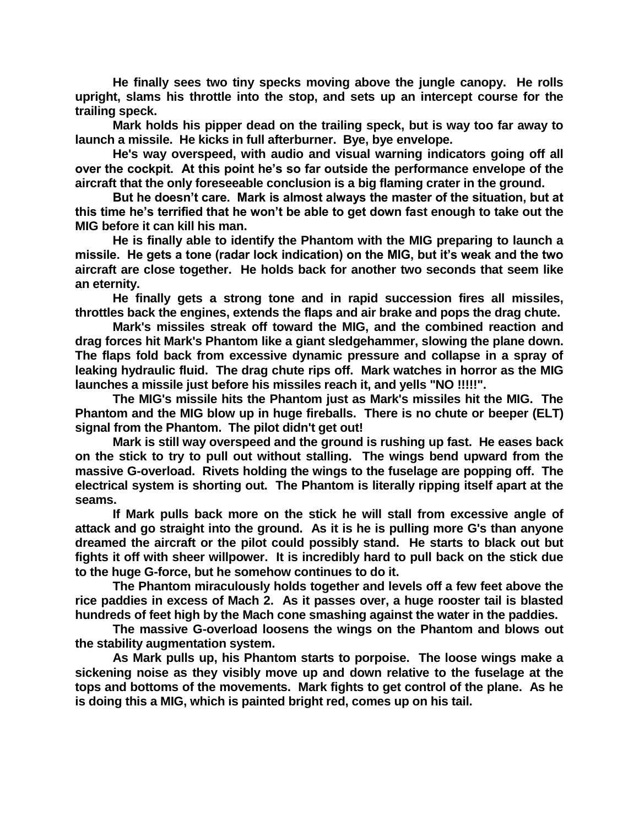**He finally sees two tiny specks moving above the jungle canopy. He rolls upright, slams his throttle into the stop, and sets up an intercept course for the trailing speck.**

**Mark holds his pipper dead on the trailing speck, but is way too far away to launch a missile. He kicks in full afterburner. Bye, bye envelope.** 

**He's way overspeed, with audio and visual warning indicators going off all over the cockpit. At this point he's so far outside the performance envelope of the aircraft that the only foreseeable conclusion is a big flaming crater in the ground.**

**But he doesn't care. Mark is almost always the master of the situation, but at this time he's terrified that he won't be able to get down fast enough to take out the MIG before it can kill his man.**

**He is finally able to identify the Phantom with the MIG preparing to launch a missile. He gets a tone (radar lock indication) on the MIG, but it's weak and the two aircraft are close together. He holds back for another two seconds that seem like an eternity.**

**He finally gets a strong tone and in rapid succession fires all missiles, throttles back the engines, extends the flaps and air brake and pops the drag chute.**

**Mark's missiles streak off toward the MIG, and the combined reaction and drag forces hit Mark's Phantom like a giant sledgehammer, slowing the plane down. The flaps fold back from excessive dynamic pressure and collapse in a spray of leaking hydraulic fluid. The drag chute rips off. Mark watches in horror as the MIG launches a missile just before his missiles reach it, and yells "NO !!!!!".**

**The MIG's missile hits the Phantom just as Mark's missiles hit the MIG. The Phantom and the MIG blow up in huge fireballs. There is no chute or beeper (ELT) signal from the Phantom. The pilot didn't get out!**

**Mark is still way overspeed and the ground is rushing up fast. He eases back on the stick to try to pull out without stalling. The wings bend upward from the massive G-overload. Rivets holding the wings to the fuselage are popping off. The electrical system is shorting out. The Phantom is literally ripping itself apart at the seams.**

**If Mark pulls back more on the stick he will stall from excessive angle of attack and go straight into the ground. As it is he is pulling more G's than anyone dreamed the aircraft or the pilot could possibly stand. He starts to black out but fights it off with sheer willpower. It is incredibly hard to pull back on the stick due to the huge G-force, but he somehow continues to do it.**

**The Phantom miraculously holds together and levels off a few feet above the rice paddies in excess of Mach 2. As it passes over, a huge rooster tail is blasted hundreds of feet high by the Mach cone smashing against the water in the paddies.**

**The massive G-overload loosens the wings on the Phantom and blows out the stability augmentation system.**

**As Mark pulls up, his Phantom starts to porpoise. The loose wings make a sickening noise as they visibly move up and down relative to the fuselage at the tops and bottoms of the movements. Mark fights to get control of the plane. As he is doing this a MIG, which is painted bright red, comes up on his tail.**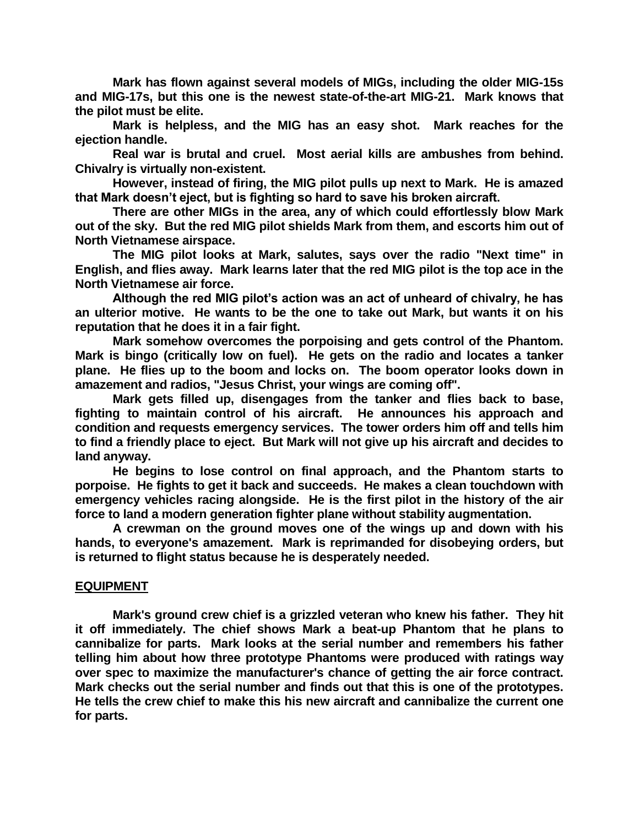**Mark has flown against several models of MIGs, including the older MIG-15s and MIG-17s, but this one is the newest state-of-the-art MIG-21. Mark knows that the pilot must be elite.**

**Mark is helpless, and the MIG has an easy shot. Mark reaches for the ejection handle.**

**Real war is brutal and cruel. Most aerial kills are ambushes from behind. Chivalry is virtually non-existent.**

**However, instead of firing, the MIG pilot pulls up next to Mark. He is amazed that Mark doesn't eject, but is fighting so hard to save his broken aircraft.**

**There are other MIGs in the area, any of which could effortlessly blow Mark out of the sky. But the red MIG pilot shields Mark from them, and escorts him out of North Vietnamese airspace.**

**The MIG pilot looks at Mark, salutes, says over the radio "Next time" in English, and flies away. Mark learns later that the red MIG pilot is the top ace in the North Vietnamese air force.**

**Although the red MIG pilot's action was an act of unheard of chivalry, he has an ulterior motive. He wants to be the one to take out Mark, but wants it on his reputation that he does it in a fair fight.**

**Mark somehow overcomes the porpoising and gets control of the Phantom. Mark is bingo (critically low on fuel). He gets on the radio and locates a tanker plane. He flies up to the boom and locks on. The boom operator looks down in amazement and radios, "Jesus Christ, your wings are coming off".**

**Mark gets filled up, disengages from the tanker and flies back to base, fighting to maintain control of his aircraft. He announces his approach and condition and requests emergency services. The tower orders him off and tells him to find a friendly place to eject. But Mark will not give up his aircraft and decides to land anyway.**

**He begins to lose control on final approach, and the Phantom starts to porpoise. He fights to get it back and succeeds. He makes a clean touchdown with emergency vehicles racing alongside. He is the first pilot in the history of the air force to land a modern generation fighter plane without stability augmentation.**

**A crewman on the ground moves one of the wings up and down with his hands, to everyone's amazement. Mark is reprimanded for disobeying orders, but is returned to flight status because he is desperately needed.**

## **EQUIPMENT**

**Mark's ground crew chief is a grizzled veteran who knew his father. They hit it off immediately. The chief shows Mark a beat-up Phantom that he plans to cannibalize for parts. Mark looks at the serial number and remembers his father telling him about how three prototype Phantoms were produced with ratings way over spec to maximize the manufacturer's chance of getting the air force contract. Mark checks out the serial number and finds out that this is one of the prototypes. He tells the crew chief to make this his new aircraft and cannibalize the current one for parts.**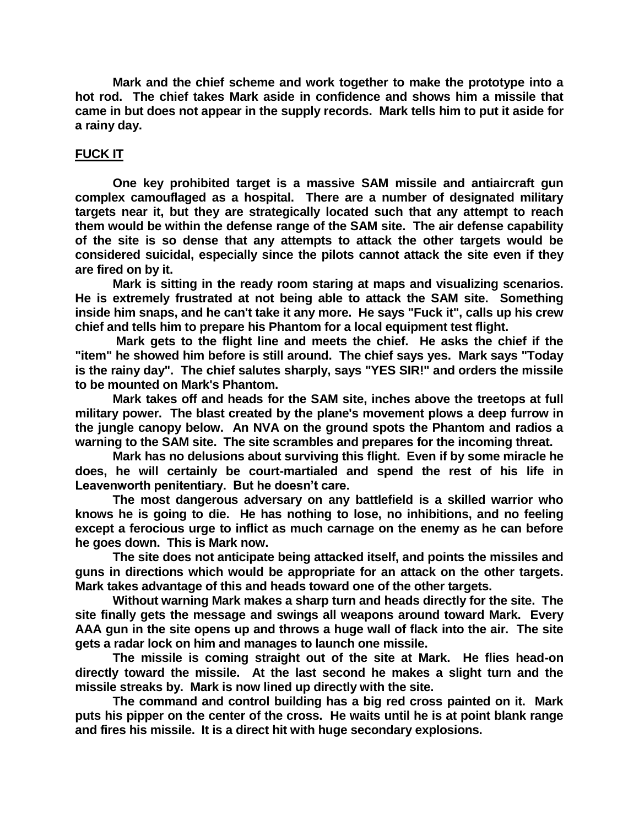**Mark and the chief scheme and work together to make the prototype into a hot rod. The chief takes Mark aside in confidence and shows him a missile that came in but does not appear in the supply records. Mark tells him to put it aside for a rainy day.**

# **FUCK IT**

**One key prohibited target is a massive SAM missile and antiaircraft gun complex camouflaged as a hospital. There are a number of designated military targets near it, but they are strategically located such that any attempt to reach them would be within the defense range of the SAM site. The air defense capability of the site is so dense that any attempts to attack the other targets would be considered suicidal, especially since the pilots cannot attack the site even if they are fired on by it.**

**Mark is sitting in the ready room staring at maps and visualizing scenarios. He is extremely frustrated at not being able to attack the SAM site. Something inside him snaps, and he can't take it any more. He says "Fuck it", calls up his crew chief and tells him to prepare his Phantom for a local equipment test flight.**

**Mark gets to the flight line and meets the chief. He asks the chief if the "item" he showed him before is still around. The chief says yes. Mark says "Today is the rainy day". The chief salutes sharply, says "YES SIR!" and orders the missile to be mounted on Mark's Phantom.**

**Mark takes off and heads for the SAM site, inches above the treetops at full military power. The blast created by the plane's movement plows a deep furrow in the jungle canopy below. An NVA on the ground spots the Phantom and radios a warning to the SAM site. The site scrambles and prepares for the incoming threat.**

**Mark has no delusions about surviving this flight. Even if by some miracle he does, he will certainly be court-martialed and spend the rest of his life in Leavenworth penitentiary. But he doesn't care.**

**The most dangerous adversary on any battlefield is a skilled warrior who knows he is going to die. He has nothing to lose, no inhibitions, and no feeling except a ferocious urge to inflict as much carnage on the enemy as he can before he goes down. This is Mark now.**

**The site does not anticipate being attacked itself, and points the missiles and guns in directions which would be appropriate for an attack on the other targets. Mark takes advantage of this and heads toward one of the other targets.**

**Without warning Mark makes a sharp turn and heads directly for the site. The site finally gets the message and swings all weapons around toward Mark. Every AAA gun in the site opens up and throws a huge wall of flack into the air. The site gets a radar lock on him and manages to launch one missile.**

**The missile is coming straight out of the site at Mark. He flies head-on directly toward the missile. At the last second he makes a slight turn and the missile streaks by. Mark is now lined up directly with the site.**

**The command and control building has a big red cross painted on it. Mark puts his pipper on the center of the cross. He waits until he is at point blank range and fires his missile. It is a direct hit with huge secondary explosions.**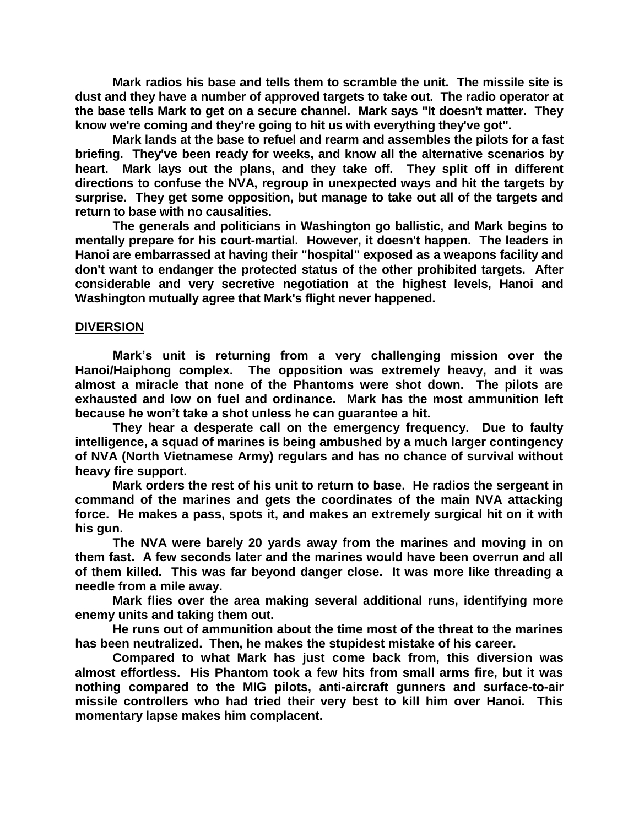**Mark radios his base and tells them to scramble the unit. The missile site is dust and they have a number of approved targets to take out. The radio operator at the base tells Mark to get on a secure channel. Mark says "It doesn't matter. They know we're coming and they're going to hit us with everything they've got".**

**Mark lands at the base to refuel and rearm and assembles the pilots for a fast briefing. They've been ready for weeks, and know all the alternative scenarios by heart. Mark lays out the plans, and they take off. They split off in different directions to confuse the NVA, regroup in unexpected ways and hit the targets by surprise. They get some opposition, but manage to take out all of the targets and return to base with no causalities.**

**The generals and politicians in Washington go ballistic, and Mark begins to mentally prepare for his court-martial. However, it doesn't happen. The leaders in Hanoi are embarrassed at having their "hospital" exposed as a weapons facility and don't want to endanger the protected status of the other prohibited targets. After considerable and very secretive negotiation at the highest levels, Hanoi and Washington mutually agree that Mark's flight never happened.**

#### **DIVERSION**

**Mark's unit is returning from a very challenging mission over the Hanoi/Haiphong complex. The opposition was extremely heavy, and it was almost a miracle that none of the Phantoms were shot down. The pilots are exhausted and low on fuel and ordinance. Mark has the most ammunition left because he won't take a shot unless he can guarantee a hit.**

**They hear a desperate call on the emergency frequency. Due to faulty intelligence, a squad of marines is being ambushed by a much larger contingency of NVA (North Vietnamese Army) regulars and has no chance of survival without heavy fire support.**

**Mark orders the rest of his unit to return to base. He radios the sergeant in command of the marines and gets the coordinates of the main NVA attacking force. He makes a pass, spots it, and makes an extremely surgical hit on it with his gun.**

**The NVA were barely 20 yards away from the marines and moving in on them fast. A few seconds later and the marines would have been overrun and all of them killed. This was far beyond danger close. It was more like threading a needle from a mile away.**

**Mark flies over the area making several additional runs, identifying more enemy units and taking them out.**

**He runs out of ammunition about the time most of the threat to the marines has been neutralized. Then, he makes the stupidest mistake of his career.**

**Compared to what Mark has just come back from, this diversion was almost effortless. His Phantom took a few hits from small arms fire, but it was nothing compared to the MIG pilots, anti-aircraft gunners and surface-to-air missile controllers who had tried their very best to kill him over Hanoi. This momentary lapse makes him complacent.**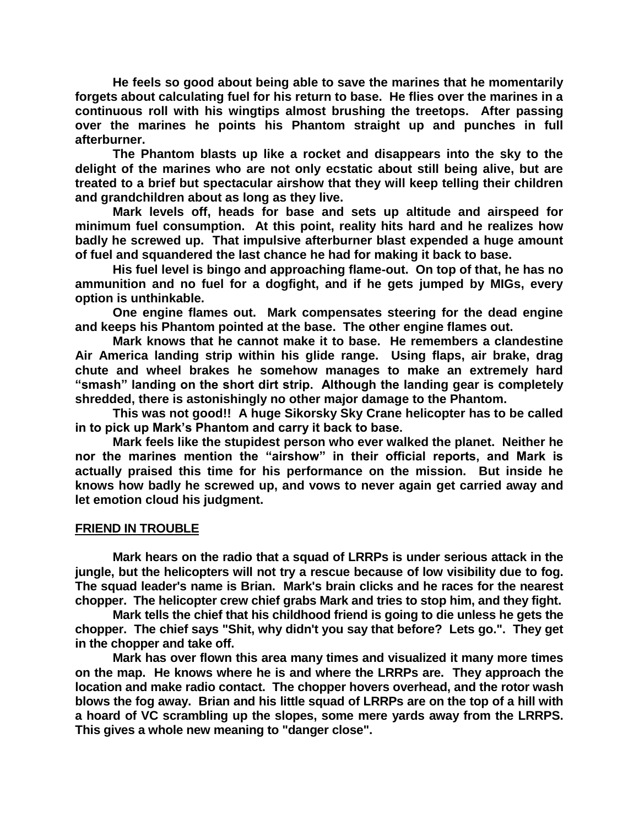**He feels so good about being able to save the marines that he momentarily forgets about calculating fuel for his return to base. He flies over the marines in a continuous roll with his wingtips almost brushing the treetops. After passing over the marines he points his Phantom straight up and punches in full afterburner.**

**The Phantom blasts up like a rocket and disappears into the sky to the delight of the marines who are not only ecstatic about still being alive, but are treated to a brief but spectacular airshow that they will keep telling their children and grandchildren about as long as they live.**

**Mark levels off, heads for base and sets up altitude and airspeed for minimum fuel consumption. At this point, reality hits hard and he realizes how badly he screwed up. That impulsive afterburner blast expended a huge amount of fuel and squandered the last chance he had for making it back to base.**

**His fuel level is bingo and approaching flame-out. On top of that, he has no ammunition and no fuel for a dogfight, and if he gets jumped by MIGs, every option is unthinkable.**

**One engine flames out. Mark compensates steering for the dead engine and keeps his Phantom pointed at the base. The other engine flames out.**

**Mark knows that he cannot make it to base. He remembers a clandestine Air America landing strip within his glide range. Using flaps, air brake, drag chute and wheel brakes he somehow manages to make an extremely hard "smash" landing on the short dirt strip. Although the landing gear is completely shredded, there is astonishingly no other major damage to the Phantom.**

**This was not good!! A huge Sikorsky Sky Crane helicopter has to be called in to pick up Mark's Phantom and carry it back to base.**

**Mark feels like the stupidest person who ever walked the planet. Neither he nor the marines mention the "airshow" in their official reports, and Mark is actually praised this time for his performance on the mission. But inside he knows how badly he screwed up, and vows to never again get carried away and let emotion cloud his judgment.**

## **FRIEND IN TROUBLE**

**Mark hears on the radio that a squad of LRRPs is under serious attack in the jungle, but the helicopters will not try a rescue because of low visibility due to fog. The squad leader's name is Brian. Mark's brain clicks and he races for the nearest chopper. The helicopter crew chief grabs Mark and tries to stop him, and they fight.**

**Mark tells the chief that his childhood friend is going to die unless he gets the chopper. The chief says "Shit, why didn't you say that before? Lets go.". They get in the chopper and take off.**

**Mark has over flown this area many times and visualized it many more times on the map. He knows where he is and where the LRRPs are. They approach the location and make radio contact. The chopper hovers overhead, and the rotor wash blows the fog away. Brian and his little squad of LRRPs are on the top of a hill with a hoard of VC scrambling up the slopes, some mere yards away from the LRRPS. This gives a whole new meaning to "danger close".**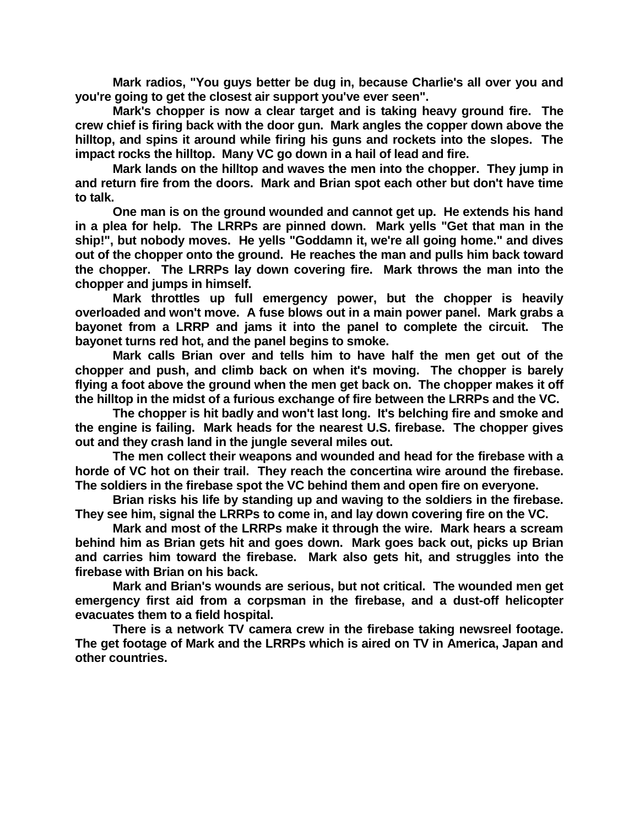**Mark radios, "You guys better be dug in, because Charlie's all over you and you're going to get the closest air support you've ever seen".** 

**Mark's chopper is now a clear target and is taking heavy ground fire. The crew chief is firing back with the door gun. Mark angles the copper down above the hilltop, and spins it around while firing his guns and rockets into the slopes. The impact rocks the hilltop. Many VC go down in a hail of lead and fire.**

**Mark lands on the hilltop and waves the men into the chopper. They jump in and return fire from the doors. Mark and Brian spot each other but don't have time to talk.**

**One man is on the ground wounded and cannot get up. He extends his hand in a plea for help. The LRRPs are pinned down. Mark yells "Get that man in the ship!", but nobody moves. He yells "Goddamn it, we're all going home." and dives out of the chopper onto the ground. He reaches the man and pulls him back toward the chopper. The LRRPs lay down covering fire. Mark throws the man into the chopper and jumps in himself.**

**Mark throttles up full emergency power, but the chopper is heavily overloaded and won't move. A fuse blows out in a main power panel. Mark grabs a bayonet from a LRRP and jams it into the panel to complete the circuit. The bayonet turns red hot, and the panel begins to smoke.**

**Mark calls Brian over and tells him to have half the men get out of the chopper and push, and climb back on when it's moving. The chopper is barely flying a foot above the ground when the men get back on. The chopper makes it off the hilltop in the midst of a furious exchange of fire between the LRRPs and the VC.**

**The chopper is hit badly and won't last long. It's belching fire and smoke and the engine is failing. Mark heads for the nearest U.S. firebase. The chopper gives out and they crash land in the jungle several miles out.**

**The men collect their weapons and wounded and head for the firebase with a horde of VC hot on their trail. They reach the concertina wire around the firebase. The soldiers in the firebase spot the VC behind them and open fire on everyone.** 

**Brian risks his life by standing up and waving to the soldiers in the firebase. They see him, signal the LRRPs to come in, and lay down covering fire on the VC.**

**Mark and most of the LRRPs make it through the wire. Mark hears a scream behind him as Brian gets hit and goes down. Mark goes back out, picks up Brian and carries him toward the firebase. Mark also gets hit, and struggles into the firebase with Brian on his back.**

**Mark and Brian's wounds are serious, but not critical. The wounded men get emergency first aid from a corpsman in the firebase, and a dust-off helicopter evacuates them to a field hospital.**

**There is a network TV camera crew in the firebase taking newsreel footage. The get footage of Mark and the LRRPs which is aired on TV in America, Japan and other countries.**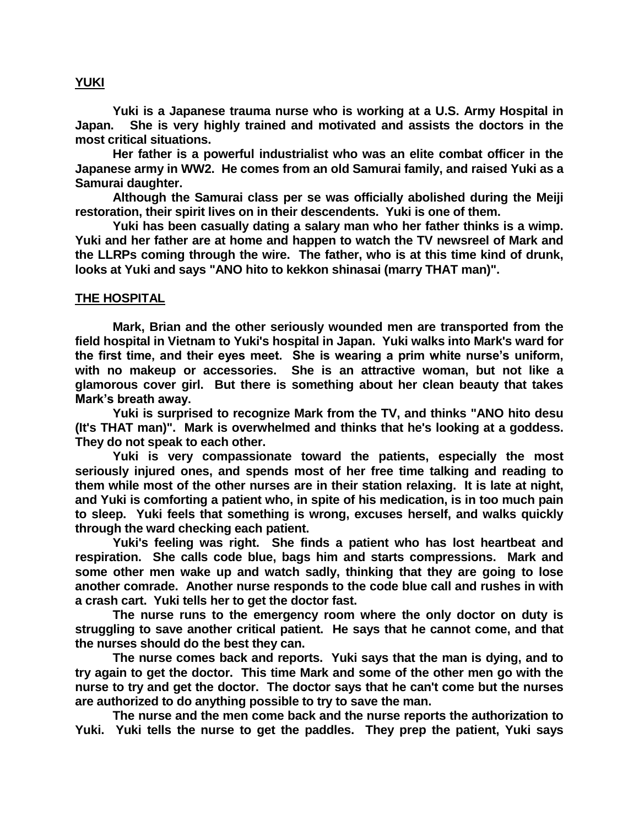#### **YUKI**

**Yuki is a Japanese trauma nurse who is working at a U.S. Army Hospital in Japan. She is very highly trained and motivated and assists the doctors in the most critical situations.**

**Her father is a powerful industrialist who was an elite combat officer in the Japanese army in WW2. He comes from an old Samurai family, and raised Yuki as a Samurai daughter.**

**Although the Samurai class per se was officially abolished during the Meiji restoration, their spirit lives on in their descendents. Yuki is one of them.**

**Yuki has been casually dating a salary man who her father thinks is a wimp. Yuki and her father are at home and happen to watch the TV newsreel of Mark and the LLRPs coming through the wire. The father, who is at this time kind of drunk, looks at Yuki and says "ANO hito to kekkon shinasai (marry THAT man)".**

#### **THE HOSPITAL**

**Mark, Brian and the other seriously wounded men are transported from the field hospital in Vietnam to Yuki's hospital in Japan. Yuki walks into Mark's ward for the first time, and their eyes meet. She is wearing a prim white nurse's uniform, with no makeup or accessories. She is an attractive woman, but not like a glamorous cover girl. But there is something about her clean beauty that takes Mark's breath away.**

**Yuki is surprised to recognize Mark from the TV, and thinks "ANO hito desu (It's THAT man)". Mark is overwhelmed and thinks that he's looking at a goddess. They do not speak to each other.**

**Yuki is very compassionate toward the patients, especially the most seriously injured ones, and spends most of her free time talking and reading to them while most of the other nurses are in their station relaxing. It is late at night, and Yuki is comforting a patient who, in spite of his medication, is in too much pain to sleep. Yuki feels that something is wrong, excuses herself, and walks quickly through the ward checking each patient.**

**Yuki's feeling was right. She finds a patient who has lost heartbeat and respiration. She calls code blue, bags him and starts compressions. Mark and some other men wake up and watch sadly, thinking that they are going to lose another comrade. Another nurse responds to the code blue call and rushes in with a crash cart. Yuki tells her to get the doctor fast.**

**The nurse runs to the emergency room where the only doctor on duty is struggling to save another critical patient. He says that he cannot come, and that the nurses should do the best they can.** 

**The nurse comes back and reports. Yuki says that the man is dying, and to try again to get the doctor. This time Mark and some of the other men go with the nurse to try and get the doctor. The doctor says that he can't come but the nurses are authorized to do anything possible to try to save the man.**

**The nurse and the men come back and the nurse reports the authorization to Yuki. Yuki tells the nurse to get the paddles. They prep the patient, Yuki says**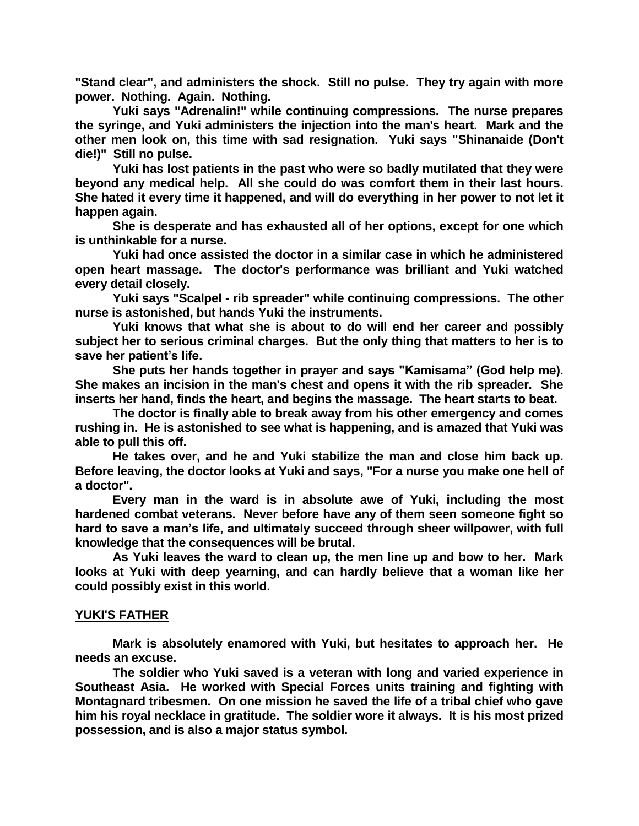**"Stand clear", and administers the shock. Still no pulse. They try again with more power. Nothing. Again. Nothing.**

**Yuki says "Adrenalin!" while continuing compressions. The nurse prepares the syringe, and Yuki administers the injection into the man's heart. Mark and the other men look on, this time with sad resignation. Yuki says "Shinanaide (Don't die!)" Still no pulse.**

**Yuki has lost patients in the past who were so badly mutilated that they were beyond any medical help. All she could do was comfort them in their last hours. She hated it every time it happened, and will do everything in her power to not let it happen again.**

**She is desperate and has exhausted all of her options, except for one which is unthinkable for a nurse.**

**Yuki had once assisted the doctor in a similar case in which he administered open heart massage. The doctor's performance was brilliant and Yuki watched every detail closely.**

**Yuki says "Scalpel - rib spreader" while continuing compressions. The other nurse is astonished, but hands Yuki the instruments.**

**Yuki knows that what she is about to do will end her career and possibly subject her to serious criminal charges. But the only thing that matters to her is to save her patient's life.**

**She puts her hands together in prayer and says "Kamisama" (God help me). She makes an incision in the man's chest and opens it with the rib spreader. She inserts her hand, finds the heart, and begins the massage. The heart starts to beat.**

**The doctor is finally able to break away from his other emergency and comes rushing in. He is astonished to see what is happening, and is amazed that Yuki was able to pull this off.**

**He takes over, and he and Yuki stabilize the man and close him back up. Before leaving, the doctor looks at Yuki and says, "For a nurse you make one hell of a doctor".**

**Every man in the ward is in absolute awe of Yuki, including the most hardened combat veterans. Never before have any of them seen someone fight so hard to save a man's life, and ultimately succeed through sheer willpower, with full knowledge that the consequences will be brutal.**

**As Yuki leaves the ward to clean up, the men line up and bow to her. Mark looks at Yuki with deep yearning, and can hardly believe that a woman like her could possibly exist in this world.**

## **YUKI'S FATHER**

**Mark is absolutely enamored with Yuki, but hesitates to approach her. He needs an excuse.**

**The soldier who Yuki saved is a veteran with long and varied experience in Southeast Asia. He worked with Special Forces units training and fighting with Montagnard tribesmen. On one mission he saved the life of a tribal chief who gave him his royal necklace in gratitude. The soldier wore it always. It is his most prized possession, and is also a major status symbol.**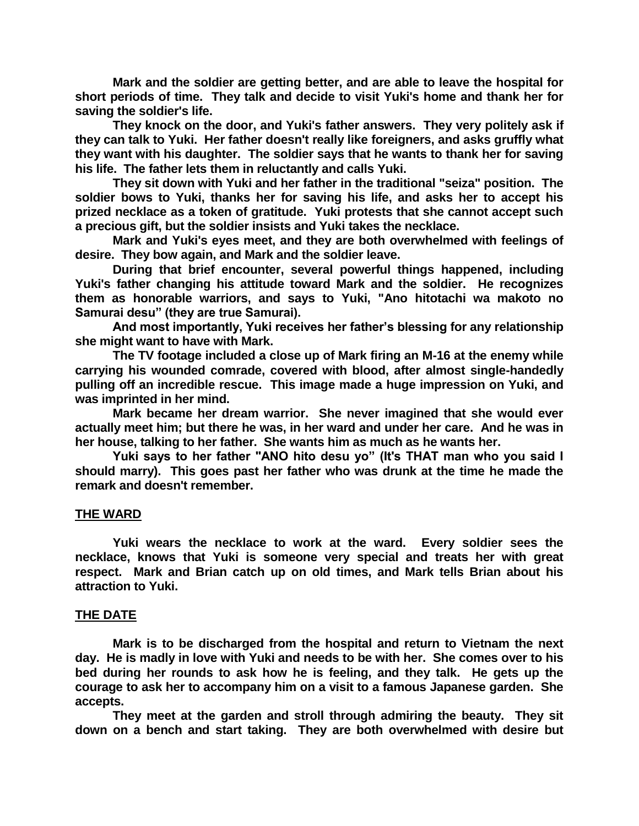**Mark and the soldier are getting better, and are able to leave the hospital for short periods of time. They talk and decide to visit Yuki's home and thank her for saving the soldier's life.**

**They knock on the door, and Yuki's father answers. They very politely ask if they can talk to Yuki. Her father doesn't really like foreigners, and asks gruffly what they want with his daughter. The soldier says that he wants to thank her for saving his life. The father lets them in reluctantly and calls Yuki.**

**They sit down with Yuki and her father in the traditional "seiza" position. The soldier bows to Yuki, thanks her for saving his life, and asks her to accept his prized necklace as a token of gratitude. Yuki protests that she cannot accept such a precious gift, but the soldier insists and Yuki takes the necklace.**

**Mark and Yuki's eyes meet, and they are both overwhelmed with feelings of desire. They bow again, and Mark and the soldier leave.**

**During that brief encounter, several powerful things happened, including Yuki's father changing his attitude toward Mark and the soldier. He recognizes them as honorable warriors, and says to Yuki, "Ano hitotachi wa makoto no Samurai desu" (they are true Samurai).**

**And most importantly, Yuki receives her father's blessing for any relationship she might want to have with Mark.**

**The TV footage included a close up of Mark firing an M-16 at the enemy while carrying his wounded comrade, covered with blood, after almost single-handedly pulling off an incredible rescue. This image made a huge impression on Yuki, and was imprinted in her mind.**

**Mark became her dream warrior. She never imagined that she would ever actually meet him; but there he was, in her ward and under her care. And he was in her house, talking to her father. She wants him as much as he wants her.**

**Yuki says to her father "ANO hito desu yo" (It's THAT man who you said I should marry). This goes past her father who was drunk at the time he made the remark and doesn't remember.**

## **THE WARD**

**Yuki wears the necklace to work at the ward. Every soldier sees the necklace, knows that Yuki is someone very special and treats her with great respect. Mark and Brian catch up on old times, and Mark tells Brian about his attraction to Yuki.**

## **THE DATE**

**Mark is to be discharged from the hospital and return to Vietnam the next day. He is madly in love with Yuki and needs to be with her. She comes over to his bed during her rounds to ask how he is feeling, and they talk. He gets up the courage to ask her to accompany him on a visit to a famous Japanese garden. She accepts.**

**They meet at the garden and stroll through admiring the beauty. They sit down on a bench and start taking. They are both overwhelmed with desire but**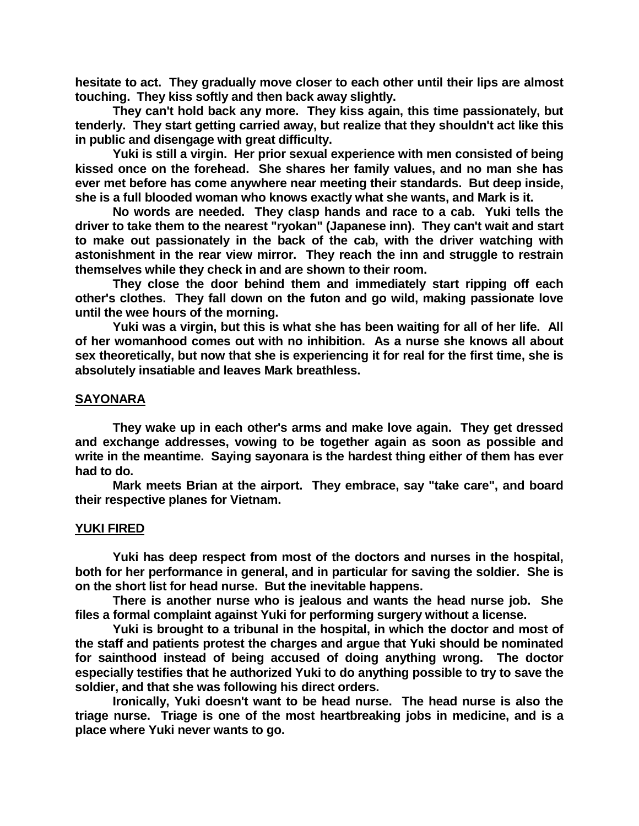**hesitate to act. They gradually move closer to each other until their lips are almost touching. They kiss softly and then back away slightly.**

**They can't hold back any more. They kiss again, this time passionately, but tenderly. They start getting carried away, but realize that they shouldn't act like this in public and disengage with great difficulty.**

**Yuki is still a virgin. Her prior sexual experience with men consisted of being kissed once on the forehead. She shares her family values, and no man she has ever met before has come anywhere near meeting their standards. But deep inside, she is a full blooded woman who knows exactly what she wants, and Mark is it.**

**No words are needed. They clasp hands and race to a cab. Yuki tells the driver to take them to the nearest "ryokan" (Japanese inn). They can't wait and start to make out passionately in the back of the cab, with the driver watching with astonishment in the rear view mirror. They reach the inn and struggle to restrain themselves while they check in and are shown to their room.**

**They close the door behind them and immediately start ripping off each other's clothes. They fall down on the futon and go wild, making passionate love until the wee hours of the morning.**

**Yuki was a virgin, but this is what she has been waiting for all of her life. All of her womanhood comes out with no inhibition. As a nurse she knows all about sex theoretically, but now that she is experiencing it for real for the first time, she is absolutely insatiable and leaves Mark breathless.**

#### **SAYONARA**

**They wake up in each other's arms and make love again. They get dressed and exchange addresses, vowing to be together again as soon as possible and write in the meantime. Saying sayonara is the hardest thing either of them has ever had to do.**

**Mark meets Brian at the airport. They embrace, say "take care", and board their respective planes for Vietnam.**

#### **YUKI FIRED**

**Yuki has deep respect from most of the doctors and nurses in the hospital, both for her performance in general, and in particular for saving the soldier. She is on the short list for head nurse. But the inevitable happens.**

**There is another nurse who is jealous and wants the head nurse job. She files a formal complaint against Yuki for performing surgery without a license.**

**Yuki is brought to a tribunal in the hospital, in which the doctor and most of the staff and patients protest the charges and argue that Yuki should be nominated for sainthood instead of being accused of doing anything wrong. The doctor especially testifies that he authorized Yuki to do anything possible to try to save the soldier, and that she was following his direct orders.**

**Ironically, Yuki doesn't want to be head nurse. The head nurse is also the triage nurse. Triage is one of the most heartbreaking jobs in medicine, and is a place where Yuki never wants to go.**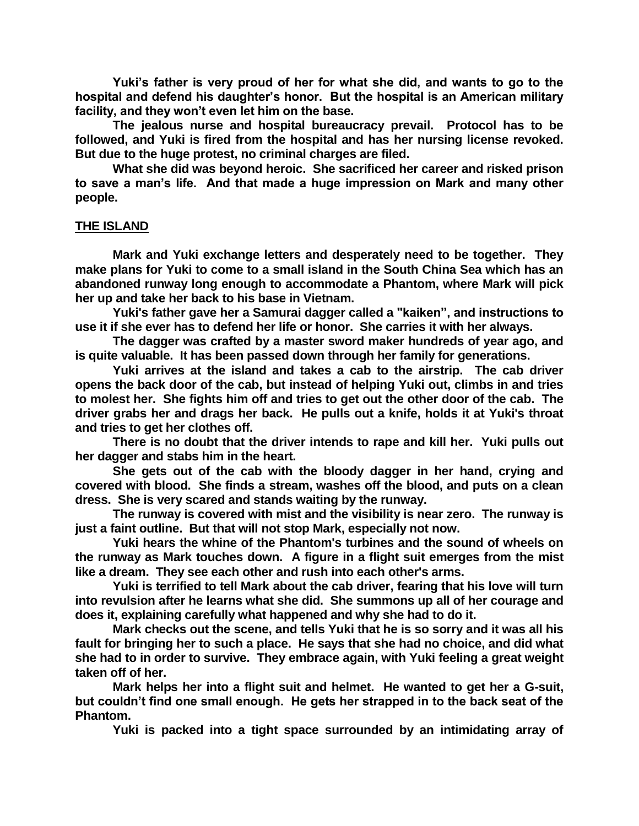**Yuki's father is very proud of her for what she did, and wants to go to the hospital and defend his daughter's honor. But the hospital is an American military facility, and they won't even let him on the base.**

**The jealous nurse and hospital bureaucracy prevail. Protocol has to be followed, and Yuki is fired from the hospital and has her nursing license revoked. But due to the huge protest, no criminal charges are filed.**

**What she did was beyond heroic. She sacrificed her career and risked prison to save a man's life. And that made a huge impression on Mark and many other people.**

## **THE ISLAND**

**Mark and Yuki exchange letters and desperately need to be together. They make plans for Yuki to come to a small island in the South China Sea which has an abandoned runway long enough to accommodate a Phantom, where Mark will pick her up and take her back to his base in Vietnam.**

**Yuki's father gave her a Samurai dagger called a "kaiken", and instructions to use it if she ever has to defend her life or honor. She carries it with her always.**

**The dagger was crafted by a master sword maker hundreds of year ago, and is quite valuable. It has been passed down through her family for generations.**

**Yuki arrives at the island and takes a cab to the airstrip. The cab driver opens the back door of the cab, but instead of helping Yuki out, climbs in and tries to molest her. She fights him off and tries to get out the other door of the cab. The driver grabs her and drags her back. He pulls out a knife, holds it at Yuki's throat and tries to get her clothes off.**

**There is no doubt that the driver intends to rape and kill her. Yuki pulls out her dagger and stabs him in the heart.**

**She gets out of the cab with the bloody dagger in her hand, crying and covered with blood. She finds a stream, washes off the blood, and puts on a clean dress. She is very scared and stands waiting by the runway.**

**The runway is covered with mist and the visibility is near zero. The runway is just a faint outline. But that will not stop Mark, especially not now.**

**Yuki hears the whine of the Phantom's turbines and the sound of wheels on the runway as Mark touches down. A figure in a flight suit emerges from the mist like a dream. They see each other and rush into each other's arms.**

**Yuki is terrified to tell Mark about the cab driver, fearing that his love will turn into revulsion after he learns what she did. She summons up all of her courage and does it, explaining carefully what happened and why she had to do it.**

**Mark checks out the scene, and tells Yuki that he is so sorry and it was all his fault for bringing her to such a place. He says that she had no choice, and did what she had to in order to survive. They embrace again, with Yuki feeling a great weight taken off of her.**

**Mark helps her into a flight suit and helmet. He wanted to get her a G-suit, but couldn't find one small enough. He gets her strapped in to the back seat of the Phantom.**

**Yuki is packed into a tight space surrounded by an intimidating array of**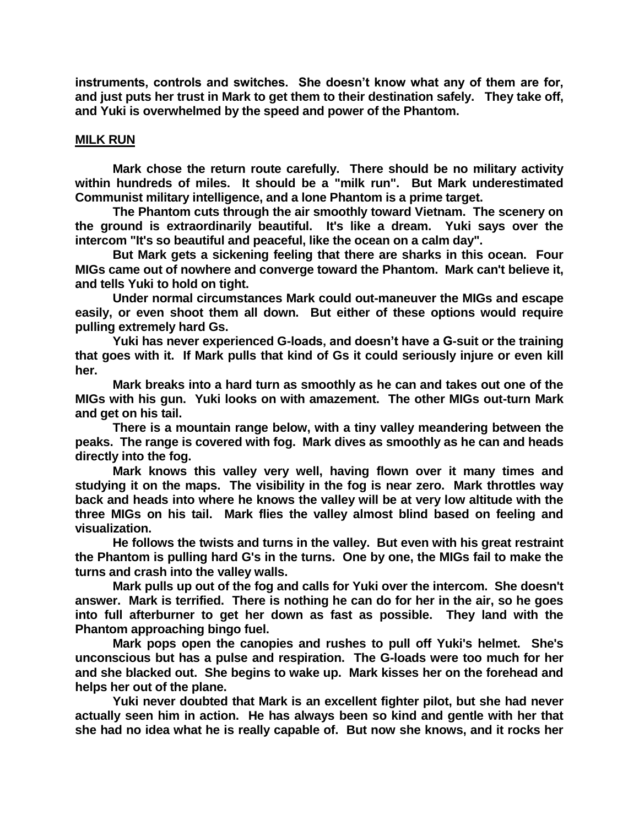**instruments, controls and switches. She doesn't know what any of them are for, and just puts her trust in Mark to get them to their destination safely. They take off, and Yuki is overwhelmed by the speed and power of the Phantom.**

## **MILK RUN**

**Mark chose the return route carefully. There should be no military activity within hundreds of miles. It should be a "milk run". But Mark underestimated Communist military intelligence, and a lone Phantom is a prime target.**

**The Phantom cuts through the air smoothly toward Vietnam. The scenery on the ground is extraordinarily beautiful. It's like a dream. Yuki says over the intercom "It's so beautiful and peaceful, like the ocean on a calm day".**

**But Mark gets a sickening feeling that there are sharks in this ocean. Four MIGs came out of nowhere and converge toward the Phantom. Mark can't believe it, and tells Yuki to hold on tight.**

**Under normal circumstances Mark could out-maneuver the MIGs and escape easily, or even shoot them all down. But either of these options would require pulling extremely hard Gs.**

**Yuki has never experienced G-loads, and doesn't have a G-suit or the training that goes with it. If Mark pulls that kind of Gs it could seriously injure or even kill her.**

**Mark breaks into a hard turn as smoothly as he can and takes out one of the MIGs with his gun. Yuki looks on with amazement. The other MIGs out-turn Mark and get on his tail.**

**There is a mountain range below, with a tiny valley meandering between the peaks. The range is covered with fog. Mark dives as smoothly as he can and heads directly into the fog.**

**Mark knows this valley very well, having flown over it many times and studying it on the maps. The visibility in the fog is near zero. Mark throttles way back and heads into where he knows the valley will be at very low altitude with the three MIGs on his tail. Mark flies the valley almost blind based on feeling and visualization.**

**He follows the twists and turns in the valley. But even with his great restraint the Phantom is pulling hard G's in the turns. One by one, the MIGs fail to make the turns and crash into the valley walls.**

**Mark pulls up out of the fog and calls for Yuki over the intercom. She doesn't answer. Mark is terrified. There is nothing he can do for her in the air, so he goes into full afterburner to get her down as fast as possible. They land with the Phantom approaching bingo fuel.**

**Mark pops open the canopies and rushes to pull off Yuki's helmet. She's unconscious but has a pulse and respiration. The G-loads were too much for her and she blacked out. She begins to wake up. Mark kisses her on the forehead and helps her out of the plane.**

**Yuki never doubted that Mark is an excellent fighter pilot, but she had never actually seen him in action. He has always been so kind and gentle with her that she had no idea what he is really capable of. But now she knows, and it rocks her**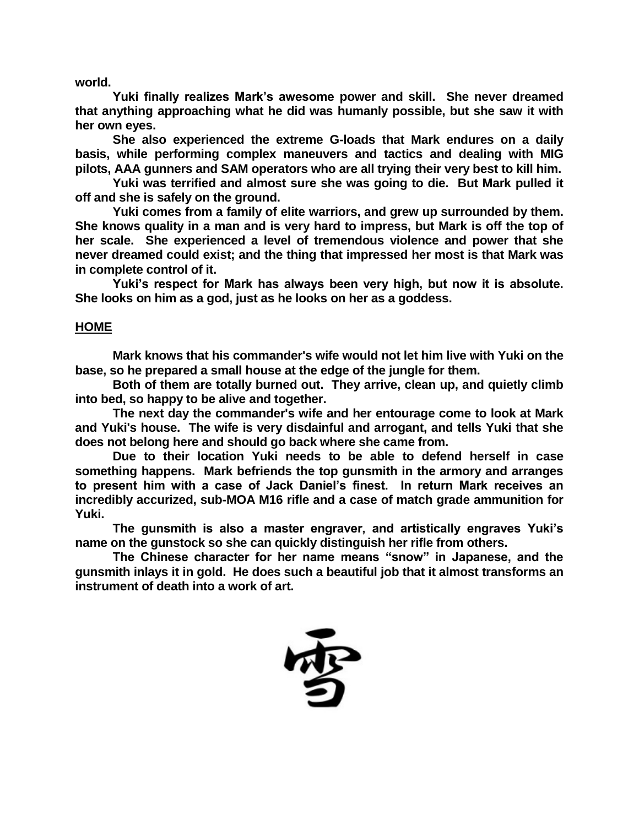**world.**

**Yuki finally realizes Mark's awesome power and skill. She never dreamed that anything approaching what he did was humanly possible, but she saw it with her own eyes.**

**She also experienced the extreme G-loads that Mark endures on a daily basis, while performing complex maneuvers and tactics and dealing with MIG pilots, AAA gunners and SAM operators who are all trying their very best to kill him.**

**Yuki was terrified and almost sure she was going to die. But Mark pulled it off and she is safely on the ground.**

**Yuki comes from a family of elite warriors, and grew up surrounded by them. She knows quality in a man and is very hard to impress, but Mark is off the top of her scale. She experienced a level of tremendous violence and power that she never dreamed could exist; and the thing that impressed her most is that Mark was in complete control of it.**

**Yuki's respect for Mark has always been very high, but now it is absolute. She looks on him as a god, just as he looks on her as a goddess.**

# **HOME**

**Mark knows that his commander's wife would not let him live with Yuki on the base, so he prepared a small house at the edge of the jungle for them.**

**Both of them are totally burned out. They arrive, clean up, and quietly climb into bed, so happy to be alive and together.**

**The next day the commander's wife and her entourage come to look at Mark and Yuki's house. The wife is very disdainful and arrogant, and tells Yuki that she does not belong here and should go back where she came from.**

**Due to their location Yuki needs to be able to defend herself in case something happens. Mark befriends the top gunsmith in the armory and arranges to present him with a case of Jack Daniel's finest. In return Mark receives an incredibly accurized, sub-MOA M16 rifle and a case of match grade ammunition for Yuki.**

**The gunsmith is also a master engraver, and artistically engraves Yuki's name on the gunstock so she can quickly distinguish her rifle from others.**

**The Chinese character for her name means "snow" in Japanese, and the gunsmith inlays it in gold. He does such a beautiful job that it almost transforms an instrument of death into a work of art.**

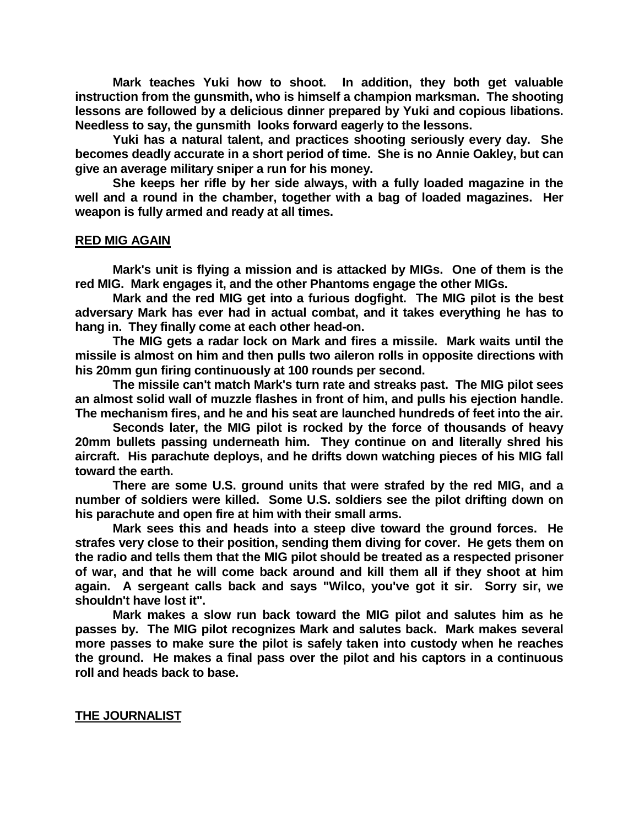**Mark teaches Yuki how to shoot. In addition, they both get valuable instruction from the gunsmith, who is himself a champion marksman. The shooting lessons are followed by a delicious dinner prepared by Yuki and copious libations. Needless to say, the gunsmith looks forward eagerly to the lessons.**

**Yuki has a natural talent, and practices shooting seriously every day. She becomes deadly accurate in a short period of time. She is no Annie Oakley, but can give an average military sniper a run for his money.**

**She keeps her rifle by her side always, with a fully loaded magazine in the well and a round in the chamber, together with a bag of loaded magazines. Her weapon is fully armed and ready at all times.**

#### **RED MIG AGAIN**

**Mark's unit is flying a mission and is attacked by MIGs. One of them is the red MIG. Mark engages it, and the other Phantoms engage the other MIGs.**

**Mark and the red MIG get into a furious dogfight. The MIG pilot is the best adversary Mark has ever had in actual combat, and it takes everything he has to hang in. They finally come at each other head-on.**

**The MIG gets a radar lock on Mark and fires a missile. Mark waits until the missile is almost on him and then pulls two aileron rolls in opposite directions with his 20mm gun firing continuously at 100 rounds per second.**

**The missile can't match Mark's turn rate and streaks past. The MIG pilot sees an almost solid wall of muzzle flashes in front of him, and pulls his ejection handle. The mechanism fires, and he and his seat are launched hundreds of feet into the air.**

**Seconds later, the MIG pilot is rocked by the force of thousands of heavy 20mm bullets passing underneath him. They continue on and literally shred his aircraft. His parachute deploys, and he drifts down watching pieces of his MIG fall toward the earth.**

**There are some U.S. ground units that were strafed by the red MIG, and a number of soldiers were killed. Some U.S. soldiers see the pilot drifting down on his parachute and open fire at him with their small arms.**

**Mark sees this and heads into a steep dive toward the ground forces. He strafes very close to their position, sending them diving for cover. He gets them on the radio and tells them that the MIG pilot should be treated as a respected prisoner of war, and that he will come back around and kill them all if they shoot at him again. A sergeant calls back and says "Wilco, you've got it sir. Sorry sir, we shouldn't have lost it".**

**Mark makes a slow run back toward the MIG pilot and salutes him as he passes by. The MIG pilot recognizes Mark and salutes back. Mark makes several more passes to make sure the pilot is safely taken into custody when he reaches the ground. He makes a final pass over the pilot and his captors in a continuous roll and heads back to base.**

## **THE JOURNALIST**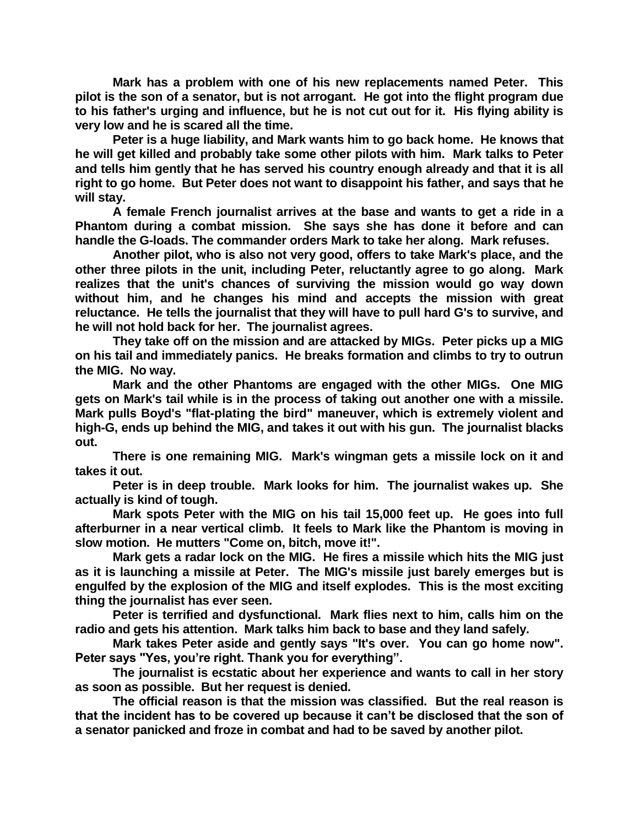**Mark has a problem with one of his new replacements named Peter. This pilot is the son of a senator, but is not arrogant. He got into the flight program due to his father's urging and influence, but he is not cut out for it. His flying ability is very low and he is scared all the time.**

**Peter is a huge liability, and Mark wants him to go back home. He knows that he will get killed and probably take some other pilots with him. Mark talks to Peter and tells him gently that he has served his country enough already and that it is all right to go home. But Peter does not want to disappoint his father, and says that he will stay.**

**A female French journalist arrives at the base and wants to get a ride in a Phantom during a combat mission. She says she has done it before and can handle the G-loads. The commander orders Mark to take her along. Mark refuses.**

**Another pilot, who is also not very good, offers to take Mark's place, and the other three pilots in the unit, including Peter, reluctantly agree to go along. Mark realizes that the unit's chances of surviving the mission would go way down without him, and he changes his mind and accepts the mission with great reluctance. He tells the journalist that they will have to pull hard G's to survive, and he will not hold back for her. The journalist agrees.**

**They take off on the mission and are attacked by MIGs. Peter picks up a MIG on his tail and immediately panics. He breaks formation and climbs to try to outrun the MIG. No way.**

**Mark and the other Phantoms are engaged with the other MIGs. One MIG gets on Mark's tail while is in the process of taking out another one with a missile. Mark pulls Boyd's "flat-plating the bird" maneuver, which is extremely violent and high-G, ends up behind the MIG, and takes it out with his gun. The journalist blacks out.**

**There is one remaining MIG. Mark's wingman gets a missile lock on it and takes it out.**

**Peter is in deep trouble. Mark looks for him. The journalist wakes up. She actually is kind of tough.**

**Mark spots Peter with the MIG on his tail 15,000 feet up. He goes into full afterburner in a near vertical climb. It feels to Mark like the Phantom is moving in slow motion. He mutters "Come on, bitch, move it!".**

**Mark gets a radar lock on the MIG. He fires a missile which hits the MIG just as it is launching a missile at Peter. The MIG's missile just barely emerges but is engulfed by the explosion of the MIG and itself explodes. This is the most exciting thing the journalist has ever seen.**

**Peter is terrified and dysfunctional. Mark flies next to him, calls him on the radio and gets his attention. Mark talks him back to base and they land safely.**

**Mark takes Peter aside and gently says "It's over. You can go home now". Peter says "Yes, you're right. Thank you for everything".**

**The journalist is ecstatic about her experience and wants to call in her story as soon as possible. But her request is denied.**

**The official reason is that the mission was classified. But the real reason is that the incident has to be covered up because it can't be disclosed that the son of a senator panicked and froze in combat and had to be saved by another pilot.**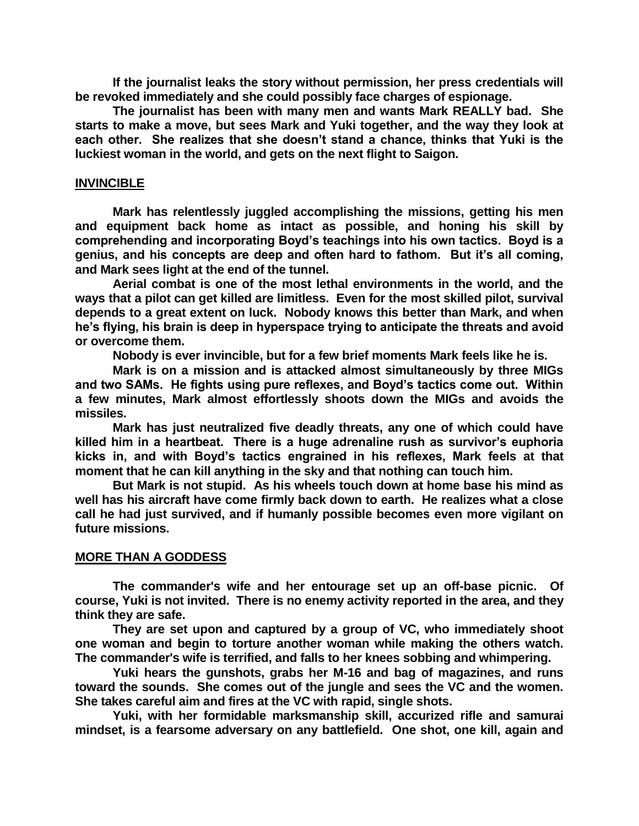**If the journalist leaks the story without permission, her press credentials will be revoked immediately and she could possibly face charges of espionage.** 

**The journalist has been with many men and wants Mark REALLY bad. She starts to make a move, but sees Mark and Yuki together, and the way they look at each other. She realizes that she doesn't stand a chance, thinks that Yuki is the luckiest woman in the world, and gets on the next flight to Saigon.**

#### **INVINCIBLE**

**Mark has relentlessly juggled accomplishing the missions, getting his men and equipment back home as intact as possible, and honing his skill by comprehending and incorporating Boyd's teachings into his own tactics. Boyd is a genius, and his concepts are deep and often hard to fathom. But it's all coming, and Mark sees light at the end of the tunnel.**

**Aerial combat is one of the most lethal environments in the world, and the ways that a pilot can get killed are limitless. Even for the most skilled pilot, survival depends to a great extent on luck. Nobody knows this better than Mark, and when he's flying, his brain is deep in hyperspace trying to anticipate the threats and avoid or overcome them.**

**Nobody is ever invincible, but for a few brief moments Mark feels like he is.**

**Mark is on a mission and is attacked almost simultaneously by three MIGs and two SAMs. He fights using pure reflexes, and Boyd's tactics come out. Within a few minutes, Mark almost effortlessly shoots down the MIGs and avoids the missiles.**

**Mark has just neutralized five deadly threats, any one of which could have killed him in a heartbeat. There is a huge adrenaline rush as survivor's euphoria kicks in, and with Boyd's tactics engrained in his reflexes, Mark feels at that moment that he can kill anything in the sky and that nothing can touch him.**

**But Mark is not stupid. As his wheels touch down at home base his mind as well has his aircraft have come firmly back down to earth. He realizes what a close call he had just survived, and if humanly possible becomes even more vigilant on future missions.**

#### **MORE THAN A GODDESS**

**The commander's wife and her entourage set up an off-base picnic. Of course, Yuki is not invited. There is no enemy activity reported in the area, and they think they are safe.**

**They are set upon and captured by a group of VC, who immediately shoot one woman and begin to torture another woman while making the others watch. The commander's wife is terrified, and falls to her knees sobbing and whimpering.**

**Yuki hears the gunshots, grabs her M-16 and bag of magazines, and runs toward the sounds. She comes out of the jungle and sees the VC and the women. She takes careful aim and fires at the VC with rapid, single shots.**

**Yuki, with her formidable marksmanship skill, accurized rifle and samurai mindset, is a fearsome adversary on any battlefield. One shot, one kill, again and**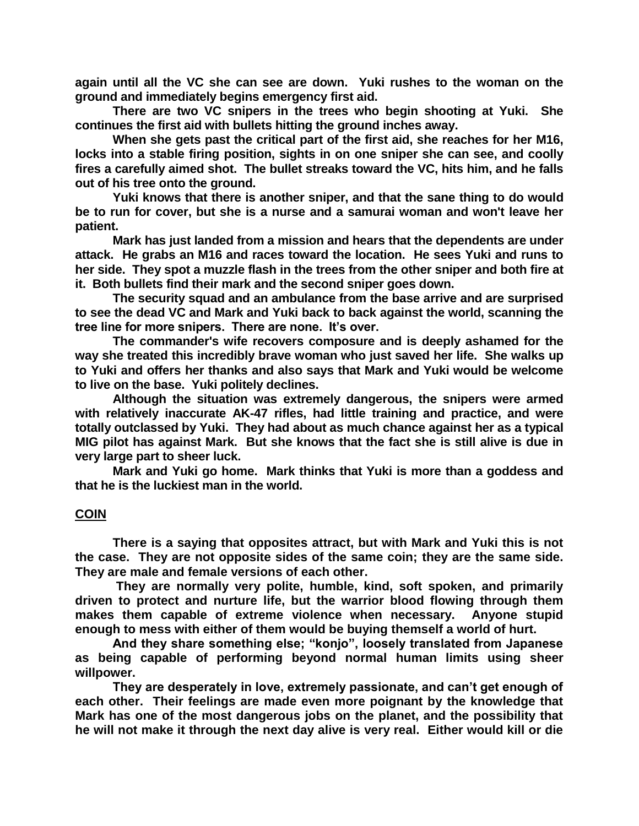**again until all the VC she can see are down. Yuki rushes to the woman on the ground and immediately begins emergency first aid.**

**There are two VC snipers in the trees who begin shooting at Yuki. She continues the first aid with bullets hitting the ground inches away.**

**When she gets past the critical part of the first aid, she reaches for her M16, locks into a stable firing position, sights in on one sniper she can see, and coolly fires a carefully aimed shot. The bullet streaks toward the VC, hits him, and he falls out of his tree onto the ground.**

**Yuki knows that there is another sniper, and that the sane thing to do would be to run for cover, but she is a nurse and a samurai woman and won't leave her patient.**

**Mark has just landed from a mission and hears that the dependents are under attack. He grabs an M16 and races toward the location. He sees Yuki and runs to her side. They spot a muzzle flash in the trees from the other sniper and both fire at it. Both bullets find their mark and the second sniper goes down.**

**The security squad and an ambulance from the base arrive and are surprised to see the dead VC and Mark and Yuki back to back against the world, scanning the tree line for more snipers. There are none. It's over.**

**The commander's wife recovers composure and is deeply ashamed for the way she treated this incredibly brave woman who just saved her life. She walks up to Yuki and offers her thanks and also says that Mark and Yuki would be welcome to live on the base. Yuki politely declines.**

**Although the situation was extremely dangerous, the snipers were armed with relatively inaccurate AK-47 rifles, had little training and practice, and were totally outclassed by Yuki. They had about as much chance against her as a typical MIG pilot has against Mark. But she knows that the fact she is still alive is due in very large part to sheer luck.**

**Mark and Yuki go home. Mark thinks that Yuki is more than a goddess and that he is the luckiest man in the world.**

#### **COIN**

**There is a saying that opposites attract, but with Mark and Yuki this is not the case. They are not opposite sides of the same coin; they are the same side. They are male and female versions of each other.**

**They are normally very polite, humble, kind, soft spoken, and primarily driven to protect and nurture life, but the warrior blood flowing through them makes them capable of extreme violence when necessary. Anyone stupid enough to mess with either of them would be buying themself a world of hurt.**

**And they share something else; "konjo", loosely translated from Japanese as being capable of performing beyond normal human limits using sheer willpower.**

**They are desperately in love, extremely passionate, and can't get enough of each other. Their feelings are made even more poignant by the knowledge that Mark has one of the most dangerous jobs on the planet, and the possibility that he will not make it through the next day alive is very real. Either would kill or die**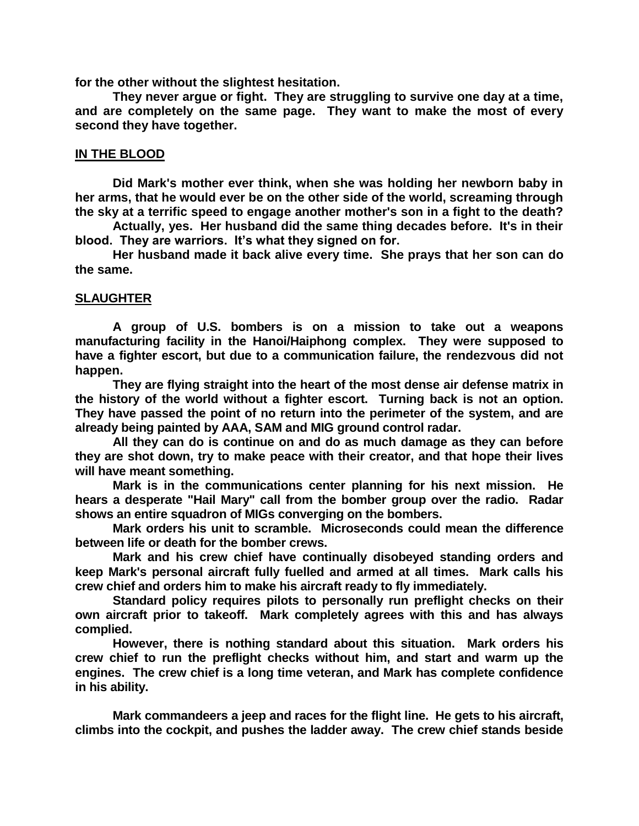**for the other without the slightest hesitation.**

**They never argue or fight. They are struggling to survive one day at a time, and are completely on the same page. They want to make the most of every second they have together.**

#### **IN THE BLOOD**

**Did Mark's mother ever think, when she was holding her newborn baby in her arms, that he would ever be on the other side of the world, screaming through the sky at a terrific speed to engage another mother's son in a fight to the death?**

**Actually, yes. Her husband did the same thing decades before. It's in their blood. They are warriors. It's what they signed on for.**

**Her husband made it back alive every time. She prays that her son can do the same.**

## **SLAUGHTER**

**A group of U.S. bombers is on a mission to take out a weapons manufacturing facility in the Hanoi/Haiphong complex. They were supposed to have a fighter escort, but due to a communication failure, the rendezvous did not happen.**

**They are flying straight into the heart of the most dense air defense matrix in the history of the world without a fighter escort. Turning back is not an option. They have passed the point of no return into the perimeter of the system, and are already being painted by AAA, SAM and MIG ground control radar.**

**All they can do is continue on and do as much damage as they can before they are shot down, try to make peace with their creator, and that hope their lives will have meant something.**

**Mark is in the communications center planning for his next mission. He hears a desperate "Hail Mary" call from the bomber group over the radio. Radar shows an entire squadron of MIGs converging on the bombers.**

**Mark orders his unit to scramble. Microseconds could mean the difference between life or death for the bomber crews.**

**Mark and his crew chief have continually disobeyed standing orders and keep Mark's personal aircraft fully fuelled and armed at all times. Mark calls his crew chief and orders him to make his aircraft ready to fly immediately.**

**Standard policy requires pilots to personally run preflight checks on their own aircraft prior to takeoff. Mark completely agrees with this and has always complied.**

**However, there is nothing standard about this situation. Mark orders his crew chief to run the preflight checks without him, and start and warm up the engines. The crew chief is a long time veteran, and Mark has complete confidence in his ability.**

**Mark commandeers a jeep and races for the flight line. He gets to his aircraft, climbs into the cockpit, and pushes the ladder away. The crew chief stands beside**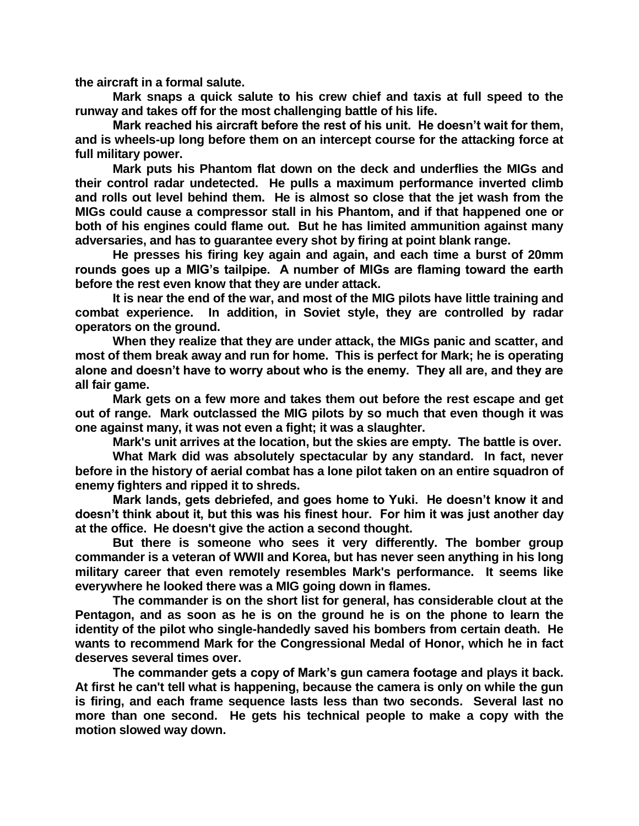**the aircraft in a formal salute.**

**Mark snaps a quick salute to his crew chief and taxis at full speed to the runway and takes off for the most challenging battle of his life.**

**Mark reached his aircraft before the rest of his unit. He doesn't wait for them, and is wheels-up long before them on an intercept course for the attacking force at full military power.**

**Mark puts his Phantom flat down on the deck and underflies the MIGs and their control radar undetected. He pulls a maximum performance inverted climb and rolls out level behind them. He is almost so close that the jet wash from the MIGs could cause a compressor stall in his Phantom, and if that happened one or both of his engines could flame out. But he has limited ammunition against many adversaries, and has to guarantee every shot by firing at point blank range.**

**He presses his firing key again and again, and each time a burst of 20mm rounds goes up a MIG's tailpipe. A number of MIGs are flaming toward the earth before the rest even know that they are under attack.**

**It is near the end of the war, and most of the MIG pilots have little training and combat experience. In addition, in Soviet style, they are controlled by radar operators on the ground.**

**When they realize that they are under attack, the MIGs panic and scatter, and most of them break away and run for home. This is perfect for Mark; he is operating alone and doesn't have to worry about who is the enemy. They all are, and they are all fair game.**

**Mark gets on a few more and takes them out before the rest escape and get out of range. Mark outclassed the MIG pilots by so much that even though it was one against many, it was not even a fight; it was a slaughter.**

**Mark's unit arrives at the location, but the skies are empty. The battle is over.**

**What Mark did was absolutely spectacular by any standard. In fact, never before in the history of aerial combat has a lone pilot taken on an entire squadron of enemy fighters and ripped it to shreds.**

**Mark lands, gets debriefed, and goes home to Yuki. He doesn't know it and doesn't think about it, but this was his finest hour. For him it was just another day at the office. He doesn't give the action a second thought.**

**But there is someone who sees it very differently. The bomber group commander is a veteran of WWII and Korea, but has never seen anything in his long military career that even remotely resembles Mark's performance. It seems like everywhere he looked there was a MIG going down in flames.**

 **The commander is on the short list for general, has considerable clout at the Pentagon, and as soon as he is on the ground he is on the phone to learn the identity of the pilot who single-handedly saved his bombers from certain death. He wants to recommend Mark for the Congressional Medal of Honor, which he in fact deserves several times over.**

**The commander gets a copy of Mark's gun camera footage and plays it back. At first he can't tell what is happening, because the camera is only on while the gun is firing, and each frame sequence lasts less than two seconds. Several last no more than one second. He gets his technical people to make a copy with the motion slowed way down.**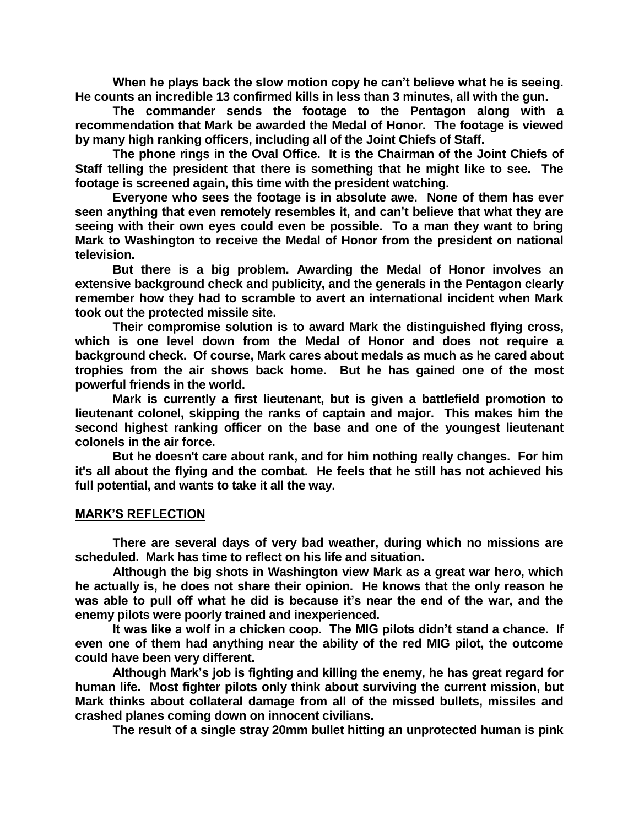**When he plays back the slow motion copy he can't believe what he is seeing. He counts an incredible 13 confirmed kills in less than 3 minutes, all with the gun.**

**The commander sends the footage to the Pentagon along with a recommendation that Mark be awarded the Medal of Honor. The footage is viewed by many high ranking officers, including all of the Joint Chiefs of Staff.**

**The phone rings in the Oval Office. It is the Chairman of the Joint Chiefs of Staff telling the president that there is something that he might like to see. The footage is screened again, this time with the president watching.**

**Everyone who sees the footage is in absolute awe. None of them has ever seen anything that even remotely resembles it, and can't believe that what they are seeing with their own eyes could even be possible. To a man they want to bring Mark to Washington to receive the Medal of Honor from the president on national television.**

**But there is a big problem. Awarding the Medal of Honor involves an extensive background check and publicity, and the generals in the Pentagon clearly remember how they had to scramble to avert an international incident when Mark took out the protected missile site.**

**Their compromise solution is to award Mark the distinguished flying cross, which is one level down from the Medal of Honor and does not require a background check. Of course, Mark cares about medals as much as he cared about trophies from the air shows back home. But he has gained one of the most powerful friends in the world.**

**Mark is currently a first lieutenant, but is given a battlefield promotion to lieutenant colonel, skipping the ranks of captain and major. This makes him the second highest ranking officer on the base and one of the youngest lieutenant colonels in the air force.**

**But he doesn't care about rank, and for him nothing really changes. For him it's all about the flying and the combat. He feels that he still has not achieved his full potential, and wants to take it all the way.**

#### **MARK'S REFLECTION**

**There are several days of very bad weather, during which no missions are scheduled. Mark has time to reflect on his life and situation.**

**Although the big shots in Washington view Mark as a great war hero, which he actually is, he does not share their opinion. He knows that the only reason he was able to pull off what he did is because it's near the end of the war, and the enemy pilots were poorly trained and inexperienced.**

**It was like a wolf in a chicken coop. The MIG pilots didn't stand a chance. If even one of them had anything near the ability of the red MIG pilot, the outcome could have been very different.**

**Although Mark's job is fighting and killing the enemy, he has great regard for human life. Most fighter pilots only think about surviving the current mission, but Mark thinks about collateral damage from all of the missed bullets, missiles and crashed planes coming down on innocent civilians.**

**The result of a single stray 20mm bullet hitting an unprotected human is pink**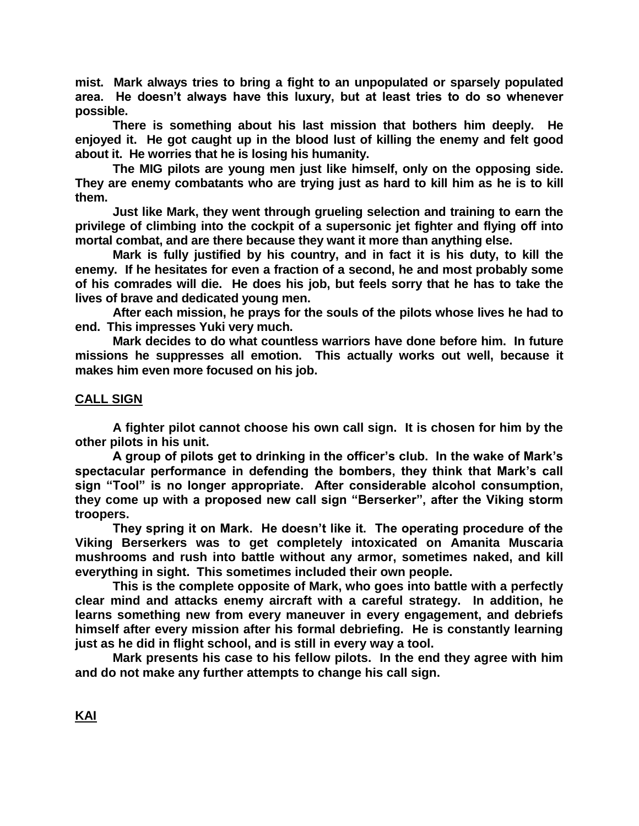**mist. Mark always tries to bring a fight to an unpopulated or sparsely populated area. He doesn't always have this luxury, but at least tries to do so whenever possible.**

**There is something about his last mission that bothers him deeply. He enjoyed it. He got caught up in the blood lust of killing the enemy and felt good about it. He worries that he is losing his humanity.**

**The MIG pilots are young men just like himself, only on the opposing side. They are enemy combatants who are trying just as hard to kill him as he is to kill them.**

**Just like Mark, they went through grueling selection and training to earn the privilege of climbing into the cockpit of a supersonic jet fighter and flying off into mortal combat, and are there because they want it more than anything else.**

**Mark is fully justified by his country, and in fact it is his duty, to kill the enemy. If he hesitates for even a fraction of a second, he and most probably some of his comrades will die. He does his job, but feels sorry that he has to take the lives of brave and dedicated young men.**

**After each mission, he prays for the souls of the pilots whose lives he had to end. This impresses Yuki very much.**

**Mark decides to do what countless warriors have done before him. In future missions he suppresses all emotion. This actually works out well, because it makes him even more focused on his job.**

# **CALL SIGN**

**A fighter pilot cannot choose his own call sign. It is chosen for him by the other pilots in his unit.**

**A group of pilots get to drinking in the officer's club. In the wake of Mark's spectacular performance in defending the bombers, they think that Mark's call sign "Tool" is no longer appropriate. After considerable alcohol consumption, they come up with a proposed new call sign "Berserker", after the Viking storm troopers.**

**They spring it on Mark. He doesn't like it. The operating procedure of the Viking Berserkers was to get completely intoxicated on Amanita Muscaria mushrooms and rush into battle without any armor, sometimes naked, and kill everything in sight. This sometimes included their own people.**

**This is the complete opposite of Mark, who goes into battle with a perfectly clear mind and attacks enemy aircraft with a careful strategy. In addition, he learns something new from every maneuver in every engagement, and debriefs himself after every mission after his formal debriefing. He is constantly learning just as he did in flight school, and is still in every way a tool.**

**Mark presents his case to his fellow pilots. In the end they agree with him and do not make any further attempts to change his call sign.**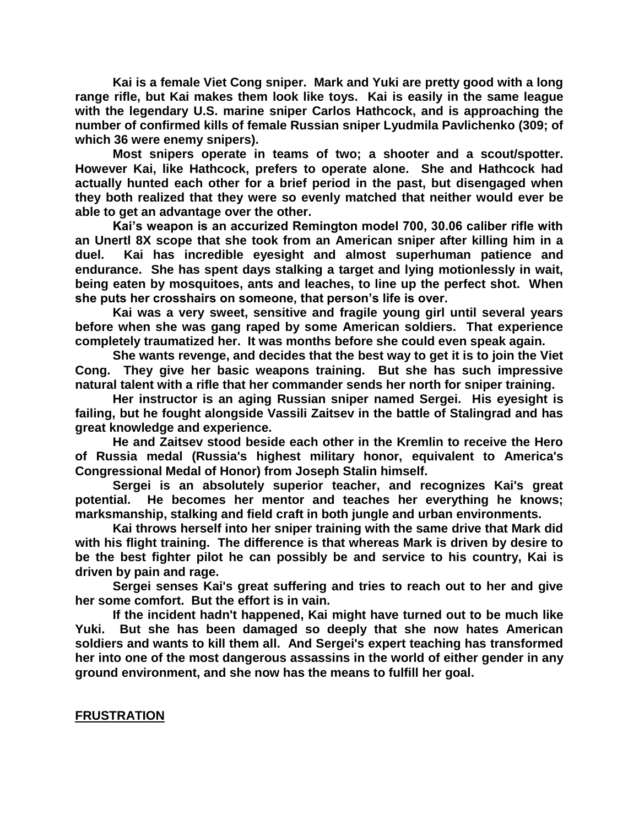**Kai is a female Viet Cong sniper. Mark and Yuki are pretty good with a long range rifle, but Kai makes them look like toys. Kai is easily in the same league with the legendary U.S. marine sniper Carlos Hathcock, and is approaching the number of confirmed kills of female Russian sniper Lyudmila Pavlichenko (309; of which 36 were enemy snipers).**

**Most snipers operate in teams of two; a shooter and a scout/spotter. However Kai, like Hathcock, prefers to operate alone. She and Hathcock had actually hunted each other for a brief period in the past, but disengaged when they both realized that they were so evenly matched that neither would ever be able to get an advantage over the other.**

**Kai's weapon is an accurized Remington model 700, 30.06 caliber rifle with an Unertl 8X scope that she took from an American sniper after killing him in a duel. Kai has incredible eyesight and almost superhuman patience and endurance. She has spent days stalking a target and lying motionlessly in wait, being eaten by mosquitoes, ants and leaches, to line up the perfect shot. When she puts her crosshairs on someone, that person's life is over.**

**Kai was a very sweet, sensitive and fragile young girl until several years before when she was gang raped by some American soldiers. That experience completely traumatized her. It was months before she could even speak again.**

**She wants revenge, and decides that the best way to get it is to join the Viet Cong. They give her basic weapons training. But she has such impressive natural talent with a rifle that her commander sends her north for sniper training.**

**Her instructor is an aging Russian sniper named Sergei. His eyesight is failing, but he fought alongside Vassili Zaitsev in the battle of Stalingrad and has great knowledge and experience.**

**He and Zaitsev stood beside each other in the Kremlin to receive the Hero of Russia medal (Russia's highest military honor, equivalent to America's Congressional Medal of Honor) from Joseph Stalin himself.**

**Sergei is an absolutely superior teacher, and recognizes Kai's great potential. He becomes her mentor and teaches her everything he knows; marksmanship, stalking and field craft in both jungle and urban environments.**

**Kai throws herself into her sniper training with the same drive that Mark did with his flight training. The difference is that whereas Mark is driven by desire to be the best fighter pilot he can possibly be and service to his country, Kai is driven by pain and rage.**

**Sergei senses Kai's great suffering and tries to reach out to her and give her some comfort. But the effort is in vain.**

**If the incident hadn't happened, Kai might have turned out to be much like Yuki. But she has been damaged so deeply that she now hates American soldiers and wants to kill them all. And Sergei's expert teaching has transformed her into one of the most dangerous assassins in the world of either gender in any ground environment, and she now has the means to fulfill her goal.**

## **FRUSTRATION**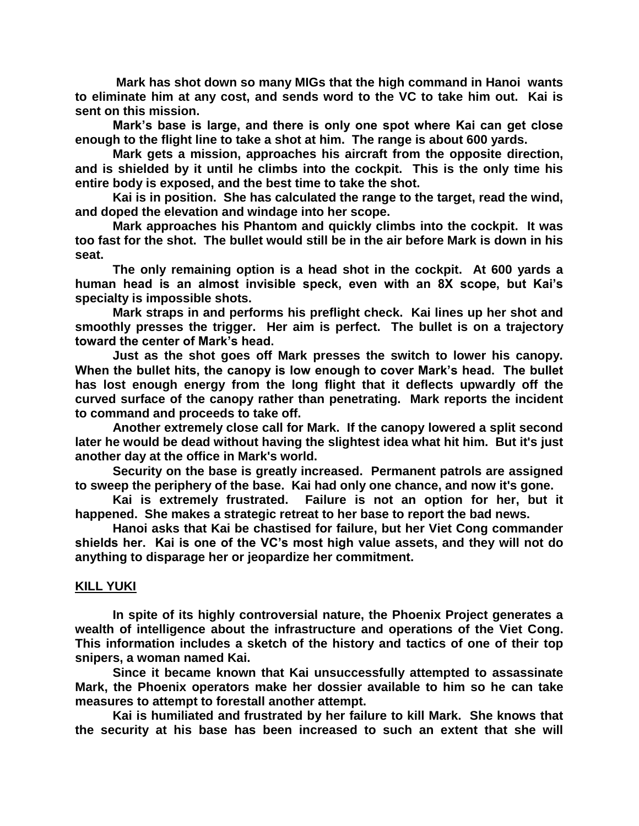**Mark has shot down so many MIGs that the high command in Hanoi wants to eliminate him at any cost, and sends word to the VC to take him out. Kai is sent on this mission.**

**Mark's base is large, and there is only one spot where Kai can get close enough to the flight line to take a shot at him. The range is about 600 yards.**

**Mark gets a mission, approaches his aircraft from the opposite direction, and is shielded by it until he climbs into the cockpit. This is the only time his entire body is exposed, and the best time to take the shot.**

**Kai is in position. She has calculated the range to the target, read the wind, and doped the elevation and windage into her scope.**

**Mark approaches his Phantom and quickly climbs into the cockpit. It was too fast for the shot. The bullet would still be in the air before Mark is down in his seat.**

**The only remaining option is a head shot in the cockpit. At 600 yards a human head is an almost invisible speck, even with an 8X scope, but Kai's specialty is impossible shots.**

**Mark straps in and performs his preflight check. Kai lines up her shot and smoothly presses the trigger. Her aim is perfect. The bullet is on a trajectory toward the center of Mark's head.**

**Just as the shot goes off Mark presses the switch to lower his canopy. When the bullet hits, the canopy is low enough to cover Mark's head. The bullet has lost enough energy from the long flight that it deflects upwardly off the curved surface of the canopy rather than penetrating. Mark reports the incident to command and proceeds to take off.**

**Another extremely close call for Mark. If the canopy lowered a split second later he would be dead without having the slightest idea what hit him. But it's just another day at the office in Mark's world.**

**Security on the base is greatly increased. Permanent patrols are assigned to sweep the periphery of the base. Kai had only one chance, and now it's gone.**

**Kai is extremely frustrated. Failure is not an option for her, but it happened. She makes a strategic retreat to her base to report the bad news.**

**Hanoi asks that Kai be chastised for failure, but her Viet Cong commander shields her. Kai is one of the VC's most high value assets, and they will not do anything to disparage her or jeopardize her commitment.**

## **KILL YUKI**

**In spite of its highly controversial nature, the Phoenix Project generates a wealth of intelligence about the infrastructure and operations of the Viet Cong. This information includes a sketch of the history and tactics of one of their top snipers, a woman named Kai.**

**Since it became known that Kai unsuccessfully attempted to assassinate Mark, the Phoenix operators make her dossier available to him so he can take measures to attempt to forestall another attempt.**

**Kai is humiliated and frustrated by her failure to kill Mark. She knows that the security at his base has been increased to such an extent that she will**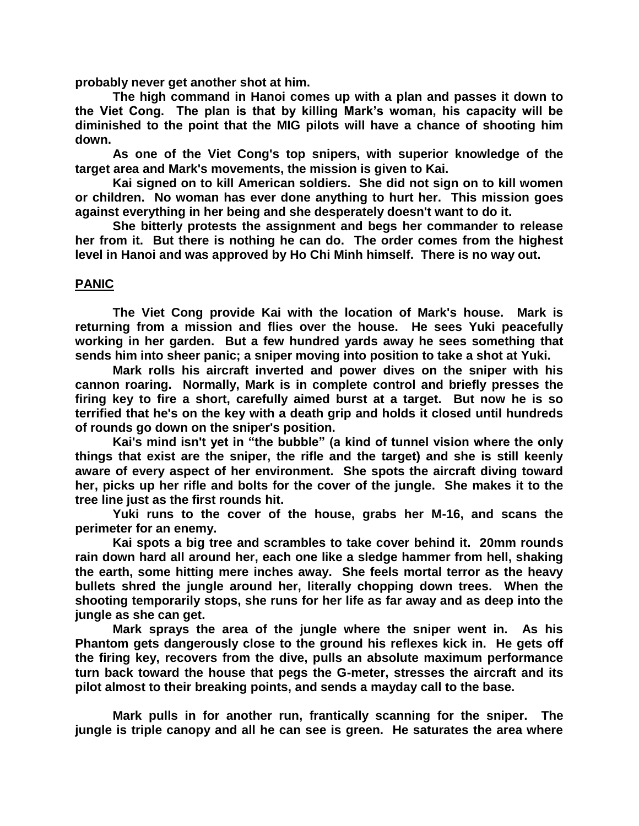**probably never get another shot at him.**

**The high command in Hanoi comes up with a plan and passes it down to the Viet Cong. The plan is that by killing Mark's woman, his capacity will be diminished to the point that the MIG pilots will have a chance of shooting him down.**

**As one of the Viet Cong's top snipers, with superior knowledge of the target area and Mark's movements, the mission is given to Kai.**

**Kai signed on to kill American soldiers. She did not sign on to kill women or children. No woman has ever done anything to hurt her. This mission goes against everything in her being and she desperately doesn't want to do it.**

**She bitterly protests the assignment and begs her commander to release her from it. But there is nothing he can do. The order comes from the highest level in Hanoi and was approved by Ho Chi Minh himself. There is no way out.**

## **PANIC**

**The Viet Cong provide Kai with the location of Mark's house. Mark is returning from a mission and flies over the house. He sees Yuki peacefully working in her garden. But a few hundred yards away he sees something that sends him into sheer panic; a sniper moving into position to take a shot at Yuki.**

**Mark rolls his aircraft inverted and power dives on the sniper with his cannon roaring. Normally, Mark is in complete control and briefly presses the firing key to fire a short, carefully aimed burst at a target. But now he is so terrified that he's on the key with a death grip and holds it closed until hundreds of rounds go down on the sniper's position.**

**Kai's mind isn't yet in "the bubble" (a kind of tunnel vision where the only things that exist are the sniper, the rifle and the target) and she is still keenly aware of every aspect of her environment. She spots the aircraft diving toward her, picks up her rifle and bolts for the cover of the jungle. She makes it to the tree line just as the first rounds hit.**

**Yuki runs to the cover of the house, grabs her M-16, and scans the perimeter for an enemy.**

**Kai spots a big tree and scrambles to take cover behind it. 20mm rounds rain down hard all around her, each one like a sledge hammer from hell, shaking the earth, some hitting mere inches away. She feels mortal terror as the heavy bullets shred the jungle around her, literally chopping down trees. When the shooting temporarily stops, she runs for her life as far away and as deep into the jungle as she can get.**

**Mark sprays the area of the jungle where the sniper went in. As his Phantom gets dangerously close to the ground his reflexes kick in. He gets off the firing key, recovers from the dive, pulls an absolute maximum performance turn back toward the house that pegs the G-meter, stresses the aircraft and its pilot almost to their breaking points, and sends a mayday call to the base.**

**Mark pulls in for another run, frantically scanning for the sniper. The jungle is triple canopy and all he can see is green. He saturates the area where**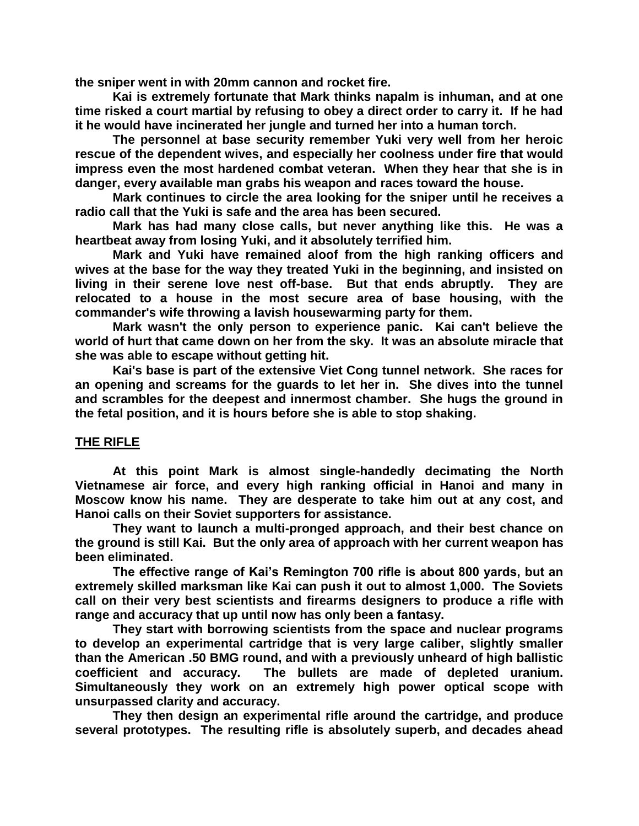**the sniper went in with 20mm cannon and rocket fire.**

**Kai is extremely fortunate that Mark thinks napalm is inhuman, and at one time risked a court martial by refusing to obey a direct order to carry it. If he had it he would have incinerated her jungle and turned her into a human torch.**

**The personnel at base security remember Yuki very well from her heroic rescue of the dependent wives, and especially her coolness under fire that would impress even the most hardened combat veteran. When they hear that she is in danger, every available man grabs his weapon and races toward the house.**

**Mark continues to circle the area looking for the sniper until he receives a radio call that the Yuki is safe and the area has been secured.**

**Mark has had many close calls, but never anything like this. He was a heartbeat away from losing Yuki, and it absolutely terrified him.**

**Mark and Yuki have remained aloof from the high ranking officers and wives at the base for the way they treated Yuki in the beginning, and insisted on living in their serene love nest off-base. But that ends abruptly. They are relocated to a house in the most secure area of base housing, with the commander's wife throwing a lavish housewarming party for them.**

**Mark wasn't the only person to experience panic. Kai can't believe the world of hurt that came down on her from the sky. It was an absolute miracle that she was able to escape without getting hit.**

**Kai's base is part of the extensive Viet Cong tunnel network. She races for an opening and screams for the guards to let her in. She dives into the tunnel and scrambles for the deepest and innermost chamber. She hugs the ground in the fetal position, and it is hours before she is able to stop shaking.**

## **THE RIFLE**

**At this point Mark is almost single-handedly decimating the North Vietnamese air force, and every high ranking official in Hanoi and many in Moscow know his name. They are desperate to take him out at any cost, and Hanoi calls on their Soviet supporters for assistance.**

**They want to launch a multi-pronged approach, and their best chance on the ground is still Kai. But the only area of approach with her current weapon has been eliminated.**

**The effective range of Kai's Remington 700 rifle is about 800 yards, but an extremely skilled marksman like Kai can push it out to almost 1,000. The Soviets call on their very best scientists and firearms designers to produce a rifle with range and accuracy that up until now has only been a fantasy.**

**They start with borrowing scientists from the space and nuclear programs to develop an experimental cartridge that is very large caliber, slightly smaller than the American .50 BMG round, and with a previously unheard of high ballistic coefficient and accuracy. The bullets are made of depleted uranium. Simultaneously they work on an extremely high power optical scope with unsurpassed clarity and accuracy.**

**They then design an experimental rifle around the cartridge, and produce several prototypes. The resulting rifle is absolutely superb, and decades ahead**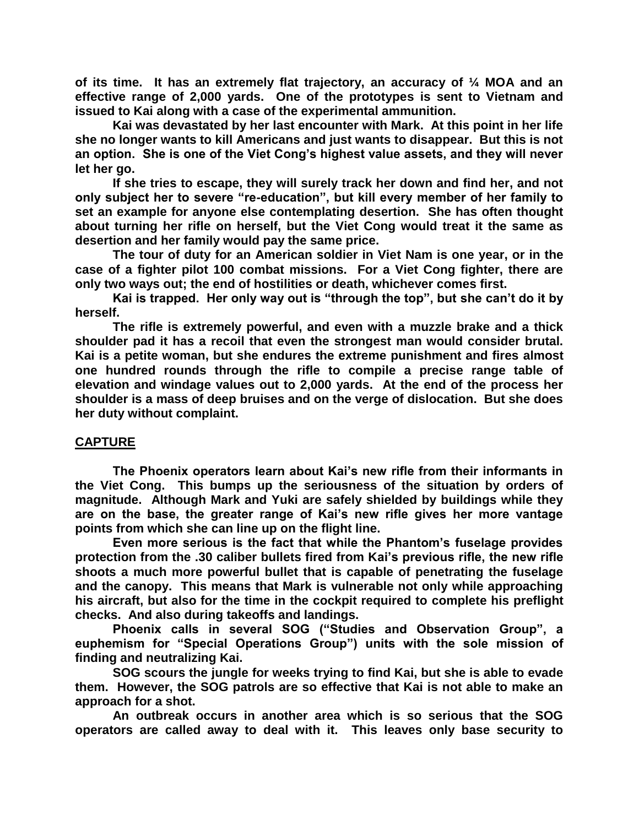**of its time. It has an extremely flat trajectory, an accuracy of ¼ MOA and an effective range of 2,000 yards. One of the prototypes is sent to Vietnam and issued to Kai along with a case of the experimental ammunition.**

**Kai was devastated by her last encounter with Mark. At this point in her life she no longer wants to kill Americans and just wants to disappear. But this is not an option. She is one of the Viet Cong's highest value assets, and they will never let her go.**

**If she tries to escape, they will surely track her down and find her, and not only subject her to severe "re-education", but kill every member of her family to set an example for anyone else contemplating desertion. She has often thought about turning her rifle on herself, but the Viet Cong would treat it the same as desertion and her family would pay the same price.**

**The tour of duty for an American soldier in Viet Nam is one year, or in the case of a fighter pilot 100 combat missions. For a Viet Cong fighter, there are only two ways out; the end of hostilities or death, whichever comes first.**

**Kai is trapped. Her only way out is "through the top", but she can't do it by herself.**

**The rifle is extremely powerful, and even with a muzzle brake and a thick shoulder pad it has a recoil that even the strongest man would consider brutal. Kai is a petite woman, but she endures the extreme punishment and fires almost one hundred rounds through the rifle to compile a precise range table of elevation and windage values out to 2,000 yards. At the end of the process her shoulder is a mass of deep bruises and on the verge of dislocation. But she does her duty without complaint.**

# **CAPTURE**

**The Phoenix operators learn about Kai's new rifle from their informants in the Viet Cong. This bumps up the seriousness of the situation by orders of magnitude. Although Mark and Yuki are safely shielded by buildings while they are on the base, the greater range of Kai's new rifle gives her more vantage points from which she can line up on the flight line.**

**Even more serious is the fact that while the Phantom's fuselage provides protection from the .30 caliber bullets fired from Kai's previous rifle, the new rifle shoots a much more powerful bullet that is capable of penetrating the fuselage and the canopy. This means that Mark is vulnerable not only while approaching his aircraft, but also for the time in the cockpit required to complete his preflight checks. And also during takeoffs and landings.**

**Phoenix calls in several SOG ("Studies and Observation Group", a euphemism for "Special Operations Group") units with the sole mission of finding and neutralizing Kai.**

**SOG scours the jungle for weeks trying to find Kai, but she is able to evade them. However, the SOG patrols are so effective that Kai is not able to make an approach for a shot.**

**An outbreak occurs in another area which is so serious that the SOG operators are called away to deal with it. This leaves only base security to**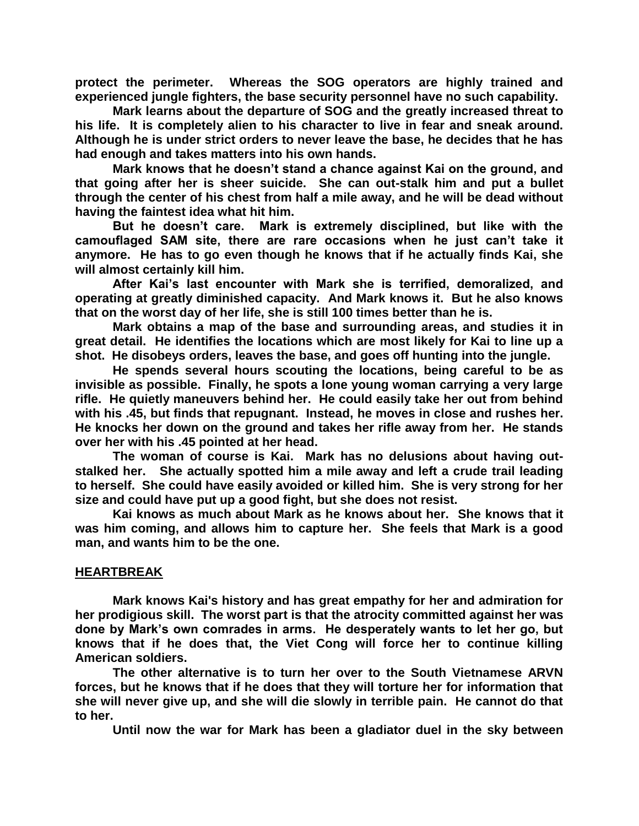**protect the perimeter. Whereas the SOG operators are highly trained and experienced jungle fighters, the base security personnel have no such capability.**

**Mark learns about the departure of SOG and the greatly increased threat to his life. It is completely alien to his character to live in fear and sneak around. Although he is under strict orders to never leave the base, he decides that he has had enough and takes matters into his own hands.**

**Mark knows that he doesn't stand a chance against Kai on the ground, and that going after her is sheer suicide. She can out-stalk him and put a bullet through the center of his chest from half a mile away, and he will be dead without having the faintest idea what hit him.**

**But he doesn't care. Mark is extremely disciplined, but like with the camouflaged SAM site, there are rare occasions when he just can't take it anymore. He has to go even though he knows that if he actually finds Kai, she will almost certainly kill him.**

**After Kai's last encounter with Mark she is terrified, demoralized, and operating at greatly diminished capacity. And Mark knows it. But he also knows that on the worst day of her life, she is still 100 times better than he is.**

**Mark obtains a map of the base and surrounding areas, and studies it in great detail. He identifies the locations which are most likely for Kai to line up a shot. He disobeys orders, leaves the base, and goes off hunting into the jungle.**

**He spends several hours scouting the locations, being careful to be as invisible as possible. Finally, he spots a lone young woman carrying a very large rifle. He quietly maneuvers behind her. He could easily take her out from behind with his .45, but finds that repugnant. Instead, he moves in close and rushes her. He knocks her down on the ground and takes her rifle away from her. He stands over her with his .45 pointed at her head.**

**The woman of course is Kai. Mark has no delusions about having outstalked her. She actually spotted him a mile away and left a crude trail leading to herself. She could have easily avoided or killed him. She is very strong for her size and could have put up a good fight, but she does not resist.**

**Kai knows as much about Mark as he knows about her. She knows that it was him coming, and allows him to capture her. She feels that Mark is a good man, and wants him to be the one.**

## **HEARTBREAK**

**Mark knows Kai's history and has great empathy for her and admiration for her prodigious skill. The worst part is that the atrocity committed against her was done by Mark's own comrades in arms. He desperately wants to let her go, but knows that if he does that, the Viet Cong will force her to continue killing American soldiers.**

**The other alternative is to turn her over to the South Vietnamese ARVN forces, but he knows that if he does that they will torture her for information that she will never give up, and she will die slowly in terrible pain. He cannot do that to her.**

**Until now the war for Mark has been a gladiator duel in the sky between**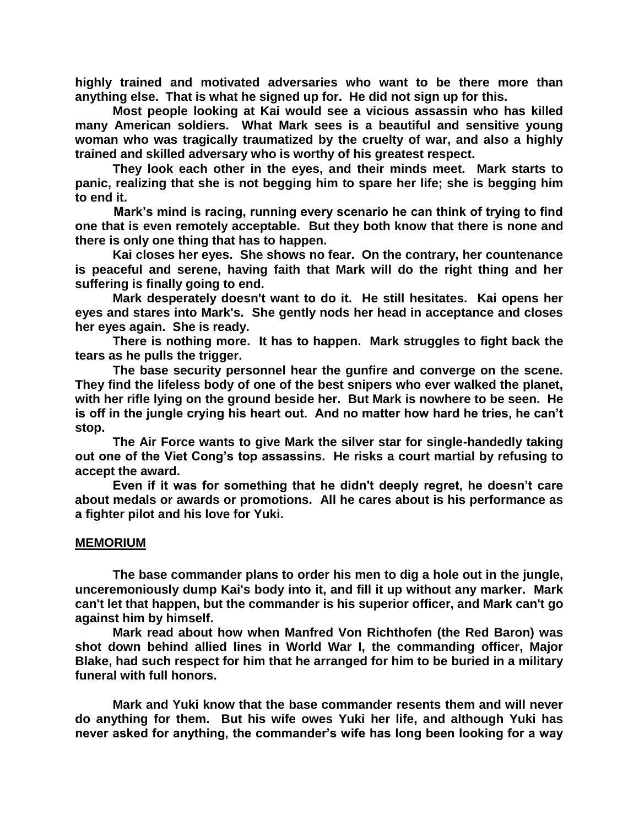**highly trained and motivated adversaries who want to be there more than anything else. That is what he signed up for. He did not sign up for this.** 

**Most people looking at Kai would see a vicious assassin who has killed many American soldiers. What Mark sees is a beautiful and sensitive young woman who was tragically traumatized by the cruelty of war, and also a highly trained and skilled adversary who is worthy of his greatest respect.**

**They look each other in the eyes, and their minds meet. Mark starts to panic, realizing that she is not begging him to spare her life; she is begging him to end it.**

 **Mark's mind is racing, running every scenario he can think of trying to find one that is even remotely acceptable. But they both know that there is none and there is only one thing that has to happen.**

**Kai closes her eyes. She shows no fear. On the contrary, her countenance is peaceful and serene, having faith that Mark will do the right thing and her suffering is finally going to end.**

**Mark desperately doesn't want to do it. He still hesitates. Kai opens her eyes and stares into Mark's. She gently nods her head in acceptance and closes her eyes again. She is ready.**

**There is nothing more. It has to happen. Mark struggles to fight back the tears as he pulls the trigger.**

**The base security personnel hear the gunfire and converge on the scene. They find the lifeless body of one of the best snipers who ever walked the planet, with her rifle lying on the ground beside her. But Mark is nowhere to be seen. He is off in the jungle crying his heart out. And no matter how hard he tries, he can't stop.**

**The Air Force wants to give Mark the silver star for single-handedly taking out one of the Viet Cong's top assassins. He risks a court martial by refusing to accept the award.**

**Even if it was for something that he didn't deeply regret, he doesn't care about medals or awards or promotions. All he cares about is his performance as a fighter pilot and his love for Yuki.**

## **MEMORIUM**

**The base commander plans to order his men to dig a hole out in the jungle, unceremoniously dump Kai's body into it, and fill it up without any marker. Mark can't let that happen, but the commander is his superior officer, and Mark can't go against him by himself.**

**Mark read about how when Manfred Von Richthofen (the Red Baron) was shot down behind allied lines in World War I, the commanding officer, Major Blake, had such respect for him that he arranged for him to be buried in a military funeral with full honors.**

**Mark and Yuki know that the base commander resents them and will never do anything for them. But his wife owes Yuki her life, and although Yuki has never asked for anything, the commander's wife has long been looking for a way**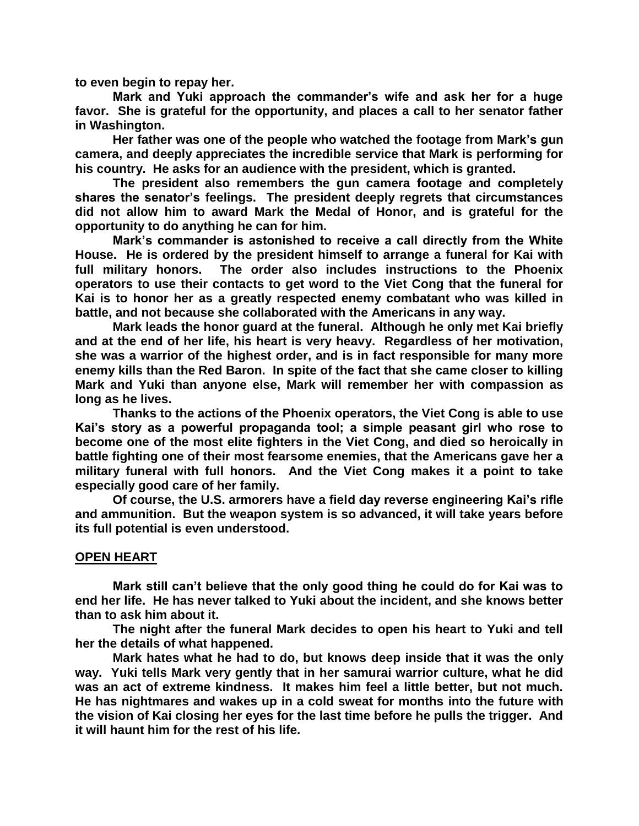**to even begin to repay her.**

**Mark and Yuki approach the commander's wife and ask her for a huge favor. She is grateful for the opportunity, and places a call to her senator father in Washington.**

**Her father was one of the people who watched the footage from Mark's gun camera, and deeply appreciates the incredible service that Mark is performing for his country. He asks for an audience with the president, which is granted.**

**The president also remembers the gun camera footage and completely shares the senator's feelings. The president deeply regrets that circumstances did not allow him to award Mark the Medal of Honor, and is grateful for the opportunity to do anything he can for him.**

**Mark's commander is astonished to receive a call directly from the White House. He is ordered by the president himself to arrange a funeral for Kai with full military honors. The order also includes instructions to the Phoenix operators to use their contacts to get word to the Viet Cong that the funeral for Kai is to honor her as a greatly respected enemy combatant who was killed in battle, and not because she collaborated with the Americans in any way.**

**Mark leads the honor guard at the funeral. Although he only met Kai briefly and at the end of her life, his heart is very heavy. Regardless of her motivation, she was a warrior of the highest order, and is in fact responsible for many more enemy kills than the Red Baron. In spite of the fact that she came closer to killing Mark and Yuki than anyone else, Mark will remember her with compassion as long as he lives.**

**Thanks to the actions of the Phoenix operators, the Viet Cong is able to use Kai's story as a powerful propaganda tool; a simple peasant girl who rose to become one of the most elite fighters in the Viet Cong, and died so heroically in battle fighting one of their most fearsome enemies, that the Americans gave her a military funeral with full honors. And the Viet Cong makes it a point to take especially good care of her family.**

**Of course, the U.S. armorers have a field day reverse engineering Kai's rifle and ammunition. But the weapon system is so advanced, it will take years before its full potential is even understood.**

## **OPEN HEART**

**Mark still can't believe that the only good thing he could do for Kai was to end her life. He has never talked to Yuki about the incident, and she knows better than to ask him about it.**

**The night after the funeral Mark decides to open his heart to Yuki and tell her the details of what happened.**

**Mark hates what he had to do, but knows deep inside that it was the only way. Yuki tells Mark very gently that in her samurai warrior culture, what he did was an act of extreme kindness. It makes him feel a little better, but not much. He has nightmares and wakes up in a cold sweat for months into the future with the vision of Kai closing her eyes for the last time before he pulls the trigger. And it will haunt him for the rest of his life.**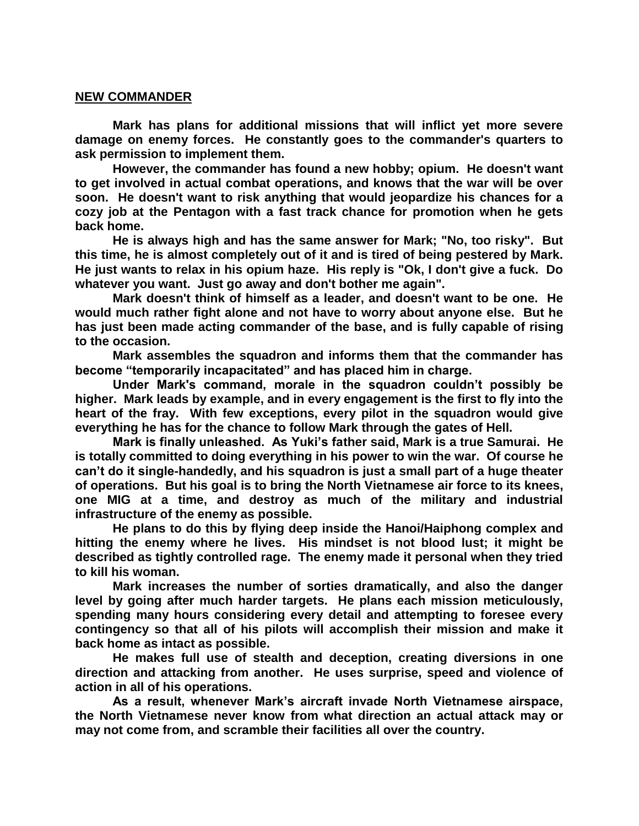#### **NEW COMMANDER**

**Mark has plans for additional missions that will inflict yet more severe damage on enemy forces. He constantly goes to the commander's quarters to ask permission to implement them.**

**However, the commander has found a new hobby; opium. He doesn't want to get involved in actual combat operations, and knows that the war will be over soon. He doesn't want to risk anything that would jeopardize his chances for a cozy job at the Pentagon with a fast track chance for promotion when he gets back home.**

**He is always high and has the same answer for Mark; "No, too risky". But this time, he is almost completely out of it and is tired of being pestered by Mark. He just wants to relax in his opium haze. His reply is "Ok, I don't give a fuck. Do whatever you want. Just go away and don't bother me again".**

**Mark doesn't think of himself as a leader, and doesn't want to be one. He would much rather fight alone and not have to worry about anyone else. But he has just been made acting commander of the base, and is fully capable of rising to the occasion.**

**Mark assembles the squadron and informs them that the commander has become "temporarily incapacitated" and has placed him in charge.**

**Under Mark's command, morale in the squadron couldn't possibly be higher. Mark leads by example, and in every engagement is the first to fly into the heart of the fray. With few exceptions, every pilot in the squadron would give everything he has for the chance to follow Mark through the gates of Hell.**

**Mark is finally unleashed. As Yuki's father said, Mark is a true Samurai. He is totally committed to doing everything in his power to win the war. Of course he can't do it single-handedly, and his squadron is just a small part of a huge theater of operations. But his goal is to bring the North Vietnamese air force to its knees, one MIG at a time, and destroy as much of the military and industrial infrastructure of the enemy as possible.**

**He plans to do this by flying deep inside the Hanoi/Haiphong complex and hitting the enemy where he lives. His mindset is not blood lust; it might be described as tightly controlled rage. The enemy made it personal when they tried to kill his woman.**

**Mark increases the number of sorties dramatically, and also the danger level by going after much harder targets. He plans each mission meticulously, spending many hours considering every detail and attempting to foresee every contingency so that all of his pilots will accomplish their mission and make it back home as intact as possible.**

**He makes full use of stealth and deception, creating diversions in one direction and attacking from another. He uses surprise, speed and violence of action in all of his operations.**

**As a result, whenever Mark's aircraft invade North Vietnamese airspace, the North Vietnamese never know from what direction an actual attack may or may not come from, and scramble their facilities all over the country.**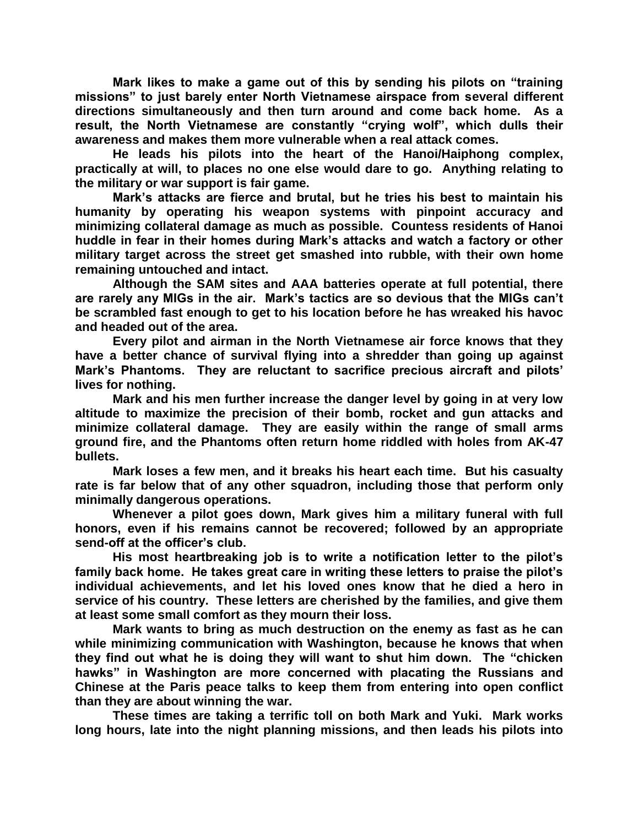**Mark likes to make a game out of this by sending his pilots on "training missions" to just barely enter North Vietnamese airspace from several different directions simultaneously and then turn around and come back home. As a result, the North Vietnamese are constantly "crying wolf", which dulls their awareness and makes them more vulnerable when a real attack comes.**

**He leads his pilots into the heart of the Hanoi/Haiphong complex, practically at will, to places no one else would dare to go. Anything relating to the military or war support is fair game.**

**Mark's attacks are fierce and brutal, but he tries his best to maintain his humanity by operating his weapon systems with pinpoint accuracy and minimizing collateral damage as much as possible. Countess residents of Hanoi huddle in fear in their homes during Mark's attacks and watch a factory or other military target across the street get smashed into rubble, with their own home remaining untouched and intact.**

**Although the SAM sites and AAA batteries operate at full potential, there are rarely any MIGs in the air. Mark's tactics are so devious that the MIGs can't be scrambled fast enough to get to his location before he has wreaked his havoc and headed out of the area.**

**Every pilot and airman in the North Vietnamese air force knows that they have a better chance of survival flying into a shredder than going up against Mark's Phantoms. They are reluctant to sacrifice precious aircraft and pilots' lives for nothing.**

**Mark and his men further increase the danger level by going in at very low altitude to maximize the precision of their bomb, rocket and gun attacks and minimize collateral damage. They are easily within the range of small arms ground fire, and the Phantoms often return home riddled with holes from AK-47 bullets.**

**Mark loses a few men, and it breaks his heart each time. But his casualty rate is far below that of any other squadron, including those that perform only minimally dangerous operations.**

**Whenever a pilot goes down, Mark gives him a military funeral with full honors, even if his remains cannot be recovered; followed by an appropriate send-off at the officer's club.**

**His most heartbreaking job is to write a notification letter to the pilot's family back home. He takes great care in writing these letters to praise the pilot's individual achievements, and let his loved ones know that he died a hero in service of his country. These letters are cherished by the families, and give them at least some small comfort as they mourn their loss.**

**Mark wants to bring as much destruction on the enemy as fast as he can while minimizing communication with Washington, because he knows that when they find out what he is doing they will want to shut him down. The "chicken hawks" in Washington are more concerned with placating the Russians and Chinese at the Paris peace talks to keep them from entering into open conflict than they are about winning the war.**

**These times are taking a terrific toll on both Mark and Yuki. Mark works long hours, late into the night planning missions, and then leads his pilots into**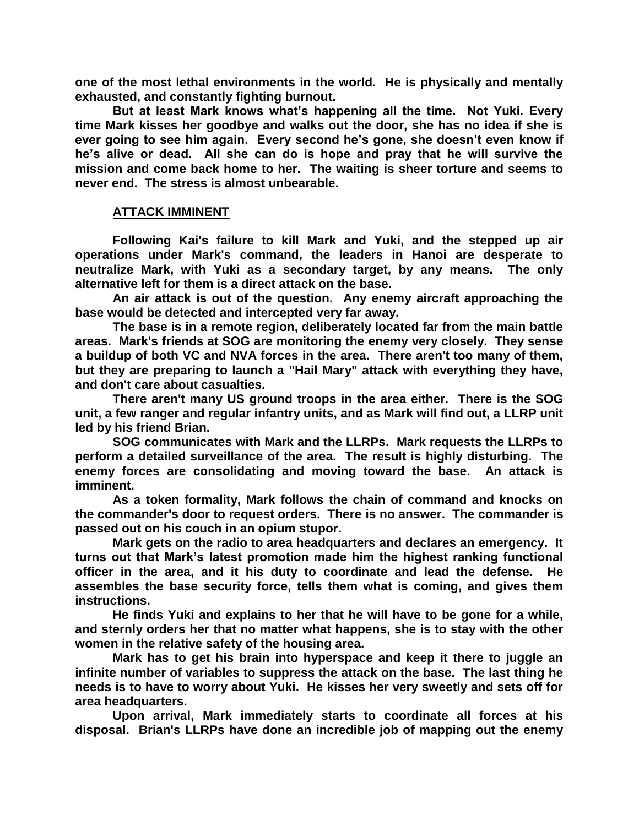**one of the most lethal environments in the world. He is physically and mentally exhausted, and constantly fighting burnout.**

**But at least Mark knows what's happening all the time. Not Yuki. Every time Mark kisses her goodbye and walks out the door, she has no idea if she is ever going to see him again. Every second he's gone, she doesn't even know if he's alive or dead. All she can do is hope and pray that he will survive the mission and come back home to her. The waiting is sheer torture and seems to never end. The stress is almost unbearable.**

# **ATTACK IMMINENT**

**Following Kai's failure to kill Mark and Yuki, and the stepped up air operations under Mark's command, the leaders in Hanoi are desperate to neutralize Mark, with Yuki as a secondary target, by any means. The only alternative left for them is a direct attack on the base.**

**An air attack is out of the question. Any enemy aircraft approaching the base would be detected and intercepted very far away.**

**The base is in a remote region, deliberately located far from the main battle areas. Mark's friends at SOG are monitoring the enemy very closely. They sense a buildup of both VC and NVA forces in the area. There aren't too many of them, but they are preparing to launch a "Hail Mary" attack with everything they have, and don't care about casualties.**

**There aren't many US ground troops in the area either. There is the SOG unit, a few ranger and regular infantry units, and as Mark will find out, a LLRP unit led by his friend Brian.**

**SOG communicates with Mark and the LLRPs. Mark requests the LLRPs to perform a detailed surveillance of the area. The result is highly disturbing. The enemy forces are consolidating and moving toward the base. An attack is imminent.**

**As a token formality, Mark follows the chain of command and knocks on the commander's door to request orders. There is no answer. The commander is passed out on his couch in an opium stupor.**

**Mark gets on the radio to area headquarters and declares an emergency. It turns out that Mark's latest promotion made him the highest ranking functional officer in the area, and it his duty to coordinate and lead the defense. He assembles the base security force, tells them what is coming, and gives them instructions.**

**He finds Yuki and explains to her that he will have to be gone for a while, and sternly orders her that no matter what happens, she is to stay with the other women in the relative safety of the housing area.**

**Mark has to get his brain into hyperspace and keep it there to juggle an infinite number of variables to suppress the attack on the base. The last thing he needs is to have to worry about Yuki. He kisses her very sweetly and sets off for area headquarters.**

**Upon arrival, Mark immediately starts to coordinate all forces at his disposal. Brian's LLRPs have done an incredible job of mapping out the enemy**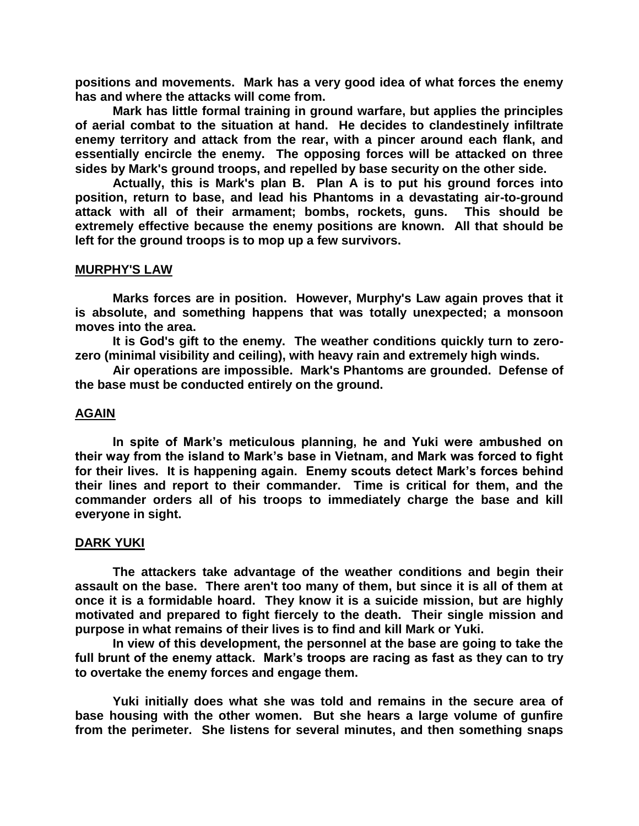**positions and movements. Mark has a very good idea of what forces the enemy has and where the attacks will come from.**

**Mark has little formal training in ground warfare, but applies the principles of aerial combat to the situation at hand. He decides to clandestinely infiltrate enemy territory and attack from the rear, with a pincer around each flank, and essentially encircle the enemy. The opposing forces will be attacked on three sides by Mark's ground troops, and repelled by base security on the other side.**

**Actually, this is Mark's plan B. Plan A is to put his ground forces into position, return to base, and lead his Phantoms in a devastating air-to-ground attack with all of their armament; bombs, rockets, guns. This should be**  extremely effective because the enemy positions are known. All that should be **left for the ground troops is to mop up a few survivors.**

#### **MURPHY'S LAW**

**Marks forces are in position. However, Murphy's Law again proves that it is absolute, and something happens that was totally unexpected; a monsoon moves into the area.**

**It is God's gift to the enemy. The weather conditions quickly turn to zerozero (minimal visibility and ceiling), with heavy rain and extremely high winds.**

**Air operations are impossible. Mark's Phantoms are grounded. Defense of the base must be conducted entirely on the ground.**

#### **AGAIN**

**In spite of Mark's meticulous planning, he and Yuki were ambushed on their way from the island to Mark's base in Vietnam, and Mark was forced to fight for their lives. It is happening again. Enemy scouts detect Mark's forces behind their lines and report to their commander. Time is critical for them, and the commander orders all of his troops to immediately charge the base and kill everyone in sight.**

#### **DARK YUKI**

**The attackers take advantage of the weather conditions and begin their assault on the base. There aren't too many of them, but since it is all of them at once it is a formidable hoard. They know it is a suicide mission, but are highly motivated and prepared to fight fiercely to the death. Their single mission and purpose in what remains of their lives is to find and kill Mark or Yuki.**

**In view of this development, the personnel at the base are going to take the full brunt of the enemy attack. Mark's troops are racing as fast as they can to try to overtake the enemy forces and engage them.**

**Yuki initially does what she was told and remains in the secure area of base housing with the other women. But she hears a large volume of gunfire from the perimeter. She listens for several minutes, and then something snaps**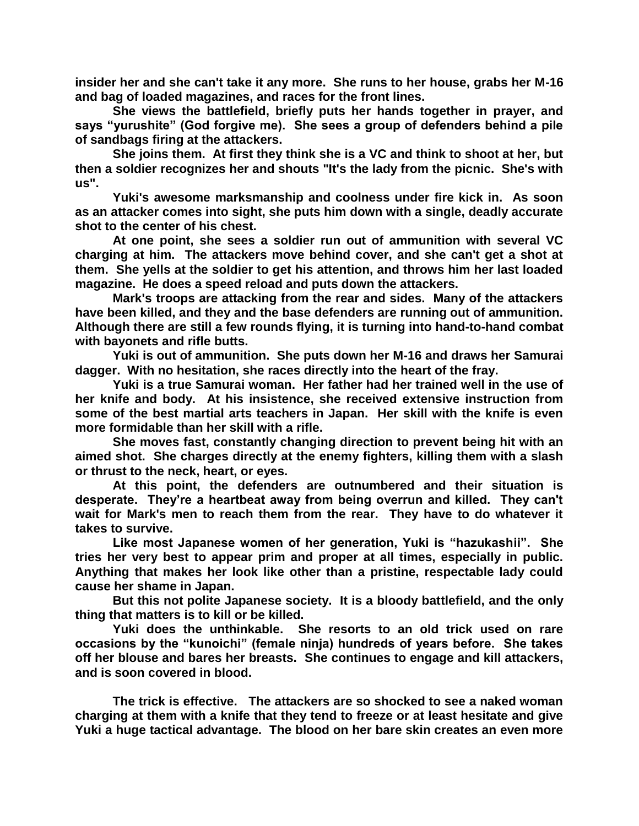**insider her and she can't take it any more. She runs to her house, grabs her M-16 and bag of loaded magazines, and races for the front lines.**

**She views the battlefield, briefly puts her hands together in prayer, and says "yurushite" (God forgive me). She sees a group of defenders behind a pile of sandbags firing at the attackers.**

**She joins them. At first they think she is a VC and think to shoot at her, but then a soldier recognizes her and shouts "It's the lady from the picnic. She's with us".**

**Yuki's awesome marksmanship and coolness under fire kick in. As soon as an attacker comes into sight, she puts him down with a single, deadly accurate shot to the center of his chest.**

**At one point, she sees a soldier run out of ammunition with several VC charging at him. The attackers move behind cover, and she can't get a shot at them. She yells at the soldier to get his attention, and throws him her last loaded magazine. He does a speed reload and puts down the attackers.**

**Mark's troops are attacking from the rear and sides. Many of the attackers have been killed, and they and the base defenders are running out of ammunition. Although there are still a few rounds flying, it is turning into hand-to-hand combat with bayonets and rifle butts.**

**Yuki is out of ammunition. She puts down her M-16 and draws her Samurai dagger. With no hesitation, she races directly into the heart of the fray.**

**Yuki is a true Samurai woman. Her father had her trained well in the use of her knife and body. At his insistence, she received extensive instruction from some of the best martial arts teachers in Japan. Her skill with the knife is even more formidable than her skill with a rifle.**

**She moves fast, constantly changing direction to prevent being hit with an aimed shot. She charges directly at the enemy fighters, killing them with a slash or thrust to the neck, heart, or eyes.**

**At this point, the defenders are outnumbered and their situation is desperate. They're a heartbeat away from being overrun and killed. They can't wait for Mark's men to reach them from the rear. They have to do whatever it takes to survive.**

**Like most Japanese women of her generation, Yuki is "hazukashii". She tries her very best to appear prim and proper at all times, especially in public. Anything that makes her look like other than a pristine, respectable lady could cause her shame in Japan.**

**But this not polite Japanese society. It is a bloody battlefield, and the only thing that matters is to kill or be killed.**

**Yuki does the unthinkable. She resorts to an old trick used on rare occasions by the "kunoichi" (female ninja) hundreds of years before. She takes off her blouse and bares her breasts. She continues to engage and kill attackers, and is soon covered in blood.**

**The trick is effective. The attackers are so shocked to see a naked woman charging at them with a knife that they tend to freeze or at least hesitate and give Yuki a huge tactical advantage. The blood on her bare skin creates an even more**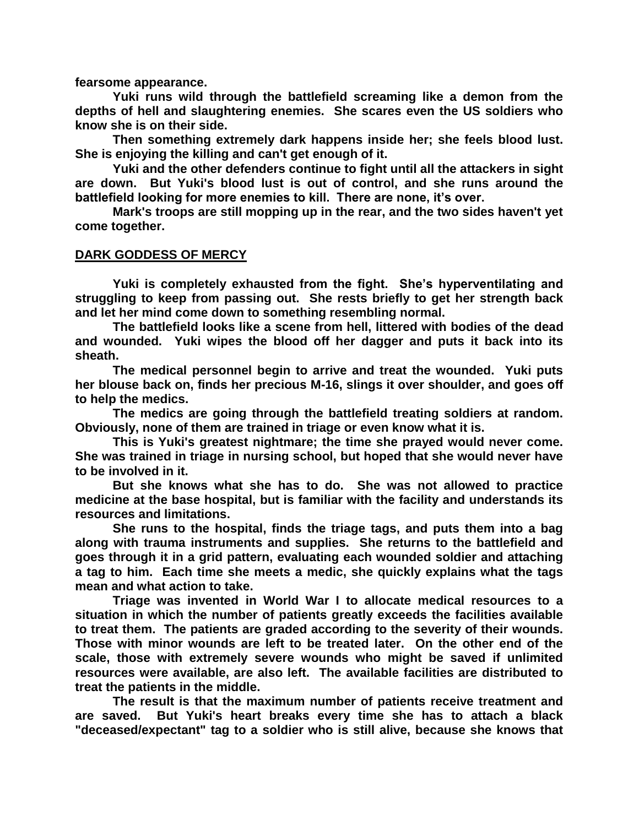**fearsome appearance.**

**Yuki runs wild through the battlefield screaming like a demon from the depths of hell and slaughtering enemies. She scares even the US soldiers who know she is on their side.**

**Then something extremely dark happens inside her; she feels blood lust. She is enjoying the killing and can't get enough of it.**

**Yuki and the other defenders continue to fight until all the attackers in sight are down. But Yuki's blood lust is out of control, and she runs around the battlefield looking for more enemies to kill. There are none, it's over.**

**Mark's troops are still mopping up in the rear, and the two sides haven't yet come together.**

#### **DARK GODDESS OF MERCY**

**Yuki is completely exhausted from the fight. She's hyperventilating and struggling to keep from passing out. She rests briefly to get her strength back and let her mind come down to something resembling normal.**

**The battlefield looks like a scene from hell, littered with bodies of the dead and wounded. Yuki wipes the blood off her dagger and puts it back into its sheath.**

**The medical personnel begin to arrive and treat the wounded. Yuki puts her blouse back on, finds her precious M-16, slings it over shoulder, and goes off to help the medics.**

**The medics are going through the battlefield treating soldiers at random. Obviously, none of them are trained in triage or even know what it is.**

**This is Yuki's greatest nightmare; the time she prayed would never come. She was trained in triage in nursing school, but hoped that she would never have to be involved in it.**

**But she knows what she has to do. She was not allowed to practice medicine at the base hospital, but is familiar with the facility and understands its resources and limitations.**

**She runs to the hospital, finds the triage tags, and puts them into a bag along with trauma instruments and supplies. She returns to the battlefield and goes through it in a grid pattern, evaluating each wounded soldier and attaching a tag to him. Each time she meets a medic, she quickly explains what the tags mean and what action to take.**

**Triage was invented in World War I to allocate medical resources to a situation in which the number of patients greatly exceeds the facilities available to treat them. The patients are graded according to the severity of their wounds. Those with minor wounds are left to be treated later. On the other end of the scale, those with extremely severe wounds who might be saved if unlimited resources were available, are also left. The available facilities are distributed to treat the patients in the middle.**

**The result is that the maximum number of patients receive treatment and are saved. But Yuki's heart breaks every time she has to attach a black "deceased/expectant" tag to a soldier who is still alive, because she knows that**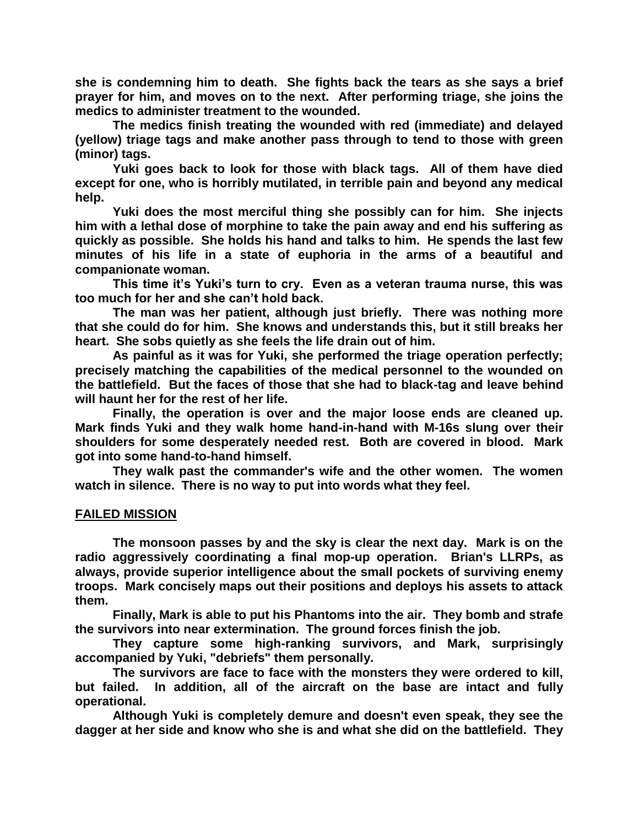**she is condemning him to death. She fights back the tears as she says a brief prayer for him, and moves on to the next. After performing triage, she joins the medics to administer treatment to the wounded.**

**The medics finish treating the wounded with red (immediate) and delayed (yellow) triage tags and make another pass through to tend to those with green (minor) tags.**

**Yuki goes back to look for those with black tags. All of them have died except for one, who is horribly mutilated, in terrible pain and beyond any medical help.**

**Yuki does the most merciful thing she possibly can for him. She injects him with a lethal dose of morphine to take the pain away and end his suffering as quickly as possible. She holds his hand and talks to him. He spends the last few minutes of his life in a state of euphoria in the arms of a beautiful and companionate woman.**

**This time it's Yuki's turn to cry. Even as a veteran trauma nurse, this was too much for her and she can't hold back.**

**The man was her patient, although just briefly. There was nothing more that she could do for him. She knows and understands this, but it still breaks her heart. She sobs quietly as she feels the life drain out of him.**

**As painful as it was for Yuki, she performed the triage operation perfectly; precisely matching the capabilities of the medical personnel to the wounded on the battlefield. But the faces of those that she had to black-tag and leave behind will haunt her for the rest of her life.**

**Finally, the operation is over and the major loose ends are cleaned up. Mark finds Yuki and they walk home hand-in-hand with M-16s slung over their shoulders for some desperately needed rest. Both are covered in blood. Mark got into some hand-to-hand himself.**

**They walk past the commander's wife and the other women. The women watch in silence. There is no way to put into words what they feel.**

## **FAILED MISSION**

**The monsoon passes by and the sky is clear the next day. Mark is on the radio aggressively coordinating a final mop-up operation. Brian's LLRPs, as always, provide superior intelligence about the small pockets of surviving enemy troops. Mark concisely maps out their positions and deploys his assets to attack them.**

**Finally, Mark is able to put his Phantoms into the air. They bomb and strafe the survivors into near extermination. The ground forces finish the job.**

**They capture some high-ranking survivors, and Mark, surprisingly accompanied by Yuki, "debriefs" them personally.**

**The survivors are face to face with the monsters they were ordered to kill, but failed. In addition, all of the aircraft on the base are intact and fully operational.**

**Although Yuki is completely demure and doesn't even speak, they see the dagger at her side and know who she is and what she did on the battlefield. They**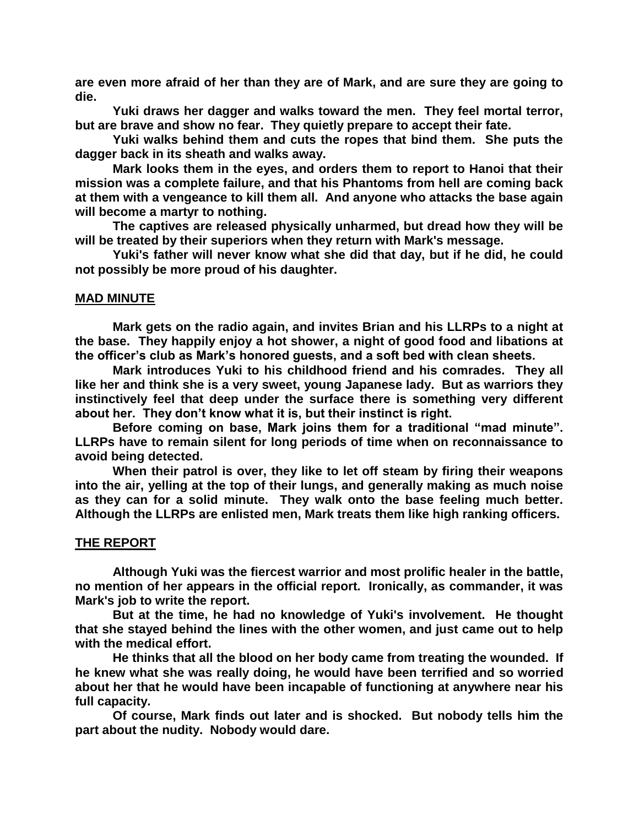**are even more afraid of her than they are of Mark, and are sure they are going to die.**

**Yuki draws her dagger and walks toward the men. They feel mortal terror, but are brave and show no fear. They quietly prepare to accept their fate.**

**Yuki walks behind them and cuts the ropes that bind them. She puts the dagger back in its sheath and walks away.**

**Mark looks them in the eyes, and orders them to report to Hanoi that their mission was a complete failure, and that his Phantoms from hell are coming back at them with a vengeance to kill them all. And anyone who attacks the base again will become a martyr to nothing.**

**The captives are released physically unharmed, but dread how they will be will be treated by their superiors when they return with Mark's message.**

**Yuki's father will never know what she did that day, but if he did, he could not possibly be more proud of his daughter.**

#### **MAD MINUTE**

**Mark gets on the radio again, and invites Brian and his LLRPs to a night at the base. They happily enjoy a hot shower, a night of good food and libations at the officer's club as Mark's honored guests, and a soft bed with clean sheets.**

**Mark introduces Yuki to his childhood friend and his comrades. They all like her and think she is a very sweet, young Japanese lady. But as warriors they instinctively feel that deep under the surface there is something very different about her. They don't know what it is, but their instinct is right.**

**Before coming on base, Mark joins them for a traditional "mad minute". LLRPs have to remain silent for long periods of time when on reconnaissance to avoid being detected.**

**When their patrol is over, they like to let off steam by firing their weapons into the air, yelling at the top of their lungs, and generally making as much noise as they can for a solid minute. They walk onto the base feeling much better. Although the LLRPs are enlisted men, Mark treats them like high ranking officers.**

#### **THE REPORT**

**Although Yuki was the fiercest warrior and most prolific healer in the battle, no mention of her appears in the official report. Ironically, as commander, it was Mark's job to write the report.**

**But at the time, he had no knowledge of Yuki's involvement. He thought that she stayed behind the lines with the other women, and just came out to help with the medical effort.**

**He thinks that all the blood on her body came from treating the wounded. If he knew what she was really doing, he would have been terrified and so worried about her that he would have been incapable of functioning at anywhere near his full capacity.**

**Of course, Mark finds out later and is shocked. But nobody tells him the part about the nudity. Nobody would dare.**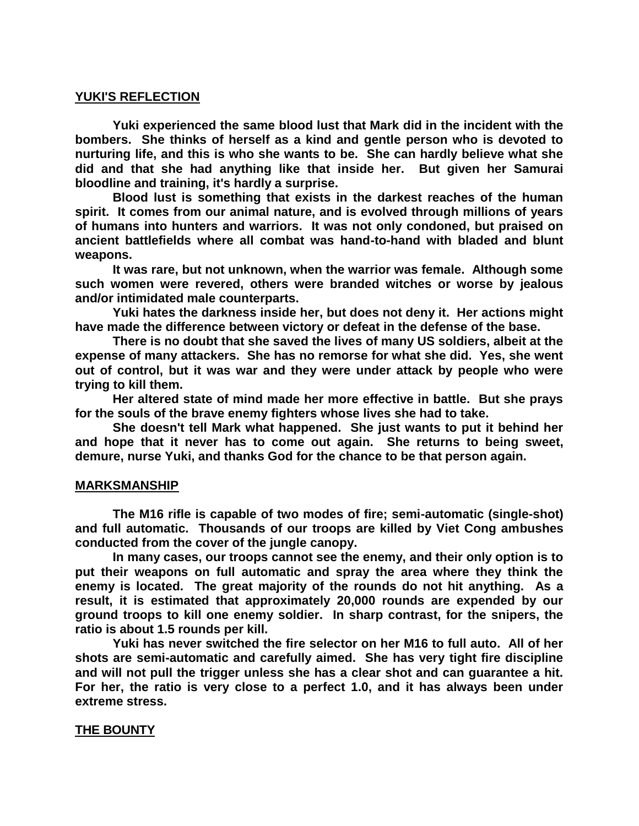## **YUKI'S REFLECTION**

**Yuki experienced the same blood lust that Mark did in the incident with the bombers. She thinks of herself as a kind and gentle person who is devoted to nurturing life, and this is who she wants to be. She can hardly believe what she did and that she had anything like that inside her. But given her Samurai bloodline and training, it's hardly a surprise.**

**Blood lust is something that exists in the darkest reaches of the human spirit. It comes from our animal nature, and is evolved through millions of years of humans into hunters and warriors. It was not only condoned, but praised on ancient battlefields where all combat was hand-to-hand with bladed and blunt weapons.**

**It was rare, but not unknown, when the warrior was female. Although some such women were revered, others were branded witches or worse by jealous and/or intimidated male counterparts.**

**Yuki hates the darkness inside her, but does not deny it. Her actions might have made the difference between victory or defeat in the defense of the base.**

**There is no doubt that she saved the lives of many US soldiers, albeit at the expense of many attackers. She has no remorse for what she did. Yes, she went out of control, but it was war and they were under attack by people who were trying to kill them.**

**Her altered state of mind made her more effective in battle. But she prays for the souls of the brave enemy fighters whose lives she had to take.**

**She doesn't tell Mark what happened. She just wants to put it behind her and hope that it never has to come out again. She returns to being sweet, demure, nurse Yuki, and thanks God for the chance to be that person again.**

#### **MARKSMANSHIP**

**The M16 rifle is capable of two modes of fire; semi-automatic (single-shot) and full automatic. Thousands of our troops are killed by Viet Cong ambushes conducted from the cover of the jungle canopy.**

**In many cases, our troops cannot see the enemy, and their only option is to put their weapons on full automatic and spray the area where they think the enemy is located. The great majority of the rounds do not hit anything. As a result, it is estimated that approximately 20,000 rounds are expended by our ground troops to kill one enemy soldier. In sharp contrast, for the snipers, the ratio is about 1.5 rounds per kill.**

**Yuki has never switched the fire selector on her M16 to full auto. All of her shots are semi-automatic and carefully aimed. She has very tight fire discipline and will not pull the trigger unless she has a clear shot and can guarantee a hit. For her, the ratio is very close to a perfect 1.0, and it has always been under extreme stress.**

## **THE BOUNTY**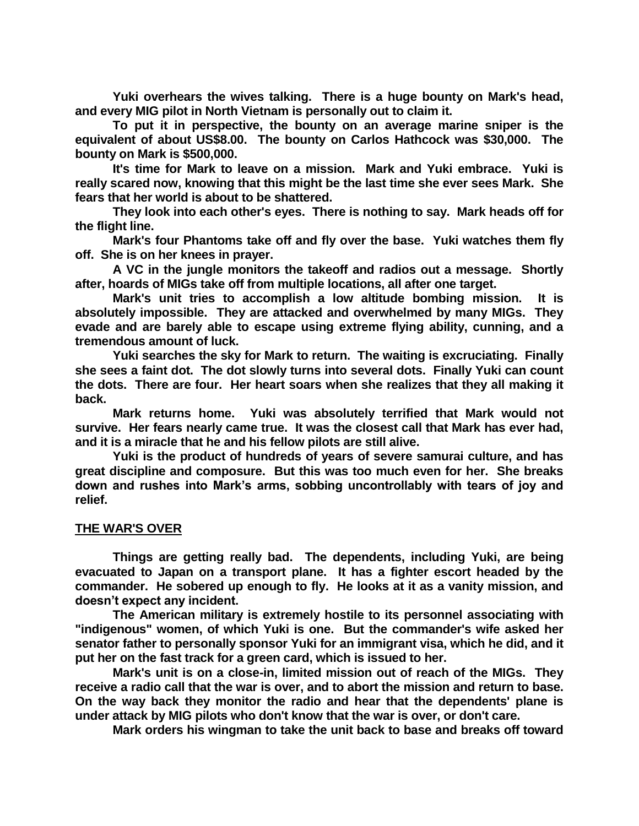**Yuki overhears the wives talking. There is a huge bounty on Mark's head, and every MIG pilot in North Vietnam is personally out to claim it.**

**To put it in perspective, the bounty on an average marine sniper is the equivalent of about US\$8.00. The bounty on Carlos Hathcock was \$30,000. The bounty on Mark is \$500,000.**

**It's time for Mark to leave on a mission. Mark and Yuki embrace. Yuki is really scared now, knowing that this might be the last time she ever sees Mark. She fears that her world is about to be shattered.**

**They look into each other's eyes. There is nothing to say. Mark heads off for the flight line.**

**Mark's four Phantoms take off and fly over the base. Yuki watches them fly off. She is on her knees in prayer.**

**A VC in the jungle monitors the takeoff and radios out a message. Shortly after, hoards of MIGs take off from multiple locations, all after one target.**

**Mark's unit tries to accomplish a low altitude bombing mission. It is absolutely impossible. They are attacked and overwhelmed by many MIGs. They evade and are barely able to escape using extreme flying ability, cunning, and a tremendous amount of luck.**

**Yuki searches the sky for Mark to return. The waiting is excruciating. Finally she sees a faint dot. The dot slowly turns into several dots. Finally Yuki can count the dots. There are four. Her heart soars when she realizes that they all making it back.**

**Mark returns home. Yuki was absolutely terrified that Mark would not survive. Her fears nearly came true. It was the closest call that Mark has ever had, and it is a miracle that he and his fellow pilots are still alive.**

**Yuki is the product of hundreds of years of severe samurai culture, and has great discipline and composure. But this was too much even for her. She breaks down and rushes into Mark's arms, sobbing uncontrollably with tears of joy and relief.**

## **THE WAR'S OVER**

**Things are getting really bad. The dependents, including Yuki, are being evacuated to Japan on a transport plane. It has a fighter escort headed by the commander. He sobered up enough to fly. He looks at it as a vanity mission, and doesn't expect any incident.**

**The American military is extremely hostile to its personnel associating with "indigenous" women, of which Yuki is one. But the commander's wife asked her senator father to personally sponsor Yuki for an immigrant visa, which he did, and it put her on the fast track for a green card, which is issued to her.**

**Mark's unit is on a close-in, limited mission out of reach of the MIGs. They receive a radio call that the war is over, and to abort the mission and return to base. On the way back they monitor the radio and hear that the dependents' plane is under attack by MIG pilots who don't know that the war is over, or don't care.**

**Mark orders his wingman to take the unit back to base and breaks off toward**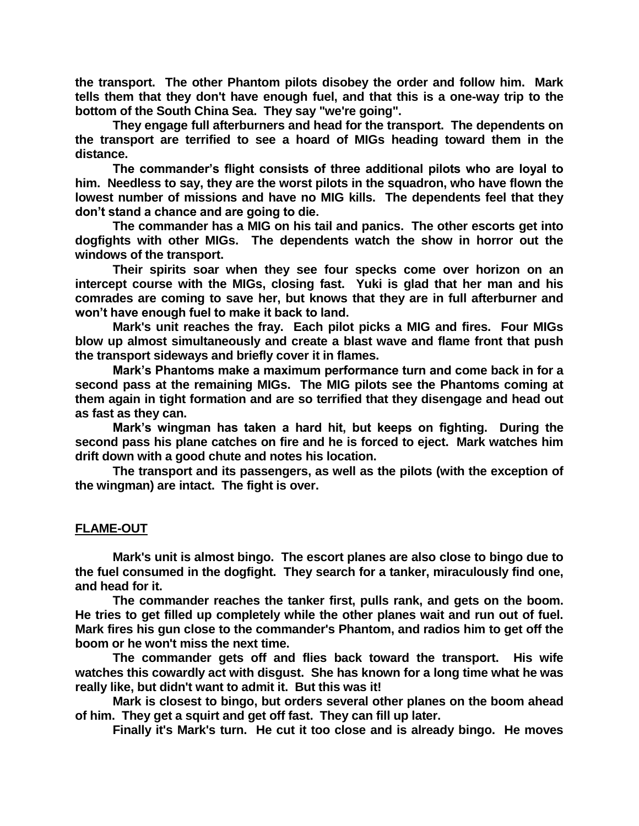**the transport. The other Phantom pilots disobey the order and follow him. Mark tells them that they don't have enough fuel, and that this is a one-way trip to the bottom of the South China Sea. They say "we're going".**

**They engage full afterburners and head for the transport. The dependents on the transport are terrified to see a hoard of MIGs heading toward them in the distance.**

**The commander's flight consists of three additional pilots who are loyal to him. Needless to say, they are the worst pilots in the squadron, who have flown the lowest number of missions and have no MIG kills. The dependents feel that they don't stand a chance and are going to die.**

**The commander has a MIG on his tail and panics. The other escorts get into dogfights with other MIGs. The dependents watch the show in horror out the windows of the transport.**

**Their spirits soar when they see four specks come over horizon on an intercept course with the MIGs, closing fast. Yuki is glad that her man and his comrades are coming to save her, but knows that they are in full afterburner and won't have enough fuel to make it back to land.**

**Mark's unit reaches the fray. Each pilot picks a MIG and fires. Four MIGs blow up almost simultaneously and create a blast wave and flame front that push the transport sideways and briefly cover it in flames.**

**Mark's Phantoms make a maximum performance turn and come back in for a second pass at the remaining MIGs. The MIG pilots see the Phantoms coming at them again in tight formation and are so terrified that they disengage and head out as fast as they can.**

**Mark's wingman has taken a hard hit, but keeps on fighting. During the second pass his plane catches on fire and he is forced to eject. Mark watches him drift down with a good chute and notes his location.**

**The transport and its passengers, as well as the pilots (with the exception of the wingman) are intact. The fight is over.**

## **FLAME-OUT**

**Mark's unit is almost bingo. The escort planes are also close to bingo due to the fuel consumed in the dogfight. They search for a tanker, miraculously find one, and head for it.**

**The commander reaches the tanker first, pulls rank, and gets on the boom. He tries to get filled up completely while the other planes wait and run out of fuel. Mark fires his gun close to the commander's Phantom, and radios him to get off the boom or he won't miss the next time.**

**The commander gets off and flies back toward the transport. His wife watches this cowardly act with disgust. She has known for a long time what he was really like, but didn't want to admit it. But this was it!**

**Mark is closest to bingo, but orders several other planes on the boom ahead of him. They get a squirt and get off fast. They can fill up later.**

**Finally it's Mark's turn. He cut it too close and is already bingo. He moves**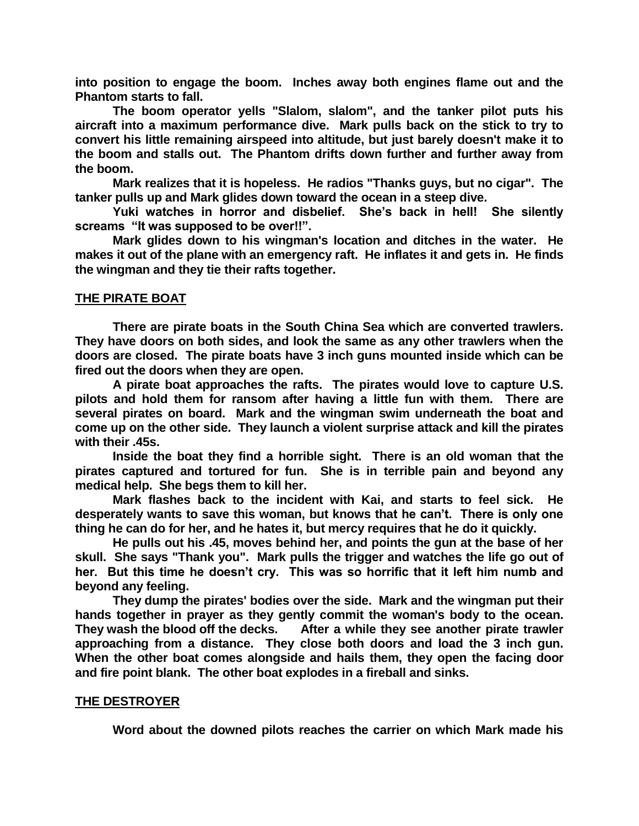**into position to engage the boom. Inches away both engines flame out and the Phantom starts to fall.**

**The boom operator yells "Slalom, slalom", and the tanker pilot puts his aircraft into a maximum performance dive. Mark pulls back on the stick to try to convert his little remaining airspeed into altitude, but just barely doesn't make it to the boom and stalls out. The Phantom drifts down further and further away from the boom.**

**Mark realizes that it is hopeless. He radios "Thanks guys, but no cigar". The tanker pulls up and Mark glides down toward the ocean in a steep dive.**

**Yuki watches in horror and disbelief. She's back in hell! She silently screams "It was supposed to be over!!".**

**Mark glides down to his wingman's location and ditches in the water. He makes it out of the plane with an emergency raft. He inflates it and gets in. He finds the wingman and they tie their rafts together.**

## **THE PIRATE BOAT**

**There are pirate boats in the South China Sea which are converted trawlers. They have doors on both sides, and look the same as any other trawlers when the doors are closed. The pirate boats have 3 inch guns mounted inside which can be fired out the doors when they are open.**

**A pirate boat approaches the rafts. The pirates would love to capture U.S. pilots and hold them for ransom after having a little fun with them. There are several pirates on board. Mark and the wingman swim underneath the boat and come up on the other side. They launch a violent surprise attack and kill the pirates with their .45s.**

**Inside the boat they find a horrible sight. There is an old woman that the pirates captured and tortured for fun. She is in terrible pain and beyond any medical help. She begs them to kill her.**

**Mark flashes back to the incident with Kai, and starts to feel sick. He desperately wants to save this woman, but knows that he can't. There is only one thing he can do for her, and he hates it, but mercy requires that he do it quickly.**

**He pulls out his .45, moves behind her, and points the gun at the base of her skull. She says "Thank you". Mark pulls the trigger and watches the life go out of her. But this time he doesn't cry. This was so horrific that it left him numb and beyond any feeling.**

**They dump the pirates' bodies over the side. Mark and the wingman put their hands together in prayer as they gently commit the woman's body to the ocean. They wash the blood off the decks. After a while they see another pirate trawler approaching from a distance. They close both doors and load the 3 inch gun. When the other boat comes alongside and hails them, they open the facing door and fire point blank. The other boat explodes in a fireball and sinks.** 

## **THE DESTROYER**

**Word about the downed pilots reaches the carrier on which Mark made his**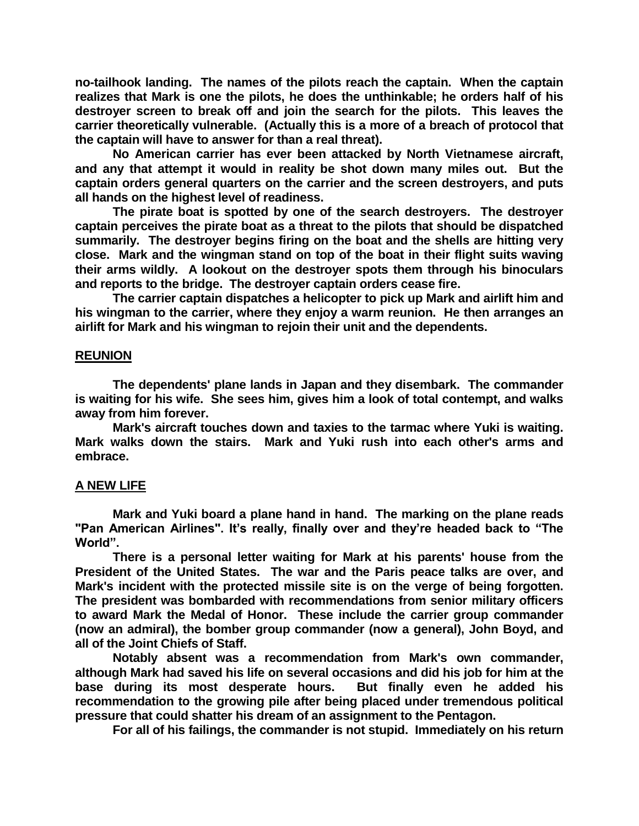**no-tailhook landing. The names of the pilots reach the captain. When the captain realizes that Mark is one the pilots, he does the unthinkable; he orders half of his destroyer screen to break off and join the search for the pilots. This leaves the carrier theoretically vulnerable. (Actually this is a more of a breach of protocol that the captain will have to answer for than a real threat).**

**No American carrier has ever been attacked by North Vietnamese aircraft, and any that attempt it would in reality be shot down many miles out. But the captain orders general quarters on the carrier and the screen destroyers, and puts all hands on the highest level of readiness.**

**The pirate boat is spotted by one of the search destroyers. The destroyer captain perceives the pirate boat as a threat to the pilots that should be dispatched summarily. The destroyer begins firing on the boat and the shells are hitting very close. Mark and the wingman stand on top of the boat in their flight suits waving their arms wildly. A lookout on the destroyer spots them through his binoculars and reports to the bridge. The destroyer captain orders cease fire.**

**The carrier captain dispatches a helicopter to pick up Mark and airlift him and his wingman to the carrier, where they enjoy a warm reunion. He then arranges an airlift for Mark and his wingman to rejoin their unit and the dependents.**

#### **REUNION**

**The dependents' plane lands in Japan and they disembark. The commander is waiting for his wife. She sees him, gives him a look of total contempt, and walks away from him forever.**

**Mark's aircraft touches down and taxies to the tarmac where Yuki is waiting. Mark walks down the stairs. Mark and Yuki rush into each other's arms and embrace.**

#### **A NEW LIFE**

**Mark and Yuki board a plane hand in hand. The marking on the plane reads "Pan American Airlines". It's really, finally over and they're headed back to "The World".**

**There is a personal letter waiting for Mark at his parents' house from the President of the United States. The war and the Paris peace talks are over, and Mark's incident with the protected missile site is on the verge of being forgotten. The president was bombarded with recommendations from senior military officers to award Mark the Medal of Honor. These include the carrier group commander (now an admiral), the bomber group commander (now a general), John Boyd, and all of the Joint Chiefs of Staff.**

**Notably absent was a recommendation from Mark's own commander, although Mark had saved his life on several occasions and did his job for him at the base during its most desperate hours. But finally even he added his recommendation to the growing pile after being placed under tremendous political pressure that could shatter his dream of an assignment to the Pentagon.**

**For all of his failings, the commander is not stupid. Immediately on his return**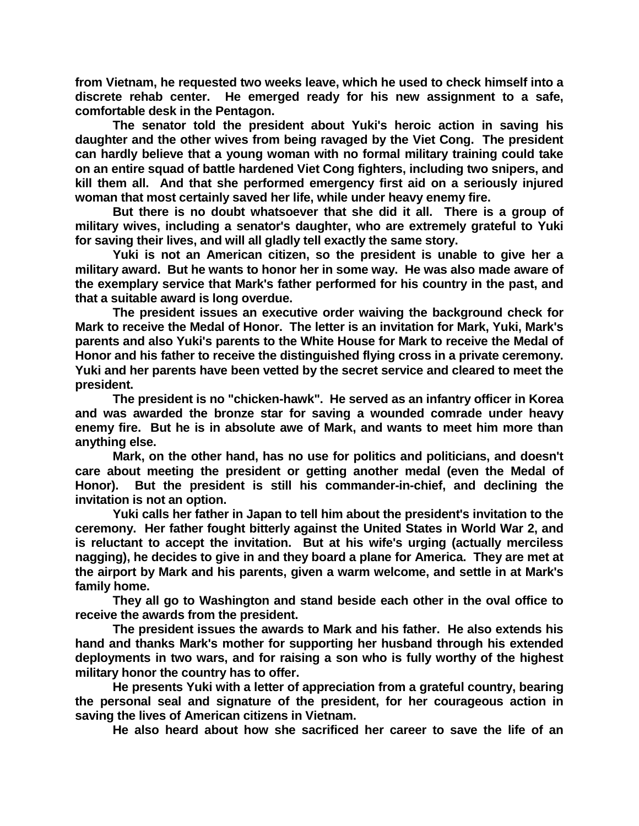**from Vietnam, he requested two weeks leave, which he used to check himself into a discrete rehab center. He emerged ready for his new assignment to a safe, comfortable desk in the Pentagon.**

**The senator told the president about Yuki's heroic action in saving his daughter and the other wives from being ravaged by the Viet Cong. The president can hardly believe that a young woman with no formal military training could take on an entire squad of battle hardened Viet Cong fighters, including two snipers, and kill them all. And that she performed emergency first aid on a seriously injured woman that most certainly saved her life, while under heavy enemy fire.**

**But there is no doubt whatsoever that she did it all. There is a group of military wives, including a senator's daughter, who are extremely grateful to Yuki for saving their lives, and will all gladly tell exactly the same story.**

**Yuki is not an American citizen, so the president is unable to give her a military award. But he wants to honor her in some way. He was also made aware of the exemplary service that Mark's father performed for his country in the past, and that a suitable award is long overdue.**

**The president issues an executive order waiving the background check for Mark to receive the Medal of Honor. The letter is an invitation for Mark, Yuki, Mark's parents and also Yuki's parents to the White House for Mark to receive the Medal of Honor and his father to receive the distinguished flying cross in a private ceremony. Yuki and her parents have been vetted by the secret service and cleared to meet the president.**

**The president is no "chicken-hawk". He served as an infantry officer in Korea and was awarded the bronze star for saving a wounded comrade under heavy enemy fire. But he is in absolute awe of Mark, and wants to meet him more than anything else.**

**Mark, on the other hand, has no use for politics and politicians, and doesn't care about meeting the president or getting another medal (even the Medal of Honor). But the president is still his commander-in-chief, and declining the invitation is not an option.**

**Yuki calls her father in Japan to tell him about the president's invitation to the ceremony. Her father fought bitterly against the United States in World War 2, and is reluctant to accept the invitation. But at his wife's urging (actually merciless nagging), he decides to give in and they board a plane for America. They are met at the airport by Mark and his parents, given a warm welcome, and settle in at Mark's family home.**

**They all go to Washington and stand beside each other in the oval office to receive the awards from the president.**

**The president issues the awards to Mark and his father. He also extends his hand and thanks Mark's mother for supporting her husband through his extended deployments in two wars, and for raising a son who is fully worthy of the highest military honor the country has to offer.**

**He presents Yuki with a letter of appreciation from a grateful country, bearing the personal seal and signature of the president, for her courageous action in saving the lives of American citizens in Vietnam.**

**He also heard about how she sacrificed her career to save the life of an**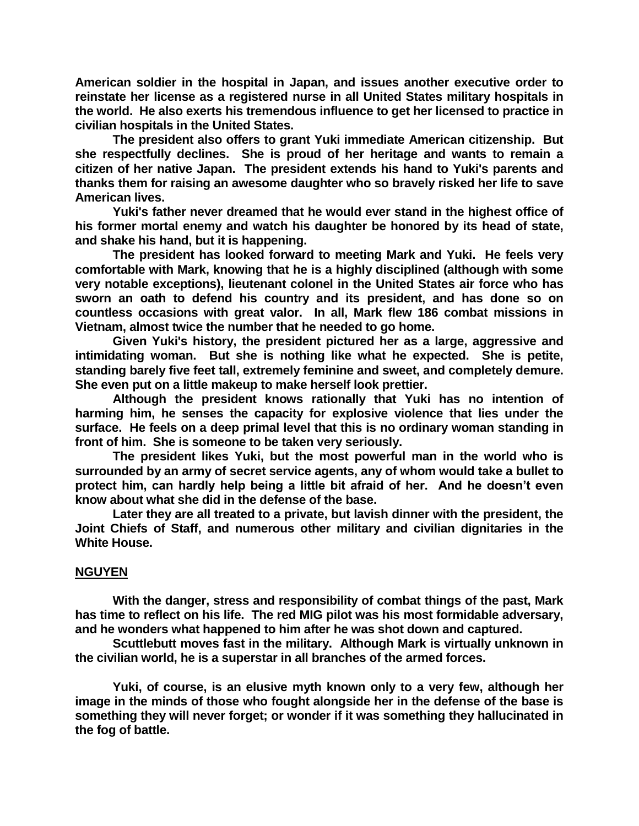**American soldier in the hospital in Japan, and issues another executive order to reinstate her license as a registered nurse in all United States military hospitals in the world. He also exerts his tremendous influence to get her licensed to practice in civilian hospitals in the United States.**

**The president also offers to grant Yuki immediate American citizenship. But she respectfully declines. She is proud of her heritage and wants to remain a citizen of her native Japan. The president extends his hand to Yuki's parents and thanks them for raising an awesome daughter who so bravely risked her life to save American lives.**

**Yuki's father never dreamed that he would ever stand in the highest office of his former mortal enemy and watch his daughter be honored by its head of state, and shake his hand, but it is happening.**

**The president has looked forward to meeting Mark and Yuki. He feels very comfortable with Mark, knowing that he is a highly disciplined (although with some very notable exceptions), lieutenant colonel in the United States air force who has sworn an oath to defend his country and its president, and has done so on countless occasions with great valor. In all, Mark flew 186 combat missions in Vietnam, almost twice the number that he needed to go home.**

**Given Yuki's history, the president pictured her as a large, aggressive and intimidating woman. But she is nothing like what he expected. She is petite, standing barely five feet tall, extremely feminine and sweet, and completely demure. She even put on a little makeup to make herself look prettier.**

**Although the president knows rationally that Yuki has no intention of harming him, he senses the capacity for explosive violence that lies under the surface. He feels on a deep primal level that this is no ordinary woman standing in front of him. She is someone to be taken very seriously.**

**The president likes Yuki, but the most powerful man in the world who is surrounded by an army of secret service agents, any of whom would take a bullet to protect him, can hardly help being a little bit afraid of her. And he doesn't even know about what she did in the defense of the base.**

**Later they are all treated to a private, but lavish dinner with the president, the Joint Chiefs of Staff, and numerous other military and civilian dignitaries in the White House.**

## **NGUYEN**

**With the danger, stress and responsibility of combat things of the past, Mark has time to reflect on his life. The red MIG pilot was his most formidable adversary, and he wonders what happened to him after he was shot down and captured.**

**Scuttlebutt moves fast in the military. Although Mark is virtually unknown in the civilian world, he is a superstar in all branches of the armed forces.**

**Yuki, of course, is an elusive myth known only to a very few, although her image in the minds of those who fought alongside her in the defense of the base is something they will never forget; or wonder if it was something they hallucinated in the fog of battle.**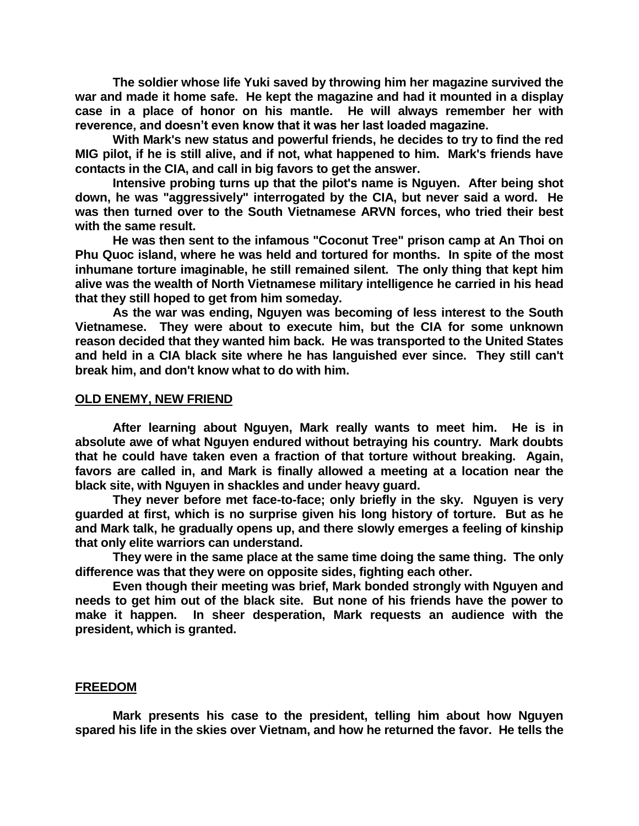**The soldier whose life Yuki saved by throwing him her magazine survived the war and made it home safe. He kept the magazine and had it mounted in a display case in a place of honor on his mantle. He will always remember her with reverence, and doesn't even know that it was her last loaded magazine.**

**With Mark's new status and powerful friends, he decides to try to find the red MIG pilot, if he is still alive, and if not, what happened to him. Mark's friends have contacts in the CIA, and call in big favors to get the answer.**

**Intensive probing turns up that the pilot's name is Nguyen. After being shot down, he was "aggressively" interrogated by the CIA, but never said a word. He was then turned over to the South Vietnamese ARVN forces, who tried their best with the same result.**

**He was then sent to the infamous "Coconut Tree" prison camp at An Thoi on Phu Quoc island, where he was held and tortured for months. In spite of the most inhumane torture imaginable, he still remained silent. The only thing that kept him alive was the wealth of North Vietnamese military intelligence he carried in his head that they still hoped to get from him someday.**

**As the war was ending, Nguyen was becoming of less interest to the South Vietnamese. They were about to execute him, but the CIA for some unknown reason decided that they wanted him back. He was transported to the United States and held in a CIA black site where he has languished ever since. They still can't break him, and don't know what to do with him.**

#### **OLD ENEMY, NEW FRIEND**

**After learning about Nguyen, Mark really wants to meet him. He is in absolute awe of what Nguyen endured without betraying his country. Mark doubts that he could have taken even a fraction of that torture without breaking. Again, favors are called in, and Mark is finally allowed a meeting at a location near the black site, with Nguyen in shackles and under heavy guard.**

**They never before met face-to-face; only briefly in the sky. Nguyen is very guarded at first, which is no surprise given his long history of torture. But as he and Mark talk, he gradually opens up, and there slowly emerges a feeling of kinship that only elite warriors can understand.**

**They were in the same place at the same time doing the same thing. The only difference was that they were on opposite sides, fighting each other.**

**Even though their meeting was brief, Mark bonded strongly with Nguyen and needs to get him out of the black site. But none of his friends have the power to make it happen. In sheer desperation, Mark requests an audience with the president, which is granted.**

#### **FREEDOM**

**Mark presents his case to the president, telling him about how Nguyen spared his life in the skies over Vietnam, and how he returned the favor. He tells the**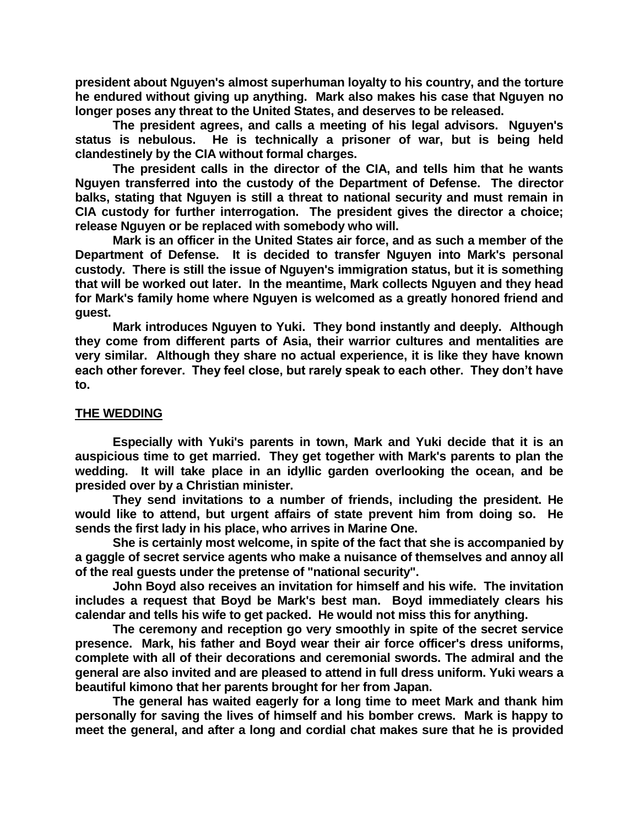**president about Nguyen's almost superhuman loyalty to his country, and the torture he endured without giving up anything. Mark also makes his case that Nguyen no longer poses any threat to the United States, and deserves to be released.**

**The president agrees, and calls a meeting of his legal advisors. Nguyen's status is nebulous. He is technically a prisoner of war, but is being held clandestinely by the CIA without formal charges.**

**The president calls in the director of the CIA, and tells him that he wants Nguyen transferred into the custody of the Department of Defense. The director balks, stating that Nguyen is still a threat to national security and must remain in CIA custody for further interrogation. The president gives the director a choice; release Nguyen or be replaced with somebody who will.**

**Mark is an officer in the United States air force, and as such a member of the Department of Defense. It is decided to transfer Nguyen into Mark's personal custody. There is still the issue of Nguyen's immigration status, but it is something that will be worked out later. In the meantime, Mark collects Nguyen and they head for Mark's family home where Nguyen is welcomed as a greatly honored friend and guest.**

**Mark introduces Nguyen to Yuki. They bond instantly and deeply. Although they come from different parts of Asia, their warrior cultures and mentalities are very similar. Although they share no actual experience, it is like they have known each other forever. They feel close, but rarely speak to each other. They don't have to.**

## **THE WEDDING**

**Especially with Yuki's parents in town, Mark and Yuki decide that it is an auspicious time to get married. They get together with Mark's parents to plan the wedding. It will take place in an idyllic garden overlooking the ocean, and be presided over by a Christian minister.**

**They send invitations to a number of friends, including the president. He would like to attend, but urgent affairs of state prevent him from doing so. He sends the first lady in his place, who arrives in Marine One.**

**She is certainly most welcome, in spite of the fact that she is accompanied by a gaggle of secret service agents who make a nuisance of themselves and annoy all of the real guests under the pretense of "national security".**

**John Boyd also receives an invitation for himself and his wife. The invitation includes a request that Boyd be Mark's best man. Boyd immediately clears his calendar and tells his wife to get packed. He would not miss this for anything.**

**The ceremony and reception go very smoothly in spite of the secret service presence. Mark, his father and Boyd wear their air force officer's dress uniforms, complete with all of their decorations and ceremonial swords. The admiral and the general are also invited and are pleased to attend in full dress uniform. Yuki wears a beautiful kimono that her parents brought for her from Japan.**

**The general has waited eagerly for a long time to meet Mark and thank him personally for saving the lives of himself and his bomber crews. Mark is happy to meet the general, and after a long and cordial chat makes sure that he is provided**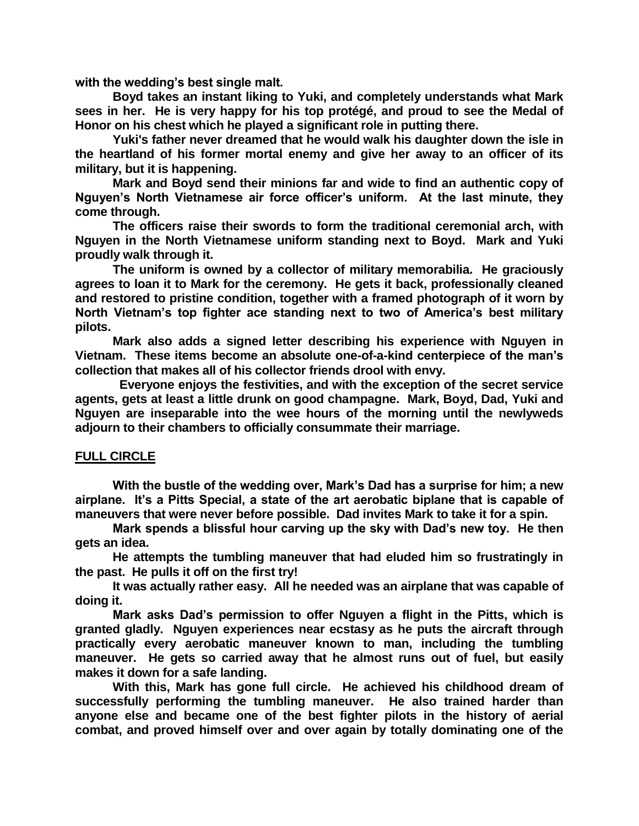**with the wedding's best single malt.**

**Boyd takes an instant liking to Yuki, and completely understands what Mark sees in her. He is very happy for his top protégé, and proud to see the Medal of Honor on his chest which he played a significant role in putting there.**

**Yuki's father never dreamed that he would walk his daughter down the isle in the heartland of his former mortal enemy and give her away to an officer of its military, but it is happening.**

**Mark and Boyd send their minions far and wide to find an authentic copy of Nguyen's North Vietnamese air force officer's uniform. At the last minute, they come through.**

**The officers raise their swords to form the traditional ceremonial arch, with Nguyen in the North Vietnamese uniform standing next to Boyd. Mark and Yuki proudly walk through it.**

**The uniform is owned by a collector of military memorabilia. He graciously agrees to loan it to Mark for the ceremony. He gets it back, professionally cleaned and restored to pristine condition, together with a framed photograph of it worn by North Vietnam's top fighter ace standing next to two of America's best military pilots.**

**Mark also adds a signed letter describing his experience with Nguyen in Vietnam. These items become an absolute one-of-a-kind centerpiece of the man's collection that makes all of his collector friends drool with envy.**

 **Everyone enjoys the festivities, and with the exception of the secret service agents, gets at least a little drunk on good champagne. Mark, Boyd, Dad, Yuki and Nguyen are inseparable into the wee hours of the morning until the newlyweds adjourn to their chambers to officially consummate their marriage.**

# **FULL CIRCLE**

**With the bustle of the wedding over, Mark's Dad has a surprise for him; a new airplane. It's a Pitts Special, a state of the art aerobatic biplane that is capable of maneuvers that were never before possible. Dad invites Mark to take it for a spin.**

**Mark spends a blissful hour carving up the sky with Dad's new toy. He then gets an idea.**

**He attempts the tumbling maneuver that had eluded him so frustratingly in the past. He pulls it off on the first try!**

**It was actually rather easy. All he needed was an airplane that was capable of doing it.**

**Mark asks Dad's permission to offer Nguyen a flight in the Pitts, which is granted gladly. Nguyen experiences near ecstasy as he puts the aircraft through practically every aerobatic maneuver known to man, including the tumbling maneuver. He gets so carried away that he almost runs out of fuel, but easily makes it down for a safe landing.**

**With this, Mark has gone full circle. He achieved his childhood dream of successfully performing the tumbling maneuver. He also trained harder than anyone else and became one of the best fighter pilots in the history of aerial combat, and proved himself over and over again by totally dominating one of the**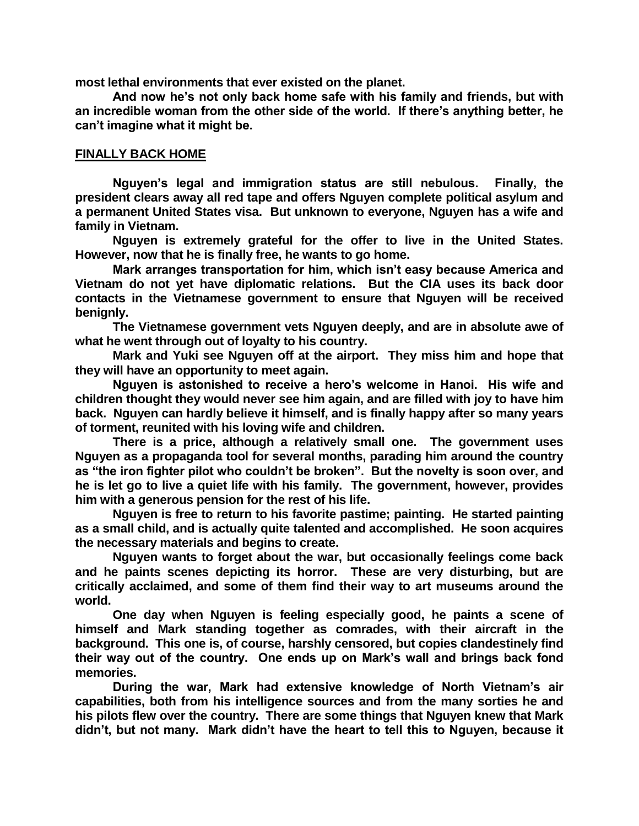**most lethal environments that ever existed on the planet.**

**And now he's not only back home safe with his family and friends, but with an incredible woman from the other side of the world. If there's anything better, he can't imagine what it might be.**

## **FINALLY BACK HOME**

**Nguyen's legal and immigration status are still nebulous. Finally, the president clears away all red tape and offers Nguyen complete political asylum and a permanent United States visa. But unknown to everyone, Nguyen has a wife and family in Vietnam.**

**Nguyen is extremely grateful for the offer to live in the United States. However, now that he is finally free, he wants to go home.**

**Mark arranges transportation for him, which isn't easy because America and Vietnam do not yet have diplomatic relations. But the CIA uses its back door contacts in the Vietnamese government to ensure that Nguyen will be received benignly.**

**The Vietnamese government vets Nguyen deeply, and are in absolute awe of what he went through out of loyalty to his country.**

**Mark and Yuki see Nguyen off at the airport. They miss him and hope that they will have an opportunity to meet again.**

**Nguyen is astonished to receive a hero's welcome in Hanoi. His wife and children thought they would never see him again, and are filled with joy to have him back. Nguyen can hardly believe it himself, and is finally happy after so many years of torment, reunited with his loving wife and children.**

**There is a price, although a relatively small one. The government uses Nguyen as a propaganda tool for several months, parading him around the country as "the iron fighter pilot who couldn't be broken". But the novelty is soon over, and he is let go to live a quiet life with his family. The government, however, provides him with a generous pension for the rest of his life.**

**Nguyen is free to return to his favorite pastime; painting. He started painting as a small child, and is actually quite talented and accomplished. He soon acquires the necessary materials and begins to create.**

**Nguyen wants to forget about the war, but occasionally feelings come back and he paints scenes depicting its horror. These are very disturbing, but are critically acclaimed, and some of them find their way to art museums around the world.**

**One day when Nguyen is feeling especially good, he paints a scene of himself and Mark standing together as comrades, with their aircraft in the background. This one is, of course, harshly censored, but copies clandestinely find their way out of the country. One ends up on Mark's wall and brings back fond memories.**

**During the war, Mark had extensive knowledge of North Vietnam's air capabilities, both from his intelligence sources and from the many sorties he and his pilots flew over the country. There are some things that Nguyen knew that Mark didn't, but not many. Mark didn't have the heart to tell this to Nguyen, because it**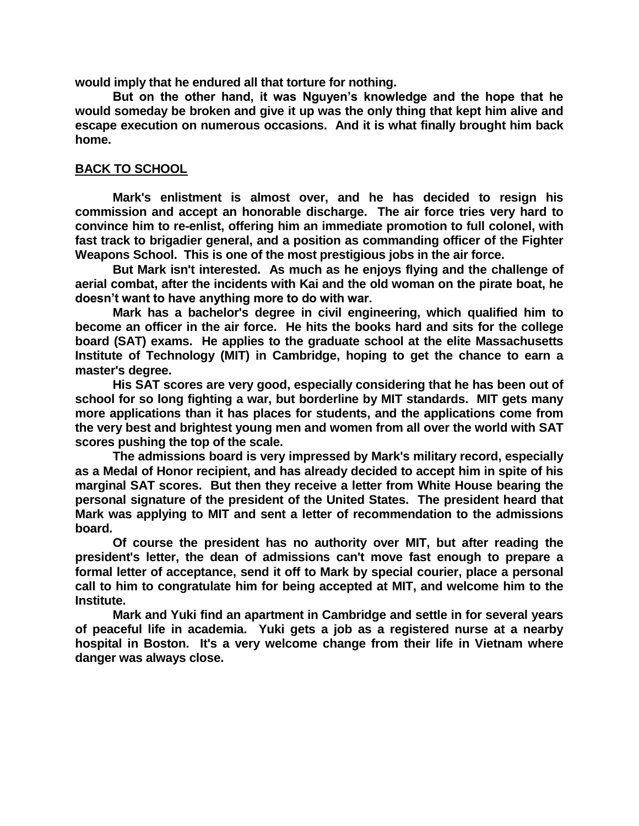**would imply that he endured all that torture for nothing.**

**But on the other hand, it was Nguyen's knowledge and the hope that he would someday be broken and give it up was the only thing that kept him alive and escape execution on numerous occasions. And it is what finally brought him back home.**

# **BACK TO SCHOOL**

**Mark's enlistment is almost over, and he has decided to resign his commission and accept an honorable discharge. The air force tries very hard to convince him to re-enlist, offering him an immediate promotion to full colonel, with fast track to brigadier general, and a position as commanding officer of the Fighter Weapons School. This is one of the most prestigious jobs in the air force.**

**But Mark isn't interested. As much as he enjoys flying and the challenge of aerial combat, after the incidents with Kai and the old woman on the pirate boat, he doesn't want to have anything more to do with war.**

**Mark has a bachelor's degree in civil engineering, which qualified him to become an officer in the air force. He hits the books hard and sits for the college board (SAT) exams. He applies to the graduate school at the elite Massachusetts Institute of Technology (MIT) in Cambridge, hoping to get the chance to earn a master's degree.**

**His SAT scores are very good, especially considering that he has been out of school for so long fighting a war, but borderline by MIT standards. MIT gets many more applications than it has places for students, and the applications come from the very best and brightest young men and women from all over the world with SAT scores pushing the top of the scale.**

**The admissions board is very impressed by Mark's military record, especially as a Medal of Honor recipient, and has already decided to accept him in spite of his marginal SAT scores. But then they receive a letter from White House bearing the personal signature of the president of the United States. The president heard that Mark was applying to MIT and sent a letter of recommendation to the admissions board.**

**Of course the president has no authority over MIT, but after reading the president's letter, the dean of admissions can't move fast enough to prepare a formal letter of acceptance, send it off to Mark by special courier, place a personal call to him to congratulate him for being accepted at MIT, and welcome him to the Institute.**

**Mark and Yuki find an apartment in Cambridge and settle in for several years of peaceful life in academia. Yuki gets a job as a registered nurse at a nearby hospital in Boston. It's a very welcome change from their life in Vietnam where danger was always close.**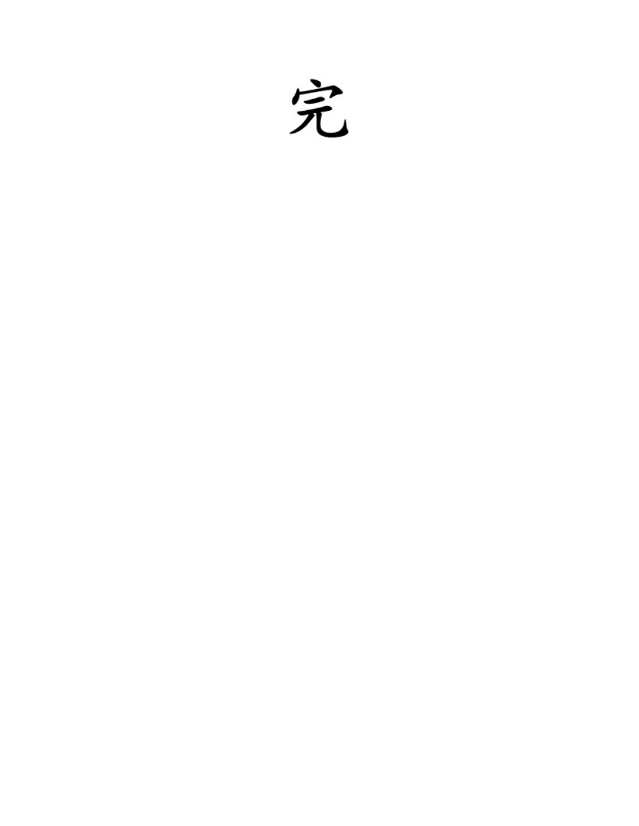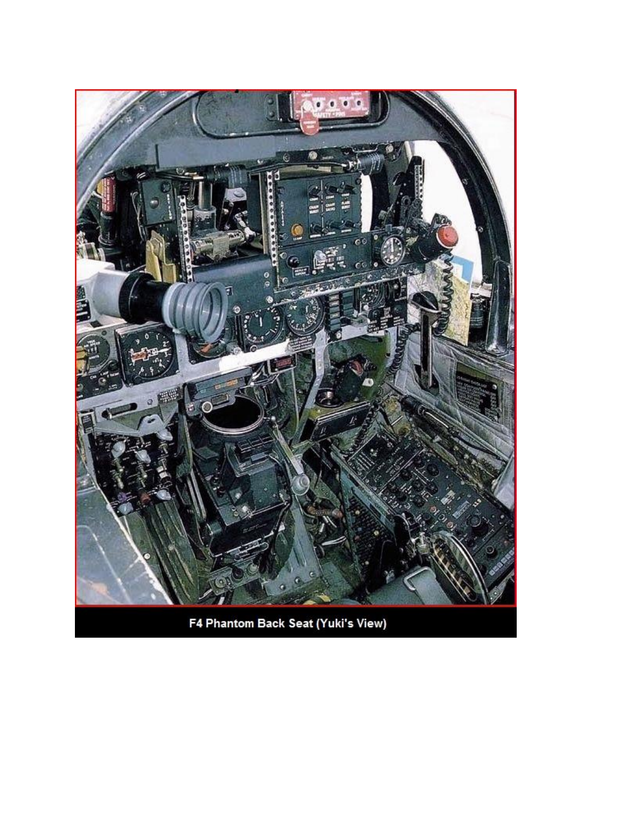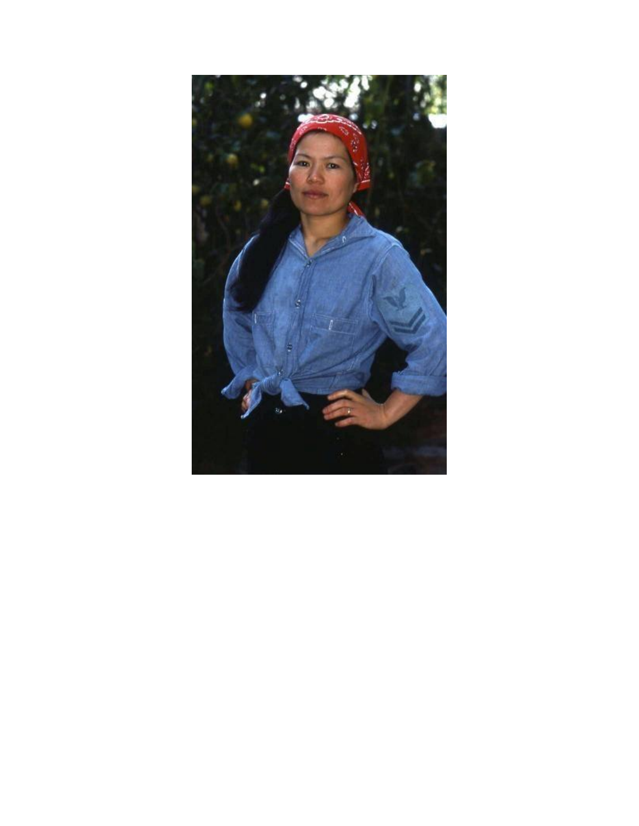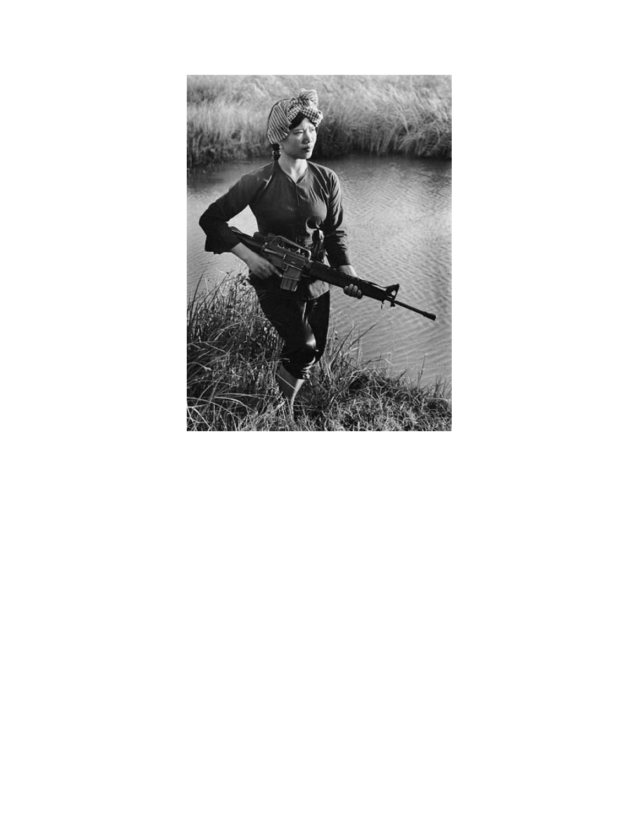